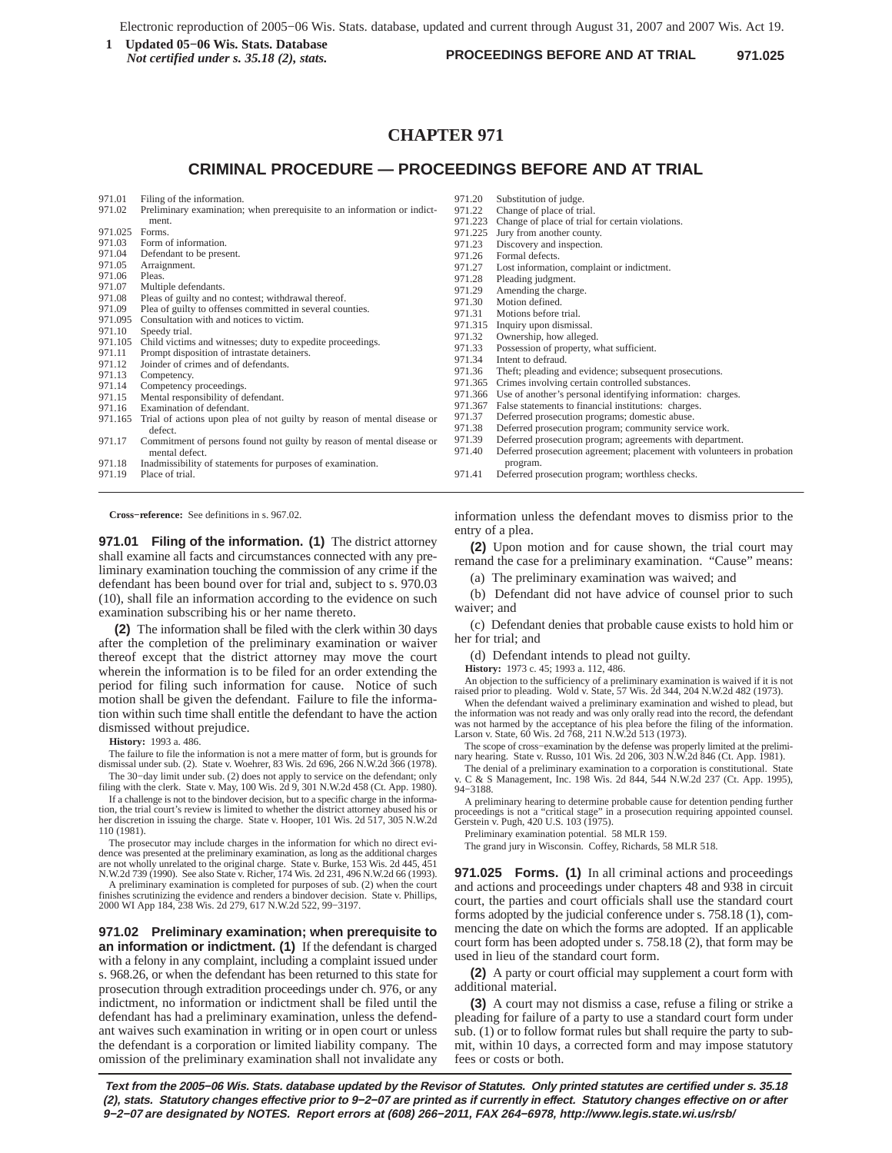**PROCEEDINGS BEFORE AND AT TRIAL 1** Updated 05–06 Wis. Stats. Database<br>
Not certified under s 35 18 (2) stats<br> **PROCEEDINGS BEFORE AND AT TRIAL** 971.025 *Not certified under s. 35.18 (2), stats.*

# **CHAPTER 971**

# **CRIMINAL PROCEDURE — PROCEEDINGS BEFORE AND AT TRIAL**

- 971.01 Filing of the information.<br>971.02 Preliminary examination:
- Preliminary examination; when prerequisite to an information or indictment.
- 971.025 Forms.
- 
- 971.03 Form of information.<br>971.04 Defendant to be prese
- 971.04 Defendant to be present.<br>971.05 Arraignment. Arraignment.
- 
- 971.06 Pleas<br>971.07 Multi
- 971.07 Multiple defendants.<br>971.08 Pleas of guilty and n
- 971.08 Pleas of guilty and no contest; withdrawal thereof.<br>971.09 Plea of guilty to offenses committed in several cou 971.09 Plea of guilty to offenses committed in several counties.<br>971.095 Consultation with and notices to victim.
- 971.095 Consultation with and notices to victim.<br>971.10 Speedy trial.
- Speedy trial.
- 971.105 Child victims and witnesses; duty to expedite proceedings.<br>971.11 Prompt disposition of intrastate detainers.
- Prompt disposition of intrastate detainers.
- 971.12 Joinder of crimes and of defendants.<br>971.13 Competency.
- Competency.
- 971.14 Competency proceedings.<br>971.15 Mental responsibility of d
- 971.15 Mental responsibility of defendant.<br>971.16 Examination of defendant.
- Examination of defendant.
- 971.165 Trial of actions upon plea of not guilty by reason of mental disease or defect.
- 971.17 Commitment of persons found not guilty by reason of mental disease or mental defect.
- 971.18 Inadmissibility of statements for purposes of examination.
- 971.19 Place of trial.

**Cross−reference:** See definitions in s. 967.02.

**971.01 Filing of the information. (1)** The district attorney shall examine all facts and circumstances connected with any preliminary examination touching the commission of any crime if the defendant has been bound over for trial and, subject to s. 970.03 (10), shall file an information according to the evidence on such examination subscribing his or her name thereto.

**(2)** The information shall be filed with the clerk within 30 days after the completion of the preliminary examination or waiver thereof except that the district attorney may move the court wherein the information is to be filed for an order extending the period for filing such information for cause. Notice of such motion shall be given the defendant. Failure to file the information within such time shall entitle the defendant to have the action dismissed without prejudice.

**History:** 1993 a. 486.

The failure to file the information is not a mere matter of form, but is grounds for dismissal under sub. (2). State v. Woehrer, 83 Wis. 2d 696, 266 N.W.2d 366 (1978). The 30−day limit under sub. (2) does not apply to service on the defendant; only

filing with the clerk. State v. May, 100 Wis. 2d 9, 301 N.W.2d 458 (Ct. App. 1980). If a challenge is not to the bindover decision, but to a specific charge in the information, the trial court's review is limited to whether the district attorney abused his or her discretion in issuing the charge. State v. Hooper, 101 Wis. 2d 517, 305 N.W.2d

110 (1981). The prosecutor may include charges in the information for which no direct evi-

dence was presented at the preliminary examination, as long as the additional charges are not wholly unrelated to the original charge. State v. Burke, 153 Wis. 2d 445, 451 N.W.2d 739 (1990). See also State v. Richer, 174 Wis. 2d 231, 496 N.W.2d 66 (1993).

A preliminary examination is completed for purposes of sub. (2) when the court finishes scrutinizing the evidence and renders a bindover decision. State v. Phillips, 2000 WI App 184, 238 Wis. 2d 279, 617 N.W.2d 522, 99−3197.

**971.02 Preliminary examination; when prerequisite to an information or indictment. (1)** If the defendant is charged with a felony in any complaint, including a complaint issued under s. 968.26, or when the defendant has been returned to this state for prosecution through extradition proceedings under ch. 976, or any indictment, no information or indictment shall be filed until the defendant has had a preliminary examination, unless the defendant waives such examination in writing or in open court or unless the defendant is a corporation or limited liability company. The omission of the preliminary examination shall not invalidate any

- 971.20 Substitution of judge.<br>971.22 Change of place of tri
- 971.22 Change of place of trial.<br>971.223 Change of place of trial.
- 971.223 Change of place of trial for certain violations.<br>971.225 Jury from another county.
- Jury from another county.
- 971.23 Discovery and inspection.<br>971.26 Formal defects.
- Formal defects.
- 971.27 Lost information, complaint or indictment.<br>971.28 Pleading indement.
- Pleading judgment.
- 971.29 Amending the charge.<br>971.30 Motion defined.
- Motion defined. 971.31 Motions before trial.
- 
- 971.315 Inquiry upon dismissal.<br>971.32 Ownership how allege
- Ownership, how alleged.
- 971.33 Possession of property, what sufficient.<br>971.34 Intent to defraud Intent to defraud.
- 
- 971.36 Theft; pleading and evidence; subsequent prosecutions.<br>971.365 Crimes involving certain controlled substances
- Crimes involving certain controlled substances.
- 971.366 Use of another's personal identifying information: charges.<br>971.367 False statements to financial institutions: charges.
- False statements to financial institutions: charges.
- 971.37 Deferred prosecution programs; domestic abuse.<br>971.38 Deferred prosecution program; community servi-
- Deferred prosecution program; community service work.
- 971.39 Deferred prosecution program; agreements with department
- 971.40 Deferred prosecution agreement; placement with volunteers in probation program.
- 971.41 Deferred prosecution program; worthless checks.

information unless the defendant moves to dismiss prior to the entry of a plea.

**(2)** Upon motion and for cause shown, the trial court may remand the case for a preliminary examination. "Cause" means:

(a) The preliminary examination was waived; and

(b) Defendant did not have advice of counsel prior to such waiver; and

(c) Defendant denies that probable cause exists to hold him or her for trial; and

(d) Defendant intends to plead not guilty.

**History:** 1973 c. 45; 1993 a. 112, 486.

An objection to the sufficiency of a preliminary examination is waived if it is not raised prior to pleading. Wold v. State, 57 Wis. 2d 344, 204 N.W.2d 482 (1973).

When the defendant waived a preliminary examination and wished to plead, but the information was not ready and was only orally read into the record, the defendant was not harmed by the acceptance of his plea before the filing of the information. Larson v. State, 60 Wis. 2d 768, 211 N.W.2d 513 (1973).

The scope of cross−examination by the defense was properly limited at the prelimi-nary hearing. State v. Russo, 101 Wis. 2d 206, 303 N.W.2d 846 (Ct. App. 1981).

The denial of a preliminary examination to a corporation is constitutional. State C & S Management, Inc. 198 Wis. 2d 844, 544 N.W.2d 237 (Ct. App. 1995), 94−3188.

A preliminary hearing to determine probable cause for detention pending further proceedings is not a "critical stage" in a prosecution requiring appointed counsel. Gerstein v. Pugh, 420 U.S. 103 (1975).

Preliminary examination potential. 58 MLR 159.

The grand jury in Wisconsin. Coffey, Richards, 58 MLR 518.

**971.025 Forms. (1)** In all criminal actions and proceedings and actions and proceedings under chapters 48 and 938 in circuit court, the parties and court officials shall use the standard court forms adopted by the judicial conference under s. 758.18 (1), commencing the date on which the forms are adopted. If an applicable court form has been adopted under s. 758.18 (2), that form may be used in lieu of the standard court form.

**(2)** A party or court official may supplement a court form with additional material.

**(3)** A court may not dismiss a case, refuse a filing or strike a pleading for failure of a party to use a standard court form under sub. (1) or to follow format rules but shall require the party to submit, within 10 days, a corrected form and may impose statutory fees or costs or both.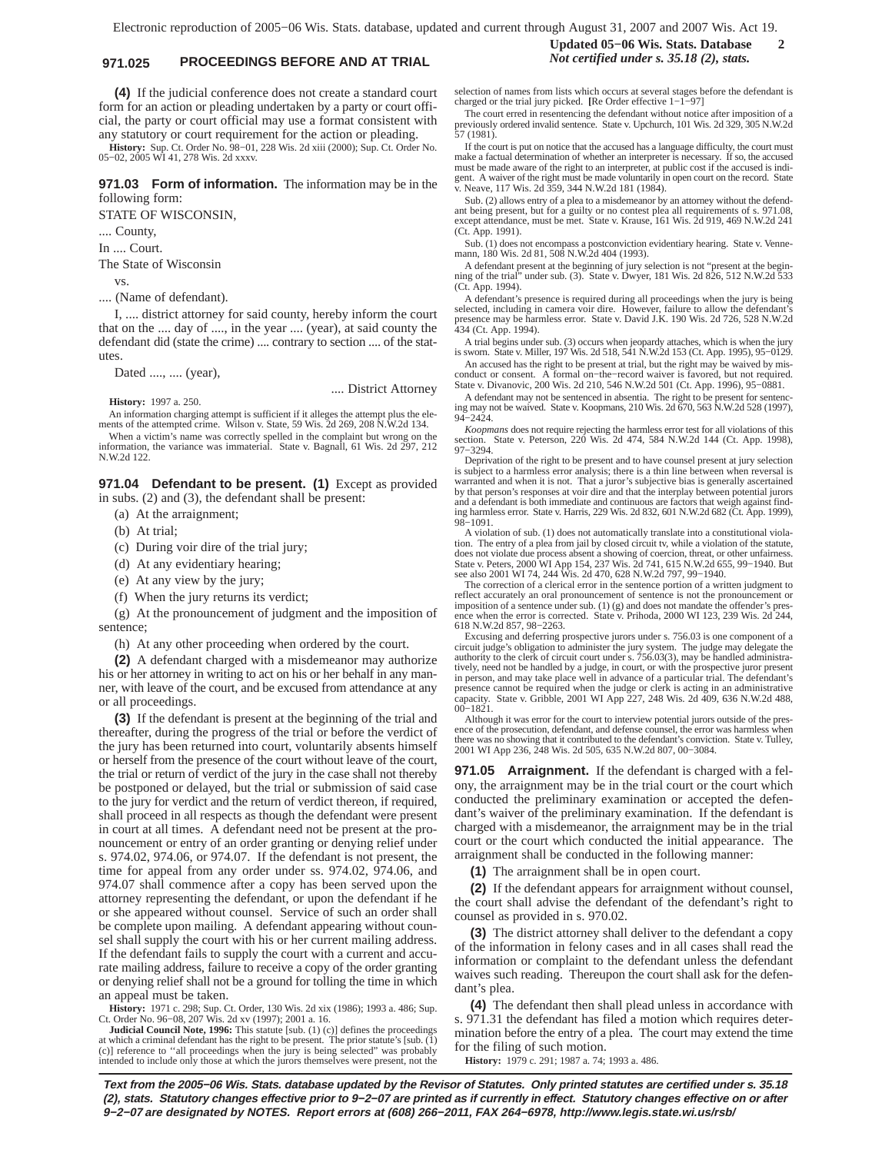# **971.025 PROCEEDINGS BEFORE AND AT TRIAL** *Not certified under s. 35.18 (2), stats.*

**(4)** If the judicial conference does not create a standard court form for an action or pleading undertaken by a party or court official, the party or court official may use a format consistent with any statutory or court requirement for the action or pleading.

**History:** Sup. Ct. Order No. 98−01, 228 Wis. 2d xiii (2000); Sup. Ct. Order No. 05−02, 2005 WI 41, 278 Wis. 2d xxxv.

**971.03 Form of information.** The information may be in the following form:

STATE OF WISCONSIN,

.... County,

In .... Court.

The State of Wisconsin

vs.

.... (Name of defendant).

I, .... district attorney for said county, hereby inform the court that on the .... day of ...., in the year .... (year), at said county the defendant did (state the crime) .... contrary to section .... of the statutes.

Dated ...., .... (year),

.... District Attorney

**History:** 1997 a. 250.

An information charging attempt is sufficient if it alleges the attempt plus the ele-ments of the attempted crime. Wilson v. State, 59 Wis. 2d 269, 208 N.W.2d 134.

When a victim's name was correctly spelled in the complaint but wrong on the information, the variance was immaterial. State v. Bagnall, 61 Wis. 2d 297, 212 N.W.2d 122.

**971.04 Defendant to be present. (1)** Except as provided in subs. (2) and (3), the defendant shall be present:

(a) At the arraignment;

(b) At trial;

- (c) During voir dire of the trial jury;
- (d) At any evidentiary hearing;
- (e) At any view by the jury;
- (f) When the jury returns its verdict;

(g) At the pronouncement of judgment and the imposition of sentence;

(h) At any other proceeding when ordered by the court.

**(2)** A defendant charged with a misdemeanor may authorize his or her attorney in writing to act on his or her behalf in any manner, with leave of the court, and be excused from attendance at any or all proceedings.

**(3)** If the defendant is present at the beginning of the trial and thereafter, during the progress of the trial or before the verdict of the jury has been returned into court, voluntarily absents himself or herself from the presence of the court without leave of the court, the trial or return of verdict of the jury in the case shall not thereby be postponed or delayed, but the trial or submission of said case to the jury for verdict and the return of verdict thereon, if required, shall proceed in all respects as though the defendant were present in court at all times. A defendant need not be present at the pronouncement or entry of an order granting or denying relief under s. 974.02, 974.06, or 974.07. If the defendant is not present, the time for appeal from any order under ss. 974.02, 974.06, and 974.07 shall commence after a copy has been served upon the attorney representing the defendant, or upon the defendant if he or she appeared without counsel. Service of such an order shall be complete upon mailing. A defendant appearing without counsel shall supply the court with his or her current mailing address. If the defendant fails to supply the court with a current and accurate mailing address, failure to receive a copy of the order granting or denying relief shall not be a ground for tolling the time in which an appeal must be taken.

**History:** 1971 c. 298; Sup. Ct. Order, 130 Wis. 2d xix (1986); 1993 a. 486; Sup. Ct. Order No. 96−08, 207 Wis. 2d xv (1997); 2001 a. 16.

**Judicial Council Note, 1996:** This statute [sub. (1) (c)] defines the proceedings at which a criminal defendant has the right to be present. The prior statute's [sub. (1) (c)] reference to ''all proceedings when the jury is being selected" was probably intended to include only those at which the jurors themselves were present, not the

# **Updated 05−06 Wis. Stats. Database 2**

selection of names from lists which occurs at several stages before the defendant is charged or the trial jury picked. **[**Re Order effective 1−1−97]

The court erred in resentencing the defendant without notice after imposition of a previously ordered invalid sentence. State v. Upchurch, 101 Wis. 2d 329, 305 N.W.2d 57 (1981).

If the court is put on notice that the accused has a language difficulty, the court must make a factual determination of whether an interpreter is necessary. If so, the accused must be made aware of the right to an interpreter, at public cost if the accused is indigent. A waiver of the right must be made voluntarily in open court on the record. State v. Neave, 117 Wis. 2d 359, 344 N.W.2d 181 (1984).

Sub. (2) allows entry of a plea to a misdemeanor by an attorney without the defendant being present, but for a guilty or no contest plea all requirements of s. 971.08, except attendance, must be met. State v. Krause, 161 Wis. 2d 919, 469 N.W.2d 241 (Ct. App. 1991).

Sub. (1) does not encompass a postconviction evidentiary hearing. State v. Vennemann, 180 Wis. 2d 81, 508 N.W.2d 404 (1993).

A defendant present at the beginning of jury selection is not "present at the begin-ning of the trial" under sub. (3). State v. Dwyer, 181 Wis. 2d 826, 512 N.W.2d 533 (Ct. App. 1994).

A defendant's presence is required during all proceedings when the jury is being selected, including in camera voir dire. However, failure to allow the defendant presence may be harmless error. State v. David J.K. 190 Wis. 2d 726, 528 N.W.2d 434 (Ct. App. 1994).

A trial begins under sub. (3) occurs when jeopardy attaches, which is when the jury is sworn. State v. Miller, 197 Wis. 2d 518, 541 N.W.2d 153 (Ct. App. 1995), 95−0129.

An accused has the right to be present at trial, but the right may be waived by misconduct or consent. A formal on−the−record waiver is favored, but not required. State v. Divanovic, 200 Wis. 2d 210, 546 N.W.2d 501 (Ct. App. 1996), 95−0881.

A defendant may not be sentenced in absentia. The right to be present for sentencing may not be waived. State v. Koopmans, 210 Wis. 2d 670, 563 N.W.2d 528 (1997), 94−2424.

*Koopmans* does not require rejecting the harmless error test for all violations of this section. State v. Peterson, 220 Wis. 2d 474, 584 N.W.2d 144 (Ct. App. 1998), 97−3294.

Deprivation of the right to be present and to have counsel present at jury selection is subject to a harmless error analysis; there is a thin line between when reversal is<br>warranted and when it is not. That a juror's subjective bias is generally ascertained<br>by that person's responses at voir dire and that and a defendant is both immediate and continuous are factors that weigh against find-ing harmless error. State v. Harris, 229 Wis. 2d 832, 601 N.W.2d 682 (Ct. App. 1999), 98−1091.

A violation of sub. (1) does not automatically translate into a constitutional violation. The entry of a plea from jail by closed circuit tv, while a violation of the statute, does not violate due process absent a showing of coercion, threat, or other unfairness. State v. Peters, 2000 WI App 154, 237 Wis. 2d 741, 615 N.W.2d 655, 99−1940. But see also 2001 WI 74, 244 Wis. 2d 470, 628 N.W.2d 797, 99−1940.

The correction of a clerical error in the sentence portion of a written judgment to reflect accurately an oral pronouncement of sentence is not the pronouncement or imposition of a sentence under sub. (1) (g) and does not mandate the offender's pres-ence when the error is corrected. State v. Prihoda, 2000 WI 123, 239 Wis. 2d 244, 618 N.W.2d 857, 98−2263.

Excusing and deferring prospective jurors under s. 756.03 is one component of a circuit judge's obligation to administer the jury system. The judge may delegate the authority to the clerk of circuit court under s. 756.03(3), may be handled administratively, need not be handled by a judge, in court, or with the prospective juror present in person, and may take place well in advance of a particular trial. The defendant's presence cannot be required when the judge or clerk is acting in an administrative capacity. State v. Gribble, 2001 WI App 227, 248 Wis. 2d 409, 636 N.W.2d 488, 00−1821.

Although it was error for the court to interview potential jurors outside of the presence of the prosecution, defendant, and defense counsel, the error was harmless there was no showing that it contributed to the defendant's conviction. State v. Tulley, 2001 WI App 236, 248 Wis. 2d 505, 635 N.W.2d 807, 00−3084.

**971.05 Arraignment.** If the defendant is charged with a felony, the arraignment may be in the trial court or the court which conducted the preliminary examination or accepted the defendant's waiver of the preliminary examination. If the defendant is charged with a misdemeanor, the arraignment may be in the trial court or the court which conducted the initial appearance. The arraignment shall be conducted in the following manner:

**(1)** The arraignment shall be in open court.

**(2)** If the defendant appears for arraignment without counsel, the court shall advise the defendant of the defendant's right to counsel as provided in s. 970.02.

**(3)** The district attorney shall deliver to the defendant a copy of the information in felony cases and in all cases shall read the information or complaint to the defendant unless the defendant waives such reading. Thereupon the court shall ask for the defendant's plea.

**(4)** The defendant then shall plead unless in accordance with s. 971.31 the defendant has filed a motion which requires determination before the entry of a plea. The court may extend the time for the filing of such motion.

**History:** 1979 c. 291; 1987 a. 74; 1993 a. 486.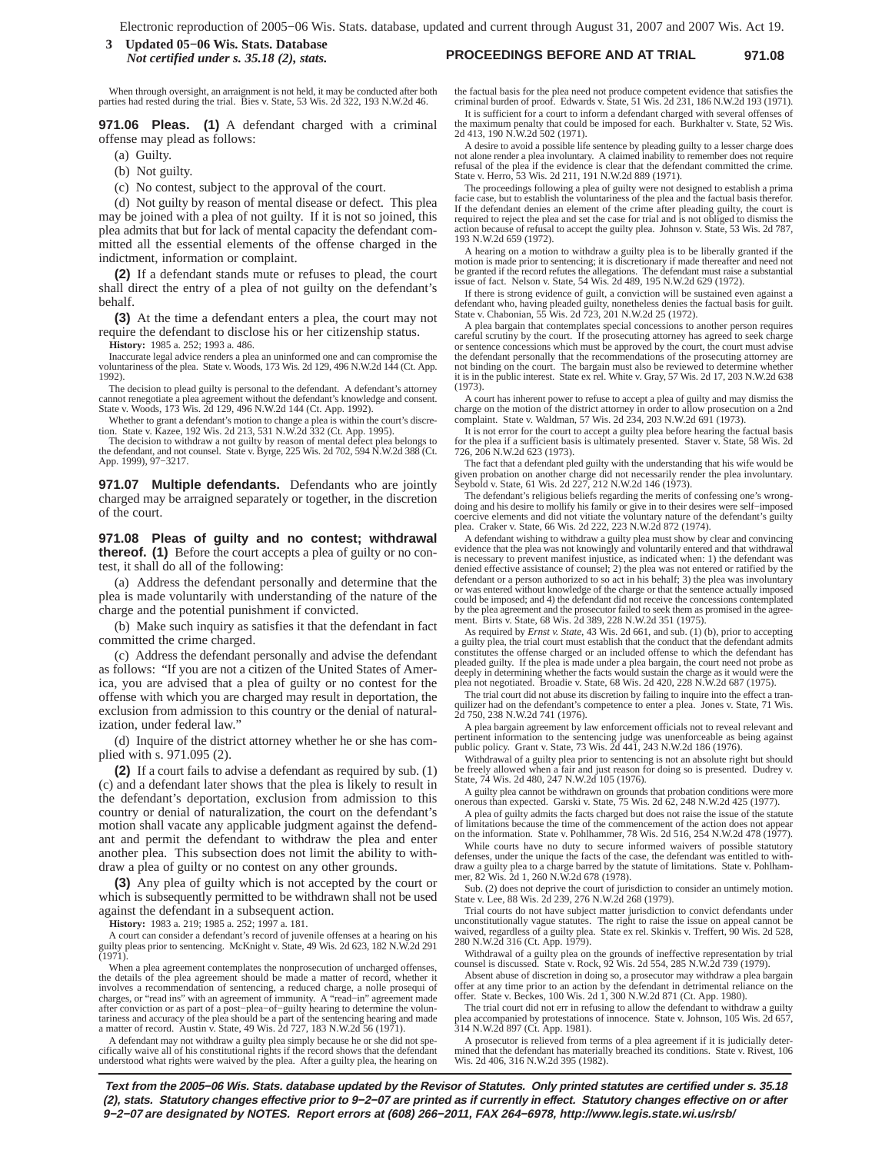**PROCEEDINGS BEFORE AND AT TRIAL 971.08 3 Updated 05−06 Wis. Stats. Database** *Not certified under s. 35.18 (2), stats.*

When through oversight, an arraignment is not held, it may be conducted after both parties had rested during the trial. Bies v. State, 53 Wis. 2d 322, 193 N.W.2d 46.

**971.06 Pleas. (1)** A defendant charged with a criminal offense may plead as follows:

- (a) Guilty.
- (b) Not guilty.
- (c) No contest, subject to the approval of the court.

(d) Not guilty by reason of mental disease or defect. This plea may be joined with a plea of not guilty. If it is not so joined, this plea admits that but for lack of mental capacity the defendant committed all the essential elements of the offense charged in the indictment, information or complaint.

**(2)** If a defendant stands mute or refuses to plead, the court shall direct the entry of a plea of not guilty on the defendant's behalf.

**(3)** At the time a defendant enters a plea, the court may not require the defendant to disclose his or her citizenship status.

**History:** 1985 a. 252; 1993 a. 486.

Inaccurate legal advice renders a plea an uninformed one and can compromise the voluntariness of the plea. State v. Woods, 173 Wis. 2d 129, 496 N.W.2d 144 (Ct. App. 1992).

The decision to plead guilty is personal to the defendant. A defendant's attorney cannot renegotiate a plea agreement without the defendant's knowledge and consent. State v. Woods, 173 Wis. 2d 129, 496 N.W.2d 144 (Ct. App. 1992).

Whether to grant a defendant's motion to change a plea is within the court's discretion. State v. Kazee, 192 Wis. 2d 213, 531 N.W.2d 332 (Ct. App. 1995).<br>The decision to withdraw a not guilty by reason of mental defect ple

the defendant, and not counsel. State v. Byrge, 225 Wis. 2d 702, 594 N.W.2d 388 (Ct. App. 1999), 97−3217.

**971.07 Multiple defendants.** Defendants who are jointly charged may be arraigned separately or together, in the discretion of the court.

**971.08 Pleas of guilty and no contest; withdrawal thereof. (1)** Before the court accepts a plea of guilty or no contest, it shall do all of the following:

(a) Address the defendant personally and determine that the plea is made voluntarily with understanding of the nature of the charge and the potential punishment if convicted.

(b) Make such inquiry as satisfies it that the defendant in fact committed the crime charged.

(c) Address the defendant personally and advise the defendant as follows: "If you are not a citizen of the United States of America, you are advised that a plea of guilty or no contest for the offense with which you are charged may result in deportation, the exclusion from admission to this country or the denial of naturalization, under federal law."

(d) Inquire of the district attorney whether he or she has complied with s. 971.095 (2).

**(2)** If a court fails to advise a defendant as required by sub. (1) (c) and a defendant later shows that the plea is likely to result in the defendant's deportation, exclusion from admission to this country or denial of naturalization, the court on the defendant's motion shall vacate any applicable judgment against the defendant and permit the defendant to withdraw the plea and enter another plea. This subsection does not limit the ability to withdraw a plea of guilty or no contest on any other grounds.

**(3)** Any plea of guilty which is not accepted by the court or which is subsequently permitted to be withdrawn shall not be used against the defendant in a subsequent action.

**History:** 1983 a. 219; 1985 a. 252; 1997 a. 181.

A court can consider a defendant's record of juvenile offenses at a hearing on his guilty pleas prior to sentencing. McKnight v. State, 49 Wis. 2d 623, 182 N.W.2d 291 (1971).

When a plea agreement contemplates the nonprosecution of uncharged offenses, the details of the plea agreement should be made a matter of record, whether it involves a recommendation of sentencing, a reduced charge, a nolle prosequi of charges, or "read ins" with an agreement of immunity. A "read−in" agreement made after conviction or as part of a post-plea-of-guilty hearing to determine the volun-<br>tariness and accuracy of the plea should be a part of the sentencing hearing and made<br>a matter of record. Austin v. State, 49 Wis. 2d 727

A defendant may not withdraw a guilty plea simply because he or she did not spe-cifically waive all of his constitutional rights if the record shows that the defendant understood what rights were waived by the plea. After a guilty plea, the hearing on

the factual basis for the plea need not produce competent evidence that satisfies the criminal burden of proof. Edwards v. State, 51 Wis. 2d 231, 186 N.W.2d 193 (1971). It is sufficient for a court to inform a defendant charged with several offenses of the maximum penalty that could be imposed for each. Burkhalter v. State, 52 Wis.

2d 413, 190 N.W.2d 502 (1971). A desire to avoid a possible life sentence by pleading guilty to a lesser charge does<br>not alone render a plea involuntary. A claimed inability to remember does not require<br>refusal of the plea if the evidence is clear that State v. Herro, 53 Wis. 2d 211, 191 N.W.2d 889 (1971).

The proceedings following a plea of guilty were not designed to establish a prima facie case, but to establish the voluntariness of the plea and the factual basis therefor. If the defendant denies an element of the crime after pleading guilty, the court is required to reject the plea and set the case for trial and is not obliged to dismiss the action because of refusal to accept the guilty plea. Johnson v. State, 53 Wis. 2d 787, 193 N.W.2d 659 (1972).

A hearing on a motion to withdraw a guilty plea is to be liberally granted if the motion is made prior to sentencing; it is discretionary if made thereafter and need not be granted if the record refutes the allegations. The defendant must raise a substantial issue of fact. Nelson v. State, 54 Wis. 2d 489, 195 N.W.2d 629 (1972).

If there is strong evidence of guilt, a conviction will be sustained even against a defendant who, having pleaded guilty, nonetheless denies the factual basis for guilt. State v. Chabonian, 55 Wis. 2d 723, 201 N.W.2d 25 (1972).

A plea bargain that contemplates special concessions to another person requires careful scrutiny by the court. If the prosecuting attorney has agreed to seek charge or sentence concessions which must be approved by the court, the court must advise the defendant personally that the recommendations of the prosecuting attorney are not binding on the court. The bargain must also be reviewed to determine whether it is in the public interest. State ex rel. White v. Gray, 57 Wis. 2d 17, 203 N.W.2d 638 (1973).

A court has inherent power to refuse to accept a plea of guilty and may dismiss the charge on the motion of the district attorney in order to allow prosecution on a 2nd complaint. State v. Waldman, 57 Wis. 2d 234, 203 N.W.2d 691 (1973).

It is not error for the court to accept a guilty plea before hearing the factual basis for the plea if a sufficient basis is ultimately presented. Staver v. State, 58 Wis. 2d 726, 206 N.W.2d 623 (1973).

The fact that a defendant pled guilty with the understanding that his wife would be given probation on another charge did not necessarily render the plea involuntary. Seybold v. State, 61 Wis. 2d 227, 212 N.W.2d 146 (1973).

The defendant's religious beliefs regarding the merits of confessing one's wrongdoing and his desire to mollify his family or give in to their desires were self-impo coercive elements and did not vitiate the voluntary nature of the defendant's guilty plea. Craker v. State, 66 Wis. 2d 222, 223 N.W.2d 872 (1974).

A defendant wishing to withdraw a guilty plea must show by clear and convincing evidence that the plea was not knowingly and voluntarily entered and that withdrawal is necessary to prevent manifest injustice, as indicated when: 1) the defendant was denied effective assistance of counsel; 2) the plea was not entered or ratified by the defendant or a person authorized to so act in his behalf; 3) the plea was involuntary or was entered without knowledge of the charge or that the sentence actually imposed could be imposed; and 4) the defendant did not receive the concessions contemplated by the plea agreement and the prosecutor failed to seek them as promised in the agree-ment. Birts v. State, 68 Wis. 2d 389, 228 N.W.2d 351 (1975).

As required by *Ernst v. State*, 43 Wis. 2d 661, and sub. (1) (b), prior to accepting a guilty plea, the trial court must establish that the conduct that the defendant admits constitutes the offense charged or an included offense to which the defendant has pleaded guilty. If the plea is made under a plea bargain, the court need not probe as deeply in determining whether the facts would sustain the charge as it would were the plea not negotiated. Broadie v. State, 68 Wis. 2d 420, 228 N.W.2d 687 (1975).

The trial court did not abuse its discretion by failing to inquire into the effect a tranquilizer had on the defendant's competence to enter a plea. Jones v. State, 71 Wis. 2d 750, 238 N.W.2d 741 (1976).

A plea bargain agreement by law enforcement officials not to reveal relevant and pertinent information to the sentencing judge was unenforceable as being against public policy. Grant v. State, 73 Wis. 2d 441, 243 N.W.2d 186 (1976).

Withdrawal of a guilty plea prior to sentencing is not an absolute right but should be freely allowed when a fair and just reason for doing so is presented. Dudrey v. State, 74 Wis. 2d 480, 247 N.W.2d 105 (1976).

A guilty plea cannot be withdrawn on grounds that probation conditions were more onerous than expected. Garski v. State, 75 Wis. 2d 62, 248 N.W.2d 425 (1977).

A plea of guilty admits the facts charged but does not raise the issue of the statute of limitations because the time of the commencement of the action does not appear on the information. State v. Pohlhammer, 78 Wis. 2d 516, 254 N.W.2d 478 (1977).

While courts have no duty to secure informed waivers of possible statutory defenses, under the unique the facts of the case, the defendant was entitled to withdraw a guilty plea to a charge barred by the statute of limitations. State v. Pohlham-mer, 82 Wis. 2d 1, 260 N.W.2d 678 (1978).

Sub. (2) does not deprive the court of jurisdiction to consider an untimely motion. State v. Lee, 88 Wis. 2d 239, 276 N.W.2d 268 (1979).

Trial courts do not have subject matter jurisdiction to convict defendants under unconstitutionally vague statutes. The right to raise the issue on appeal cannot be waived, regardless of a guilty plea. State ex rel. Skinkis v. Treffert, 90 Wis. 2d 528, 280 N.W.2d 316 (Ct. App. 1979).

Withdrawal of a guilty plea on the grounds of ineffective representation by trial counsel is discussed. State v. Rock, 92 Wis. 2d 554, 285 N.W.2d 739 (1979).

Absent abuse of discretion in doing so, a prosecutor may withdraw a plea bargain offer at any time prior to an action by the defendant in detrimental reliance on the offer. State v. Beckes, 100 Wis. 2d 1, 300 N.W.2d 871 (Ct. App. 1980).

The trial court did not err in refusing to allow the defendant to withdraw a guilty ea accompanied by protestations of innocence. State v. Johnson, 105 Wis. 2d 657, 314 N.W.2d 897 (Ct. App. 1981).

A prosecutor is relieved from terms of a plea agreement if it is judicially determined that the defendant has materially breached its conditions. State v. Rivest, 106 Wis. 2d 406, 316 N.W.2d 395 (1982).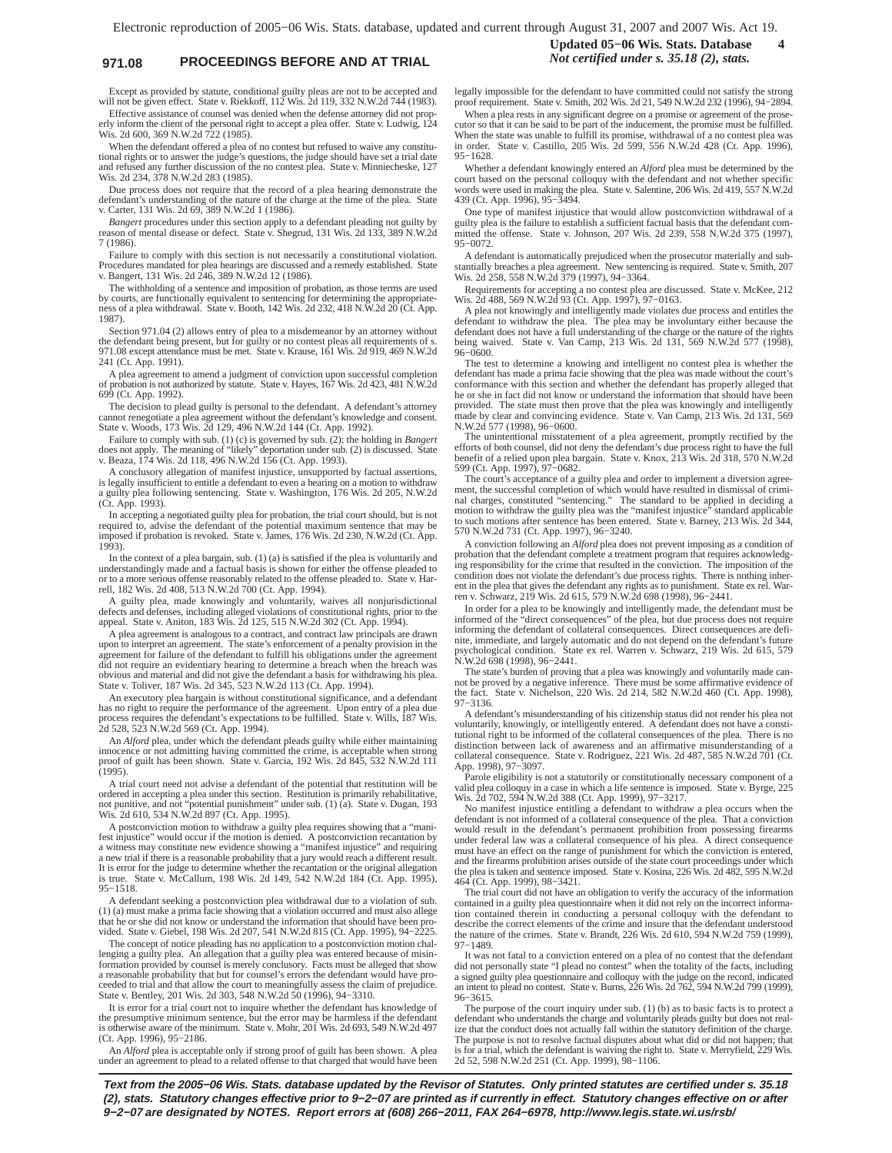# **971.08 PROCEEDINGS BEFORE AND AT TRIAL** *Not certified under s. 35.18 (2), stats.*

Except as provided by statute, conditional guilty pleas are not to be accepted and will not be given effect. State v. Riekkoff, 112 Wis. 2d 119, 332 N.W.2d 744 (1983).

Effective assistance of counsel was denied when the defense attorney did not properly inform the client of the personal right to accept a plea offer. State v. Ludwig, 124 Wis. 2d 600, 369 N.W.2d 722 (1985).

When the defendant offered a plea of no contest but refused to waive any constitutional rights or to answer the judge's questions, the judge should have set a trial date and refused any further discussion of the no contest plea. State v. Minniecheske, 127 Wis. 2d 234, 378 N.W.2d 283 (1985).

Due process does not require that the record of a plea hearing demonstrate the defendant's understanding of the nature of the charge at the time of the plea. State v. Carter, 131 Wis. 2d 69, 389 N.W.2d 1 (1986).

*Bangert* procedures under this section apply to a defendant pleading not guilty by reason of mental disease or defect. State v. Shegrud, 131 Wis. 2d 133, 389 N.W.2d 7 (1986).

Failure to comply with this section is not necessarily a constitutional violation. Procedures mandated for plea hearings are discussed and a remedy established. State v. Bangert, 131 Wis. 2d 246, 389 N.W.2d 12 (1986).

The withholding of a sentence and imposition of probation, as those terms are used by courts, are functionally equivalent to sentencing for determining the appropriate-ness of a plea withdrawal. State v. Booth, 142 Wis. 2d 232, 418 N.W.2d 20 (Ct. App. 1987).

Section 971.04 (2) allows entry of plea to a misdemeanor by an attorney without the defendant being present, but for guilty or no contest pleas all requirements of s 971.08 except attendance must be met. State v. Krause, 161 Wis. 2d 919, 469 N.W.2d 241 (Ct. App. 1991).

A plea agreement to amend a judgment of conviction upon successful completion of probation is not authorized by statute. State v. Hayes, 167 Wis. 2d 423, 481 N.W.2d 699 (Ct. App. 1992).

The decision to plead guilty is personal to the defendant. A defendant's attorney cannot renegotiate a plea agreement without the defendant's knowledge and consent. State v. Woods, 173 Wis. 2d 129, 496 N.W.2d 144 (Ct. App. 1992).

Failure to comply with sub. (1) (c) is governed by sub. (2); the holding in *Bangert* does not apply. The meaning of "likely" deportation under sub. (2) is discussed. State v. Beaza, 174 Wis. 2d 118, 496 N.W.2d 156 (Ct. App. 1993).

A conclusory allegation of manifest injustice, unsupported by factual assertions, is legally insufficient to entitle a defendant to even a hearing on a motion to withdraw a guilty plea following sentencing. State v. Washington, 176 Wis. 2d 205, N.W.2d (Ct. App. 1993).

In accepting a negotiated guilty plea for probation, the trial court should, but is not required to, advise the defendant of the potential maximum sentence that may be imposed if probation is revoked. State v. James, 176 Wis. 2d 230, N.W.2d (Ct. App.  $1993$ ).

In the context of a plea bargain, sub. (1) (a) is satisfied if the plea is voluntarily and understandingly made and a factual basis is shown for either the offense pleaded to or to a more serious offense reasonably related to the offense pleaded to. State v. Harrell, 182 Wis. 2d 408, 513 N.W.2d 700 (Ct. App. 1994).

A guilty plea, made knowingly and voluntarily, waives all nonjurisdictional defects and defenses, including alleged violations of constitutional rights, prior to the appeal. State v. Aniton, 183 Wis. 2d 125, 515 N.W.2d 302 (Ct. App. 1994).

A plea agreement is analogous to a contract, and contract law principals are drawn upon to interpret an agreement. The state's enforcement of a penalty provision in the agreement for failure of the defendant to fulfill his obligations under the agreement did not require an evidentiary hearing to determine a breach when the breach was obvious and material and did not give the defendant a basis for withdrawing his plea. State v. Toliver, 187 Wis. 2d 345, 523 N.W.2d 113 (Ct. App. 1994).

An executory plea bargain is without constitutional significance, and a defendant has no right to require the performance of the agreement. Upon entry of a plea due process requires the defendant's expectations to be fulfilled. State v. Wills, 187 Wis. 2d 528, 523 N.W.2d 569 (Ct. App. 1994).

An *Alford* plea, under which the defendant pleads guilty while either maintaining innocence or not admitting having committed the crime, is acceptable when strong proof of guilt has been shown. State v. Garcia, 192 Wis. 2  $(1995)$ .

A trial court need not advise a defendant of the potential that restitution will be ordered in accepting a plea under this section. Restitution is primarily rehabilitative, not punitive, and not "potential punishment" under sub. (1) (a). State v. Dugan, 193 Wis. 2d 610, 534 N.W.2d 897 (Ct. App. 1995).

A postconviction motion to withdraw a guilty plea requires showing that a "manifest injustice" would occur if the motion is denied. A postconviction recantation by a witness may constitute new evidence showing a "manifest injustice" and requiring a new trial if there is a reasonable probability that a jury would reach a different result. It is error for the judge to determine whether the recantation or the original allegation is true. State v. McCallum, 198 Wis. 2d 149, 542 N.W.2d 184 (Ct. App. 1995), 95−1518.

A defendant seeking a postconviction plea withdrawal due to a violation of sub. (1) (a) must make a prima facie showing that a violation occurred and must also allege that he or she did not know or understand the information that should have been pro-vided. State v. Giebel, 198 Wis. 2d 207, 541 N.W.2d 815 (Ct. App. 1995), 94−2225.

The concept of notice pleading has no application to a postconviction motion challenging a guilty plea. An allegation that a guilty plea was entered because of misin-formation provided by counsel is merely conclusory. Facts must be alleged that show a reasonable probability that but for counsel's errors the defendant would have proceeded to trial and that allow the court to meaningfully assess the claim of prejudice. State v. Bentley, 201 Wis. 2d 303, 548 N.W.2d 50 (1996), 94−3310.

It is error for a trial court not to inquire whether the defendant has knowledge of the presumptive minimum sentence, but the error may be harmless if the defendant is otherwise aware of the minimum. State v. Mohr, 201 Wis. 2d 693, 549 N.W.2d 497 (Ct. App. 1996), 95−2186.

An *Alford* plea is acceptable only if strong proof of guilt has been shown. A plea under an agreement to plead to a related offense to that charged that would have been

# **Updated 05−06 Wis. Stats. Database 4**

legally impossible for the defendant to have committed could not satisfy the strong proof requirement. State v. Smith, 202 Wis. 2d 21, 549 N.W.2d 232 (1996), 94−2894.

When a plea rests in any significant degree on a promise or agreement of the prose-<br>cutor so that it can be said to be part of the inducement, the promise must be fulfilled.<br>When the state was unable to fulfill its promise in order. State v. Castillo, 205 Wis. 2d 599, 556 N.W.2d 428 (Ct. App. 1996), 95−1628.

Whether a defendant knowingly entered an *Alford* plea must be determined by the court based on the personal colloquy with the defendant and not whether specific words were used in making the plea. State v. Salentine, 206 Wis. 2d 419, 557 N.W.2d 439 (Ct. App. 1996), 95−3494.

One type of manifest injustice that would allow postconviction withdrawal of a guilty plea is the failure to establish a sufficient factual basis that the defendant committed the offense. State v. Johnson, 207 Wis. 2d 239, 558 N.W.2d 375 (1997), 95−0072.

A defendant is automatically prejudiced when the prosecutor materially and substantially breaches a plea agreement. New sentencing is required. State v. Smith, 207 Wis. 2d 258, 558 N.W.2d 379 (1997), 94−3364.

Requirements for accepting a no contest plea are discussed. State v. McKee, 212 Wis. 2d 488, 569 N.W.2d 93 (Ct. App. 1997), 97−0163.

A plea not knowingly and intelligently made violates due process and entitles the defendant to withdraw the plea. The plea may be involuntary either because the defendant does not have a full understanding of the charge or the nature of the rights being waived. State v. Van Camp, 213 Wis. 2d 131, 569 N.W.2d 577 (1998), 96−0600.

The test to determine a knowing and intelligent no contest plea is whether the defendant has made a prima facie showing that the plea was made without the court's conformance with this section and whether the defendant has properly alleged that he or she in fact did not know or understand the information that should have been provided. The state must then prove that the plea was knowingly and intelligently made by clear and convincing evidence. State v. Van Camp, 213 Wis. 2d 131, 569 N.W.2d 577 (1998), 96−0600.

The unintentional misstatement of a plea agreement, promptly rectified by the efforts of both counsel, did not deny the defendant's due process right to have the full benefit of a relied upon plea bargain. State v. Knox, 213 Wis. 2d 318, 570 N.W.2d 599 (Ct. App. 1997), 97−0682.

The court's acceptance of a guilty plea and order to implement a diversion agreement, the successful completion of which would have resulted in dismissal of criminal charges, constituted "sentencing." The standard to be applied in deciding a motion to withdraw the guilty plea was the "manifest injusti to such motions after sentence has been entered. State v. Barney, 213 Wis. 2d 344, 570 N.W.2d 731 (Ct. App. 1997), 96−3240.

A conviction following an *Alford* plea does not prevent imposing as a condition of probation that the defendant complete a treatment program that requires acknowledg-ing responsibility for the crime that resulted in the conviction. The imposition of the condition does not violate the defendant's due process rights. There is nothing inherent in the plea that gives the defendant any rights as to punishment. State ex rel. War-ren v. Schwarz, 219 Wis. 2d 615, 579 N.W.2d 698 (1998), 96−2441.

In order for a plea to be knowingly and intelligently made, the defendant must be informed of the "direct consequences" of the plea, but due process does not require informing the defendant of collateral consequences. Direct consequences are definite, immediate, and largely automatic and do not depend on the defendant's future psychological condition. State ex rel. Warren v. Schwarz, 219 Wis. 2d 615, 579 N.W.2d 698 (1998), 96−2441.

The state's burden of proving that a plea was knowingly and voluntarily made cannot be proved by a negative inference. There must be some affirmative evidence of the fact. State v. Nichelson, 220 Wis. 2d 214, 582 N.W.2d 460 (Ct. App. 1998), 97−3136.

A defendant's misunderstanding of his citizenship status did not render his plea not voluntarily, knowingly, or intelligently entered. A defendant does not have a consti-tutional right to be informed of the collateral consequences of the plea. There is no distinction between lack of awareness and an affirmative misunderstanding of a collateral consequence. State v. Rodriguez, 221 Wis. 2d 487, 585 N.W.2d 701 (Ct. App. 1998), 97−3097.

Parole eligibility is not a statutorily or constitutionally necessary component of a valid plea colloquy in a case in which a life sentence is imposed. State v. Byrge, 225 Wis. 2d 702, 594 N.W.2d 388 (Ct. App. 1999), 97−3217.

No manifest injustice entitling a defendant to withdraw a plea occurs when the defendant is not informed of a collateral consequence of the plea. That a conviction would result in the defendant's permanent prohibition from possessing firearms under federal law was a collateral consequence of his plea. A direct consequence must have an effect on the range of punishment for which the conviction is entered, and the firearms prohibition arises outside of the state court proceedings under which the plea is taken and sentence imposed. State v. Kosina, 226 Wis. 2d 482, 595 N.W.2d 464 (Ct. App. 1999), 98−3421.

The trial court did not have an obligation to verify the accuracy of the information contained in a guilty plea questionnaire when it did not rely on the incorrect information contained therein in conducting a personal colloquy with the defendant to describe the correct elements of the crime and insure that the defendant understood the nature of the crimes. State v. Brandt, 226 Wis. 2d 610, 594 N.W.2d 759 (1999), 97−1489.

It was not fatal to a conviction entered on a plea of no contest that the defendant did not personally state "I plead no contest" when the totality of the facts, including a signed guilty plea questionnaire and colloquy with the judge on the record, indicated an intent to plead no contest. State v. Burns, 226 Wis. 2d 762, 594 N.W.2d 799 (1999), 96−3615.

The purpose of the court inquiry under sub. (1) (b) as to basic facts is to protect a defendant who understands the charge and voluntarily pleads guilty but does not realize that the conduct does not actually fall within the statutory definition of the charge. The purpose is not to resolve factual disputes about what did or did not happen; that is for a trial, which the defendant is waiving the right to. State v. Merryfield, 229 Wis. 2d 52, 598 N.W.2d 251 (Ct. App. 1999), 98−1106.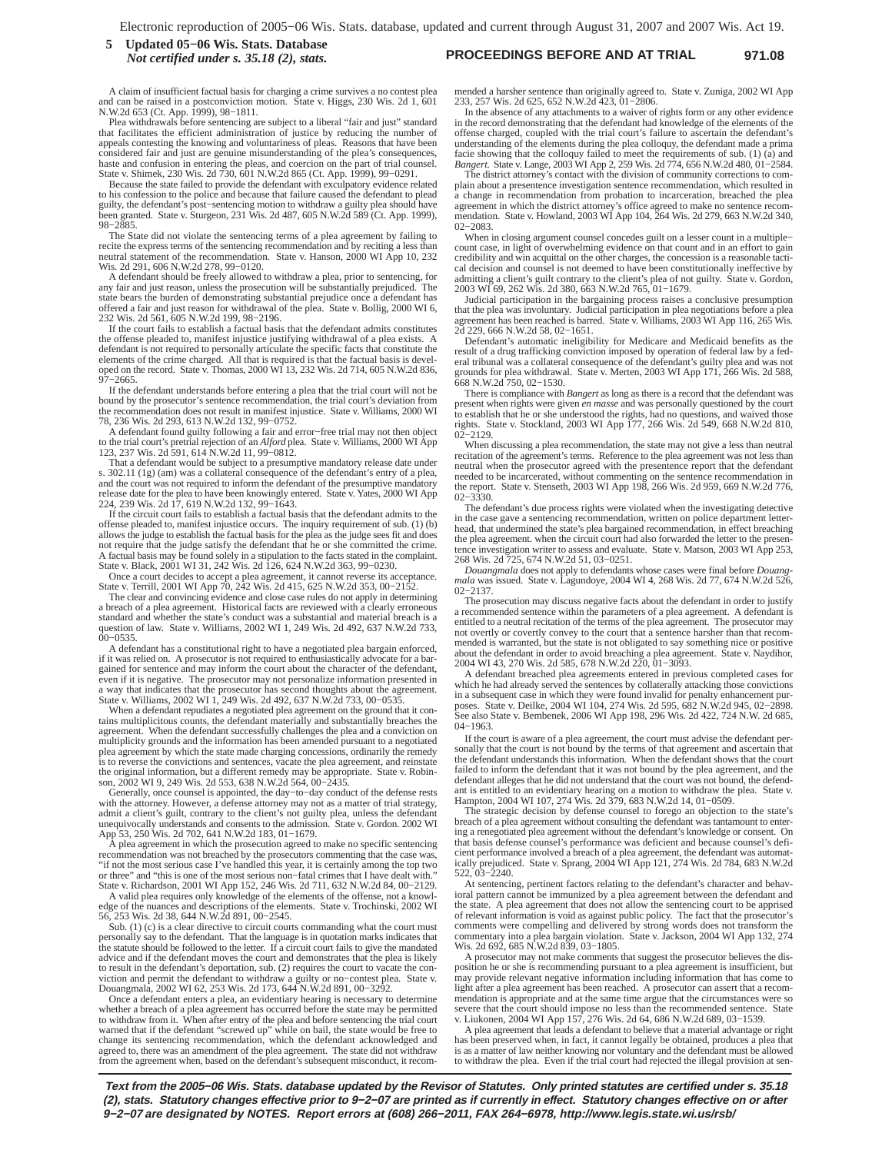#### **PROCEEDINGS BEFORE AND AT TRIAL 971.08 5 Updated 05−06 Wis. Stats. Database** *Not certified under s. 35.18 (2), stats.*

A claim of insufficient factual basis for charging a crime survives a no contest ple and can be raised in a postconviction motion. State v. Higgs, 230 Wis. 2d 1, 601 N.W.2d 653 (Ct. App. 1999), 98−1811.

Plea withdrawals before sentencing are subject to a liberal "fair and just" standard that facilitates the efficient administration of justice by reducing the number of appeals contesting the knowing and voluntariness of pleas. Reasons that have been considered fair and just are genuine misunderstanding of haste and confusion in entering the pleas, and coercion on the part of trial counsel. State v. Shimek, 230 Wis. 2d 730, 601 N.W.2d 865 (Ct. App. 1999), 99−0291.

Because the state failed to provide the defendant with exculpatory evidence related to his confession to the police and because that failure caused the defendant to plead guilty, the defendant's post−sentencing motion to withdraw a guilty plea should have been granted. State v. Sturgeon, 231 Wis. 2d 487, 605 N.W.2d 589 (Ct. App. 1999), 98−2885.

The State did not violate the sentencing terms of a plea agreement by failing to recite the express terms of the sentencing recommendation and by reciting a less than neutral statement of the recommendation. State v. Hanson, 2000 WI App 10, 232 Wis. 2d 291, 606 N.W.2d 278, 99−0120.

A defendant should be freely allowed to withdraw a plea, prior to sentencing, for any fair and just reason, unless the prosecution will be substantially prejudiced. The state bears the burden of demonstrating substantial prejudice once a defendant has offered a fair and just reason for withdrawal of the plea. State v. Bollig, 2000 WI 6, 232 Wis. 2d 561, 605 N.W.2d 199, 98−2196.

If the court fails to establish a factual basis that the defendant admits constitutes the offense pleaded to, manifest injustice justifying withdrawal of a plea exists. A defendant is not required to personally articulate the specific facts that constitute the elements of the crime charged. All that is requ

If the defendant understands before entering a plea that the trial court will not be bound by the prosecutor's sentence recommendation, the trial court's deviation from the recommendation does not result in manifest injustice. State v. Williams, 2000 WI 78, 236 Wis. 2d 293, 613 N.W.2d 132, 99−0752.

A defendant found guilty following a fair and error−free trial may not then object to the trial court's pretrial rejection of an *Alford* plea. State v. Williams, 2000 WI App 123, 237 Wis. 2d 591, 614 N.W.2d 11, 99−0812.

That a defendant would be subject to a presumptive mandatory release date under s. 302.11 (1g) (am) was a collateral consequence of the defendant's entry of a plea, and the court was not required to inform the defendant of the presumptive mandatory release date for the plea to have been knowingly entered. State v. Yates, 2000 WI App 224, 239 Wis. 2d 17, 619 N.W.2d 132, 99−1643.

If the circuit court fails to establish a factual basis that the defendant admits to the offense pleaded to, manifest injustice occurs. The inquiry requirement of sub. (1) (b) allows the judge to establish the factual basis for the plea as the judge sees fit and does not require that the judge satisfy the defendant that he or she committed the crime. A factual basis may be found solely in a stipulation to the facts stated in the complaint. State v. Black, 2001 WI 31, 242 Wis. 2d 126, 624 N.W.2d 363, 99−0230.

Once a court decides to accept a plea agreement, it cannot reverse its acceptance.<br>State v. Terrill, 2001 WI App 70, 242 Wis. 2d 415, 625 N.W.2d 353, 00–2152.<br>The clear and convincing evidence and close case rules do not a

standard and whether the state's conduct was a substantial and material breach is a question of law. State v. Williams, 2002 WI 1, 249 Wis. 2d 492, 637 N.W.2d 733, 00−0535.

A defendant has a constitutional right to have a negotiated plea bargain enforced, if it was relied on. A prosecutor is not required to enthusiastically advocate for a bar-gained for sentence and may inform the court about the character of the defendant, even if it is negative. The prosecutor may not personalize information presented in a way that indicates that the prosecutor has second thoughts about the agreement. State v. Williams, 2002 WI 1, 249 Wis. 2d 492, 637 N.W.2d 733, 00−0535.

When a defendant repudiates a negotiated plea agreement on the ground that it contains multiplicitous counts, the defendant materially and substantially breaches the agreement. When the defendant successfully challenges the plea and a conviction on multiplicity grounds and the information has been amended pursuant to a negotiated plea agreement by which the state made charging concessions, ordinarily the remedy is to reverse the convictions and sentences, vacate the plea agreement, and reinstate the original information, but a different remedy may be appropriate. State v. Robinson, 2002 WI 9, 249 Wis. 2d 553, 638 N.W.2d 564, 00−2435.

Generally, once counsel is appointed, the day−to−day conduct of the defense rests with the attorney. However, a defense attorney may not as a matter of trial strategy, admit a client's guilt, contrary to the client's not guilty plea, unless the defendant unequivocally understands and consents to the admission. State v. Gordon. 2002 WI App 53, 250 Wis. 2d 702, 641 N.W.2d 183, 01−1679.

A plea agreement in which the prosecution agreed to make no specific sentencing recommendation was not breached by the prosecutors commenting that the case was, "if not the most serious case I've handled this year, it is certainly among the top two

or three" and "this is one of the most serious non-fatal crimes that I have dealt with."<br>State v. Richardson, 2001 WI App 152, 246 Wis. 2d 711, 632 N.W.2d 84, 00-2129.<br>A valid plea requires only knowledge of the elements o 56, 253 Wis. 2d 38, 644 N.W.2d 891, 00−2545. Sub. (1) (c) is a clear directive to circuit courts commanding what the court must

personally say to the defendant. That the language is in quotation marks indicates that the statute should be followed to the letter. If a circuit court fails to give the mandated advice and if the defendant moves the court and demonstrates that the plea is likely to result in the defendant's deportation, sub. (2) requires the court to vacate the conviction and permit the defendant to withdraw a guilty or no−contest plea. State v. Douangmala, 2002 WI 62, 253 Wis. 2d 173, 644 N.W.2d 891, 00−3292.

Once a defendant enters a plea, an evidentiary hearing is necessary to determine whether a breach of a plea agreement has occurred before the state may be permitted<br>to withdraw from it. When after entry of the plea and before sentencing the trial court<br>warned that if the defendant "screwed up" while on change its sentencing recommendation, which the defendant acknowledged and agreed to, there was an amendment of the plea agreement. The state did not withdraw from the agreement when, based on the defendant's subsequent misconduct, it recommended a harsher sentence than originally agreed to. State v. Zuniga, 2002 WI App 233, 257 Wis. 2d 625, 652 N.W.2d 423, 01−2806. In the absence of any attachments to a waiver of rights form or any other evidence

in the record demonstrating that the defendant had knowledge of the elements of the offense charged, coupled with the trial court's failure to ascertain the defendant's understanding of the elements during the plea colloquy, the defendant made a prima facie showing that the colloquy failed to meet the requirements of sub. (1) (a) and *Bangert.* State v. Lange, 2003 WI App 2, 259 Wis. 2d 774, 656 N.W.2d 480, 01−2584.

The district attorney's contact with the division of community corrections to complain about a presentence investigation sentence recommendation, which resulted in a change in recommendation from probation to incarceration, breached the plea agreement in which the district attorney's office agreed to make no sentence recom-mendation. State v. Howland, 2003 WI App 104, 264 Wis. 2d 279, 663 N.W.2d 340, 02−2083.

When in closing argument counsel concedes guilt on a lesser count in a multiple− count case, in light of overwhelming evidence on that count and in an effort to gain credibility and win acquittal on the other charges, the concession is a reasonable tactical decision and counsel is not deemed to have been constitutionally ineffective by admitting a client's guilt contrary to the client's plea of not guilty. State v. Gordon, 2003 WI 69, 262 Wis. 2d 380, 663 N.W.2d 765, 01−1679.

Judicial participation in the bargaining process raises a conclusive presumption that the plea was involuntary. Judicial participation in plea negotiations before a plea ement has been reached is barred. State v. Williams, 2003 WI App 116, 265 Wis. 2d 229, 666 N.W.2d 58, 02−1651.

Defendant's automatic ineligibility for Medicare and Medicaid benefits as the result of a drug trafficking conviction imposed by operation of federal law by a federal tribunal was a collateral consequence of the defendant's guilty plea and was not grounds for plea withdrawal. State v. Merten, 2003 W 668 N.W.2d 750, 02−1530.

There is compliance with *Bangert* as long as there is a record that the defendant was present when rights were given *en masse* and was personally questioned by the court to establish that he or she understood the rights, had no questions, and waived those rights. State v. Stockland, 2003 WI App 177, 266 Wis. 2d 549, 668 N.W.2d 810, 02−2129.

When discussing a plea recommendation, the state may not give a less than neutral recitation of the agreement's terms. Reference to the plea agreement was not less than neutral when the prosecutor agreed with the presentence report that the defendant<br>needed to be incarcerated, without commenting on the sentence recommendation in<br>the report. State v. Stenseth, 2003 WI App 198, 266 Wis. 2d 02−3330.

The defendant's due process rights were violated when the investigating detective in the case gave a sentencing recommendation, written on police department letter-head, that undermined the state's plea bargained recommendation, in effect breaching the plea agreement. when the circuit court had also forwarded the letter to the presen-tence investigation writer to assess and evaluate. State v. Matson, 2003 WI App 253, 268 Wis. 2d 725, 674 N.W.2d 51, 03−0251.

*Douangmala* does not apply to defendants whose cases were final before *Douang-mala* was issued. State v. Lagundoye, 2004 WI 4, 268 Wis. 2d 77, 674 N.W.2d 526, 02−2137.

The prosecution may discuss negative facts about the defendant in order to justify a recommended sentence within the parameters of a plea agreement. A defendant is entitled to a neutral recitation of the terms of the plea agreement. The prosecutor may not overtly or covertly convey to the court that a sentence harsher than that recommended is warranted, but the state is not obligated to say something nice or positive about the defendant in order to avoid breaching a plea agreement. State v. Naydihor, 2004 WI 43, 270 Wis. 2d 585, 678 N.W.2d 220, 01−3093.

A defendant breached plea agreements entered in previous completed cases for which he had already served the sentences by collaterally attacking those convictions in a subsequent case in which they were found invalid for penalty enhancement pur-poses. State v. Deilke, 2004 WI 104, 274 Wis. 2d 595, 682 N.W.2d 945, 02−2898. See also State v. Bembenek, 2006 WI App 198, 296 Wis. 2d 422, 724 N.W. 2d 685, 04−1963.

If the court is aware of a plea agreement, the court must advise the defendant personally that the court is not bound by the terms of that agreement and ascertain that the defendant understands this information. When the defendant shows that the court failed to inform the defendant that it was not bound by the plea agreement, and the defendant alleges that he did not understand that the court was not bound, the defendant is entitled to an evidentiary hearing on a motion to withdraw the plea. State v.

Hampton, 2004 WI 107, 274 Wis. 2d 379, 683 N.W.2d 14, 01−0509. The strategic decision by defense counsel to forego an objection to the state's breach of a plea agreement without consulting the defendant was tantamount to entering a renegotiated plea agreement without the defendant's knowledge or consent. On that basis defense counsel's performance was deficient and because counsel's deficient performance involved a breach of a plea agreement, the defendant was automatically prejudiced. State v. Sprang, 2004 WI App 121, 274 Wis. 2d 784, 683 N.W.2d 522, 03−2240.

At sentencing, pertinent factors relating to the defendant's character and behavioral pattern cannot be immunized by a plea agreement between the defendant and the state. A plea agreement that does not allow the sentencing court to be apprised of relevant information is void as against public policy. The fact that the prosecutor's comments were compelling and delivered by strong words does not transform the commentary into a plea bargain violation. State v. Jackson, 2004 WI App 132, 274 Wis. 2d 692, 685 N.W.2d 839, 03−1805.

A prosecutor may not make comments that suggest the prosecutor believes the dis-position he or she is recommending pursuant to a plea agreement is insufficient, but may provide relevant negative information including information that has come to light after a plea agreement has been reached. A prosecutor can assert that a recommendation is appropriate and at the same time argue that the circumstances were so severe that the court should impose no less than the recommended sentence. State<br>v. Liukonen, 2004 WI App 157, 276 Wis. 2d 64, 686 N.W.2d 689, 03–1539.<br>A plea agreement that leads a defendant to believe that a material adv

has been preserved when, in fact, it cannot legally be obtained, produces a plea that is as a matter of law neither knowing nor voluntary and the defendant must be allowed to withdraw the plea. Even if the trial court had rejected the illegal provision at sen-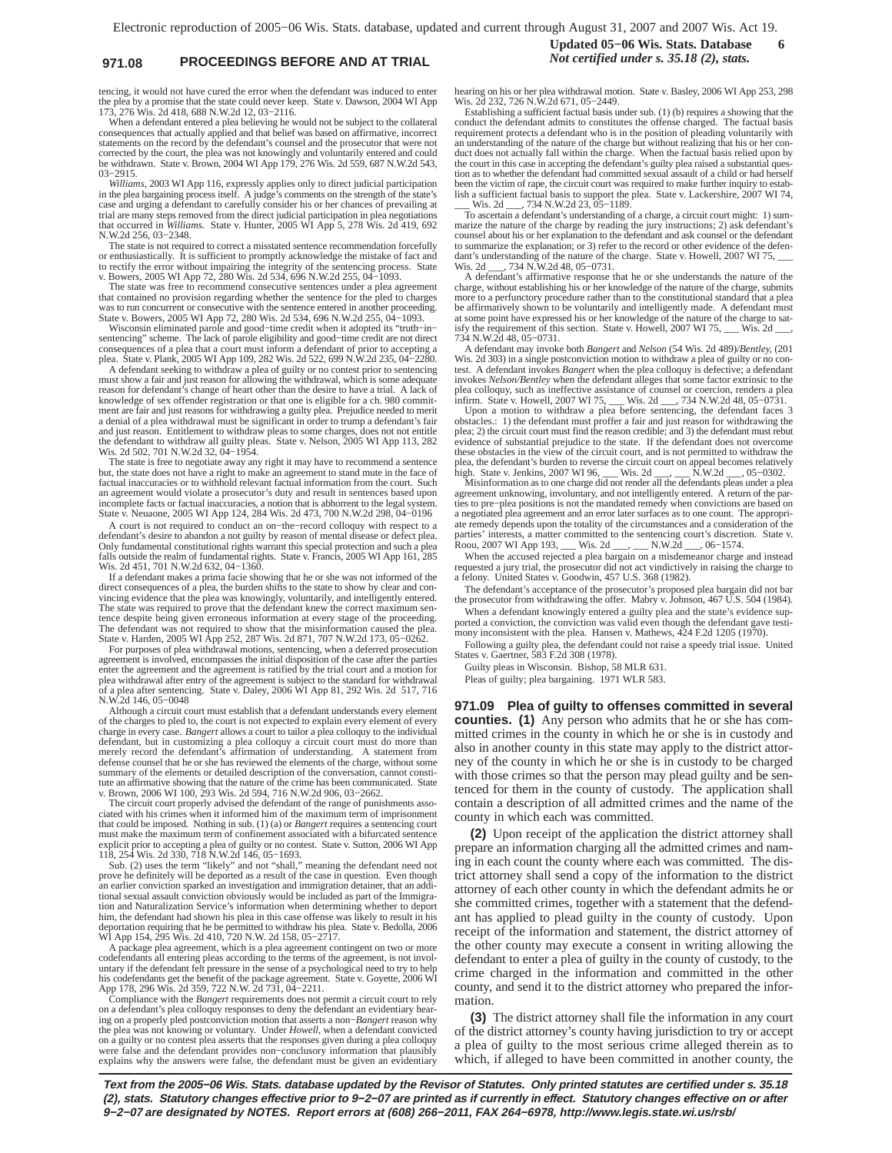# **971.08 PROCEEDINGS BEFORE AND AT TRIAL** *Not certified under s. 35.18 (2), stats.*

tencing, it would not have cured the error when the defendant was induced to enter the plea by a promise that the state could never keep. State v. Dawson, 2004 WI App 173, 276 Wis. 2d 418, 688 N.W.2d 12, 03−2116.

When a defendant entered a plea believing he would not be subject to the collateral consequences that actually applied and that belief was based on affirmative, incorrect statements on the record by the defendant's counsel and the prosecutor that were not corrected by the court, the plea was not knowingly and voluntarily entered and could be withdrawn. State v. Brown, 2004 WI App 179, 276 Wis. 2d 559, 687 N.W.2d 543, 03−2915.

*Williams,* 2003 WI App 116*,* expressly applies only to direct judicial participation in the plea bargaining process itself. A judge's comments on the strength of the state's case and urging a defendant to carefully consider his or her chances of prevailing at trial are many steps removed from the direct judicial participation in plea negotiations that occurred in *Williams*. State v. Hunter, 2005 WI App 5, 278 Wis. 2d 419, 692 N.W.2d 256, 03−2348.

The state is not required to correct a misstated sentence recommendation forcefully or enthusiastically. It is sufficient to promptly acknowledge the mistake of fact and to rectify the error without impairing the integrity of the sentencing process. State v. Bowers, 2005 WI App 72, 280 Wis. 2d 534, 696 N.W.2d 255, 04−1093.

The state was free to recommend consecutive sentences under a plea agreement that contained no provision regarding whether the sentence for the pled to charges was to run concurrent or consecutive with the sentence entered in another proceeding. State v. Bowers, 2005 WI App 72, 280 Wis. 2d 534, 696 N.W.2d 255, 04−1093.

Wisconsin eliminated parole and good−time credit when it adopted its "truth−in− sentencing" scheme. The lack of parole eligibility and good−time credit are not direct consequences of a plea that a court must inform a defendant of prior to accepting a plea. State v. Plank, 2005 WI App 109, 282 Wis. 2d 522, 699 N.W.2d 235, 04−2280.

A defendant seeking to withdraw a plea of guilty or no contest prior to sentencing must show a fair and just reason for allowing the withdrawal, which is some adequate reason for defendant's change of heart other than the desire to have a trial. A lack of knowledge of sex offender registration or that one is eligible for a ch. 980 commitment are fair and just reasons for withdrawing a guilty plea. Prejudice needed to merit a denial of a plea withdrawal must be significant in order to trump a defendant's fair and just reason. Entitlement to withdraw pleas to some charges, does not not entitle the defendant to withdraw all guilty pleas. State v. Nelson, 2005 WI App 113, 282

Wis. 2d 502, 701 N.W.2d 32, 04–1954.<br>The state is free to negotiate away any right it may have to recommend a sentence but, the state does not have a right to make an agreement to stand mute in the face of factual inaccuracies or to withhold relevant factual information from the court. Such an agreement would violate a prosecutor's duty and result in sentences based upon incomplete facts or factual inaccuracies, a notion that is abhorrent to the legal system. State v. Neuaone, 2005 WI App 124, 284 Wis. 2d 473, 700 N.W.2d 298, 04−0196

A court is not required to conduct an on−the−record colloquy with respect to a defendant's desire to abandon a not guilty by reason of mental disease or defect plea. Only fundamental constitutional rights warrant this special protection and such a plea falls outside the realm of fundamental rights. State v. Francis, 2005 WI App 161, 285 Wis. 2d 451, 701 N.W.2d 632, 04–1360.

If a defendant makes a prima facie showing that he or she was not informed of the direct consequences of a plea, the burden shifts to the state to show by clear and convincing evidence that the plea was knowingly, voluntarily, and intelligently entered.<br>The state was required to prove that the defendant knew the correct maximum sen-<br>tence despite being given erroneous information at ever The defendant was not required to show that the misinformation caused the plea. State v. Harden, 2005 WI App 252, 287 Wis. 2d 871, 707 N.W.2d 173, 05−0262.

For purposes of plea withdrawal motions, sentencing, when a deferred prosecution agreement is involved, encompasses the initial disposition of the case after the parties enter the agreement and the agreement is ratified by the trial court and a motion for<br>plea withdrawal after entry of the agreement is subject to the standard for withdrawal<br>of a plea after sentencing. State v. Daley, 2006 N.W.2d 146, 05−0048

Although a circuit court must establish that a defendant understands every element of the charges to pled to, the court is not expected to explain every element of every charge in every case. *Bangert* allows a court to tailor a plea colloquy to the individual defendant, but in customizing a plea colloquy a circuit court must do more than<br>merely record the defendant's affirmation of understanding. A statement from<br>defense counsel that he or she has reviewed the elements of the c summary of the elements or detailed description of the conversation, cannot constitute an affirmative showing that the nature of the crime has been communicated. State

v. Brown, 2006 WI 100, 293 Wis. 2d 594, 716 N.W.2d 906, 03−2662. The circuit court properly advised the defendant of the range of punishments associated with his crimes when it informed him of the maximum term of imprisonment that could be imposed. Nothing in sub. (1) (a) or *Bangert* requires a sentencing court must make the maximum term of confinement associated with a bifurcated sentence explicit prior to accepting a plea of guilty or no contest. State v. Sutton, 2006 WI App<br>118, 254 Wis. 2d 330, 718 N.W.2d 146, 05−1693.<br>Sub. (2) uses the term "likely" and not "shall," meaning the defendant need not

prove he definitely will be deported as a result of the case in question. Even though an earlier conviction sparked an investigation and immigration detainer, that an addi-<br>tional sexual assault conviction obviously would be included as part of the Immigra-<br>tion and Naturalization Service's information when him, the defendant had shown his plea in this case offense was likely to result in his deportation requiring that he be permitted to withdraw his plea. State v. Bedolla, 2006 WI App 154, 295 Wis. 2d 410, 720 N.W. 2d 158, 0

A package plea agreement, which is a plea agreement contingent on two or more codefendants all entering pleas according to the terms of the agreement, is not involuntary if the defendant felt pressure in the sense of a psychological need to try to help his codefendants get the benefit of the package agreement. State v. Goyette, 2006 WI<br>App 178, 296 Wis. 2d 359, 722 N.W. 2d 731, 04–2211.<br>Compliance with the *Bangert* requirements does not permit a circuit court to rely

on a defendant's plea colloquy responses to deny the defendant an evidentiary hearing on a properly pled postconviction motion that asserts a non-*Bangert* reason why the plea was not knowing or voluntary. Under *Howell*, on a guilty or no contest plea asserts that the responses given during a plea colloquy were false and the defendant provides non−conclusory information that plausibly explains why the answers were false, the defendant must be given an evidentiary **Updated 05−06 Wis. Stats. Database 6**

hearing on his or her plea withdrawal motion. State v. Basley, 2006 WI App 253, 298 Wis. 2d 232, 726 N.W.2d 671, 05−2449.

Establishing a sufficient factual basis under sub. (1) (b) requires a showing that the conduct the defendant admits to constitutes the offense charged. The factual basis requirement protects a defendant who is in the position of pleading voluntarily with an understanding of the nature of the charge but without realizing that his or her conduct does not actually fall within the charge. When the factual basis relied upon by the court in this case in accepting the defendant's guilty plea raised a substantial ques-tion as to whether the defendant had committed sexual assault of a child or had herself been the victim of rape, the circuit court was required to make further inquiry to establish a sufficient factual basis to support the plea. State v. Lackershire, 2007 WI 74, \_\_\_ Wis. 2d \_\_\_, 734 N.W.2d 23, 05−1189.

To ascertain a defendant's understanding of a charge, a circuit court might: 1) summarize the nature of the charge by reading the jury instructions; 2) ask defendant's counsel about his or her explanation to the defendant and ask counsel or the defendant to summarize the explanation; or 3) refer to the record or other evidence of the defendant's understanding of the nature of the charge. State v. Howell, 2007 WI 75, \_\_\_ Wis. 2d \_\_\_, 734 N.W.2d 48, 05−0731.

A defendant's affirmative response that he or she understands the nature of the charge, without establishing his or her knowledge of the nature of the charge, submits more to a perfunctory procedure rather than to the constitutional standard that a plea be affirmatively shown to be voluntarily and intelligently made. A defendant must at some point have expressed his or her knowledge of the nature of the charge to sat-<br>isfy the requirement of this section. State v. Howell, 2007 WI 75, wis. 2d ... isfy the requirement of this section. State v. Howell, 2007 WI 75, \_\_\_ Wis. 2d \_\_\_, 734 N.W.2d 48, 05−0731.

A defendant may invoke both *Bangert* and *Nelson* (54 Wis. 2d 489)*/Bentley,* (201 Wis. 2d 303) in a single postconviction motion to withdraw a plea of guilty or no contest. A defendant invokes *Bangert* when the plea colloquy is defective; a defendant invokes *Nelson/Bentley* when the defendant alleges that some factor extrinsic to the plea colloquy, such as ineffective assistance of counsel or coercion, renders a plea<br>infirm. State v. Howell, 2007 WI 75, Wis. 2d \_\_, 734 N.W.2d 48, 05–0731. infirm. State v. Howell, 2007 WI 75, \_\_\_ Wis. 2d \_\_\_, 734 N.W.2d 48, 05−0731. Upon a motion to withdraw a plea before sentencing, the defendant faces 3

obstacles.: 1) the defendant must proffer a fair and just reason for withdrawing the plea; 2) the circuit court must find the reason credible; and 3) the defendant must rebut evidence of substantial prejudice to the state. If the defendant does not overcome these obstacles in the view of the circuit court, and is not permitted to withdraw the plea, the defendant's burden to reverse the circuit court on appeal becomes relatively high. State v. Jenkins, 2007 WI 96, \_\_\_ Wis. 2d \_\_\_, \_\_\_ N.W.2d \_\_\_, 05–0302.

Misinformation as to one charge did not render all the defendants pleas under a plea agreement unknowing, involuntary, and not intelligently entered. A return of the par-ties to pre−plea positions is not the mandated remedy when convictions are based on a negotiated plea agreement and an error later surfaces as to one count. The appropriate remedy depends upon the totality of the circumstances and a consideration of the parties' interests, a matter committed to the sentencing court's discretion. State v. Roou, 2007 WI App 193, \_\_\_ Wis. 2d \_\_\_, \_\_\_ N.W.2d \_\_\_, 06−1574.

When the accused rejected a plea bargain on a misdemeanor charge and instead requested a jury trial, the prosecutor did not act vindictively in raising the charge to a felony. United States v. Goodwin, 457 U.S. 368 (1982).

The defendant's acceptance of the prosecutor's proposed plea bargain did not bar the prosecutor from withdrawing the offer. Mabry v. Johnson, 467 U.S. 504 (1984).

When a defendant knowingly entered a guilty plea and the state's evidence sup-ported a conviction, the conviction was valid even though the defendant gave testi-

mony inconsistent with the plea. Hansen v. Mathews, 424 F.2d 1205 (1970). Following a guilty plea, the defendant could not raise a speedy trial issue. United States v. Gaertner, 583 F.2d 308 (1978).

Guilty pleas in Wisconsin. Bishop, 58 MLR 631.

Pleas of guilty; plea bargaining. 1971 WLR 583.

**971.09 Plea of guilty to offenses committed in several counties. (1)** Any person who admits that he or she has committed crimes in the county in which he or she is in custody and also in another county in this state may apply to the district attorney of the county in which he or she is in custody to be charged with those crimes so that the person may plead guilty and be sentenced for them in the county of custody. The application shall contain a description of all admitted crimes and the name of the county in which each was committed.

**(2)** Upon receipt of the application the district attorney shall prepare an information charging all the admitted crimes and naming in each count the county where each was committed. The district attorney shall send a copy of the information to the district attorney of each other county in which the defendant admits he or she committed crimes, together with a statement that the defendant has applied to plead guilty in the county of custody. Upon receipt of the information and statement, the district attorney of the other county may execute a consent in writing allowing the defendant to enter a plea of guilty in the county of custody, to the crime charged in the information and committed in the other county, and send it to the district attorney who prepared the information.

**(3)** The district attorney shall file the information in any court of the district attorney's county having jurisdiction to try or accept a plea of guilty to the most serious crime alleged therein as to which, if alleged to have been committed in another county, the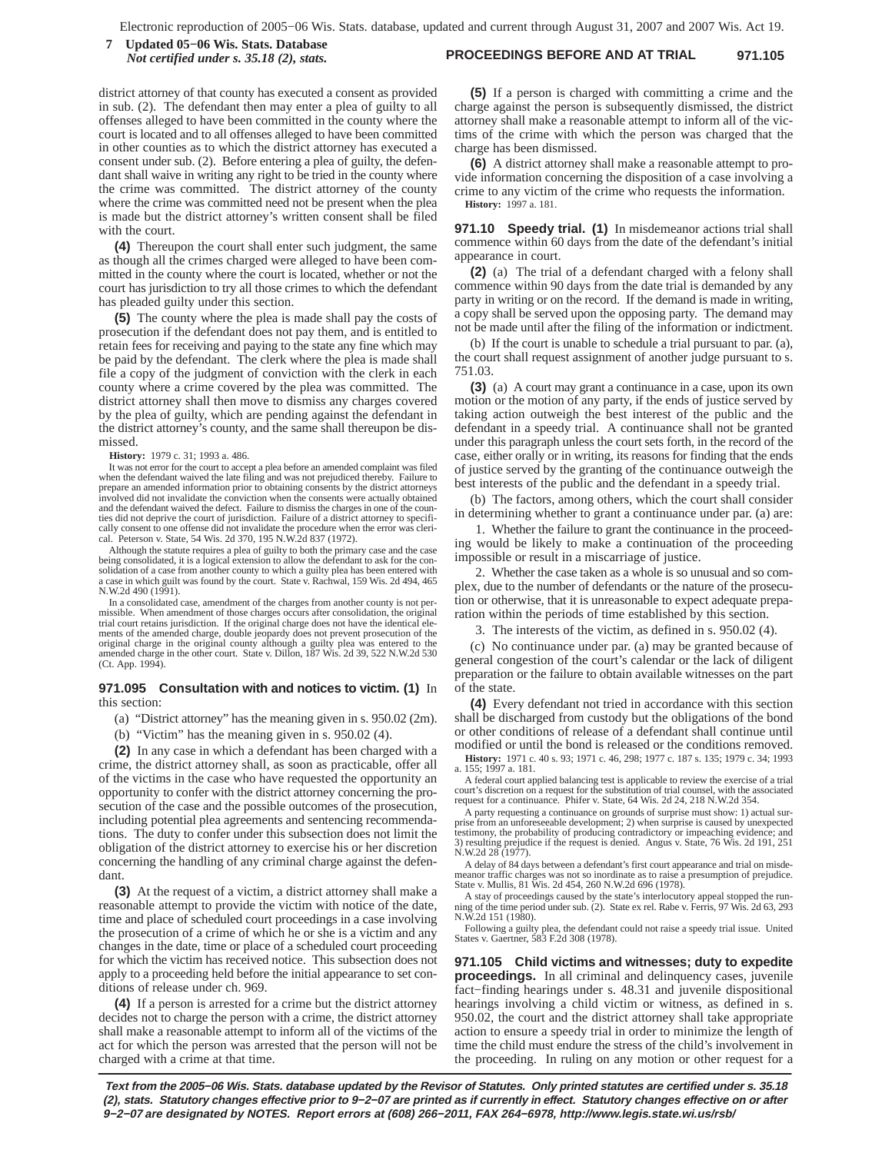### **PROCEEDINGS BEFORE AND AT TRIAL 971.105 7 Updated 05−06 Wis. Stats. Database** *Not certified under s. 35.18 (2), stats.*

district attorney of that county has executed a consent as provided in sub. (2). The defendant then may enter a plea of guilty to all offenses alleged to have been committed in the county where the court is located and to all offenses alleged to have been committed in other counties as to which the district attorney has executed a consent under sub. (2). Before entering a plea of guilty, the defendant shall waive in writing any right to be tried in the county where the crime was committed. The district attorney of the county where the crime was committed need not be present when the plea is made but the district attorney's written consent shall be filed with the court.

**(4)** Thereupon the court shall enter such judgment, the same as though all the crimes charged were alleged to have been committed in the county where the court is located, whether or not the court has jurisdiction to try all those crimes to which the defendant has pleaded guilty under this section.

**(5)** The county where the plea is made shall pay the costs of prosecution if the defendant does not pay them, and is entitled to retain fees for receiving and paying to the state any fine which may be paid by the defendant. The clerk where the plea is made shall file a copy of the judgment of conviction with the clerk in each county where a crime covered by the plea was committed. The district attorney shall then move to dismiss any charges covered by the plea of guilty, which are pending against the defendant in the district attorney's county, and the same shall thereupon be dismissed.

**History:** 1979 c. 31; 1993 a. 486.

It was not error for the court to accept a plea before an amended complaint was filed when the defendant waived the late filing and was not prejudiced thereby. Failure to prepare an amended information prior to obtaining consents by the district attorneys involved did not invalidate the conviction when the consents were actually obtained and the defendant waived the defect. Failure to dismiss the charges in one of the counties did not deprive the court of jurisdiction. Failure of a district attorney to specifically consent to one offense did not invalidate the procedure when the error was cleri-cal. Peterson v. State, 54 Wis. 2d 370, 195 N.W.2d 837 (1972).

Although the statute requires a plea of guilty to both the primary case and the case being consolidated, it is a logical extension to allow the defendant to ask for the consolidation of a case from another county to which a guilty plea has been entered with a case in which guilt was found by the court. State v. Rachwal, 159 Wis. 2d 494, 465 N.W.2d 490 (1991).

In a consolidated case, amendment of the charges from another county is not permissible. When amendment of those charges occurs after consolidation, the original trial court retains jurisdiction. If the original charge does not have the identical elements of the amended charge, double jeopardy does not prevent prosecution of the original charge in the original county although a guilty plea was entered to the amended charge in the other court. State v. Dillon, 187 Wis. 2d 39, 522 N.W.2d 530 (Ct. App. 1994).

**971.095 Consultation with and notices to victim. (1)** In this section:

(a) "District attorney" has the meaning given in s. 950.02 (2m).

(b) "Victim" has the meaning given in s. 950.02 (4).

**(2)** In any case in which a defendant has been charged with a crime, the district attorney shall, as soon as practicable, offer all of the victims in the case who have requested the opportunity an opportunity to confer with the district attorney concerning the prosecution of the case and the possible outcomes of the prosecution, including potential plea agreements and sentencing recommendations. The duty to confer under this subsection does not limit the obligation of the district attorney to exercise his or her discretion concerning the handling of any criminal charge against the defendant.

**(3)** At the request of a victim, a district attorney shall make a reasonable attempt to provide the victim with notice of the date, time and place of scheduled court proceedings in a case involving the prosecution of a crime of which he or she is a victim and any changes in the date, time or place of a scheduled court proceeding for which the victim has received notice. This subsection does not apply to a proceeding held before the initial appearance to set conditions of release under ch. 969.

**(4)** If a person is arrested for a crime but the district attorney decides not to charge the person with a crime, the district attorney shall make a reasonable attempt to inform all of the victims of the act for which the person was arrested that the person will not be charged with a crime at that time.

**(5)** If a person is charged with committing a crime and the charge against the person is subsequently dismissed, the district attorney shall make a reasonable attempt to inform all of the victims of the crime with which the person was charged that the charge has been dismissed.

**(6)** A district attorney shall make a reasonable attempt to provide information concerning the disposition of a case involving a crime to any victim of the crime who requests the information. **History:** 1997 a. 181.

**971.10 Speedy trial. (1)** In misdemeanor actions trial shall commence within 60 days from the date of the defendant's initial appearance in court.

**(2)** (a) The trial of a defendant charged with a felony shall commence within 90 days from the date trial is demanded by any party in writing or on the record. If the demand is made in writing, a copy shall be served upon the opposing party. The demand may not be made until after the filing of the information or indictment.

(b) If the court is unable to schedule a trial pursuant to par. (a), the court shall request assignment of another judge pursuant to s. 751.03.

**(3)** (a) A court may grant a continuance in a case, upon its own motion or the motion of any party, if the ends of justice served by taking action outweigh the best interest of the public and the defendant in a speedy trial. A continuance shall not be granted under this paragraph unless the court sets forth, in the record of the case, either orally or in writing, its reasons for finding that the ends of justice served by the granting of the continuance outweigh the best interests of the public and the defendant in a speedy trial.

(b) The factors, among others, which the court shall consider in determining whether to grant a continuance under par. (a) are:

1. Whether the failure to grant the continuance in the proceeding would be likely to make a continuation of the proceeding impossible or result in a miscarriage of justice.

2. Whether the case taken as a whole is so unusual and so complex, due to the number of defendants or the nature of the prosecution or otherwise, that it is unreasonable to expect adequate preparation within the periods of time established by this section.

3. The interests of the victim, as defined in s. 950.02 (4).

(c) No continuance under par. (a) may be granted because of general congestion of the court's calendar or the lack of diligent preparation or the failure to obtain available witnesses on the part of the state.

**(4)** Every defendant not tried in accordance with this section shall be discharged from custody but the obligations of the bond or other conditions of release of a defendant shall continue until modified or until the bond is released or the conditions removed.

**History:** 1971 c. 40 s. 93; 1971 c. 46, 298; 1977 c. 187 s. 135; 1979 c. 34; 1993 a. 155; 1997 a. 181.

A federal court applied balancing test is applicable to review the exercise of a trial<br>court's discretion on a request for the substitution of trial counsel, with the associated<br>request for a continuance. Phifer v. State,

A party requesting a continuance on grounds of surprise must show: 1) actual surprise from an unforeseeable development; 2) when surprise is caused by unexpected testimony, the probability of producing contradictory or impeaching evidence; and 3) resulting prejudice if the request is denied. Angus v. State, 76 Wis. 2d 191, 251 N.W.2d 28 (1977).

A delay of 84 days between a defendant's first court appearance and trial on misdemeanor traffic charges was not so inordinate as to raise a presumption of prejudice. State v. Mullis, 81 Wis. 2d 454, 260 N.W.2d 696 (1978).

A stay of proceedings caused by the state's interlocutory appeal stopped the running of the time period under sub. (2). State ex rel. Rabe v. Ferris, 97 Wis. 2d 63, 293 N.W.2d 151 (1980).

Following a guilty plea, the defendant could not raise a speedy trial issue. United States v. Gaertner, 583 F.2d 308 (1978).

**971.105 Child victims and witnesses; duty to expedite proceedings.** In all criminal and delinquency cases, juvenile fact−finding hearings under s. 48.31 and juvenile dispositional hearings involving a child victim or witness, as defined in s. 950.02, the court and the district attorney shall take appropriate action to ensure a speedy trial in order to minimize the length of time the child must endure the stress of the child's involvement in the proceeding. In ruling on any motion or other request for a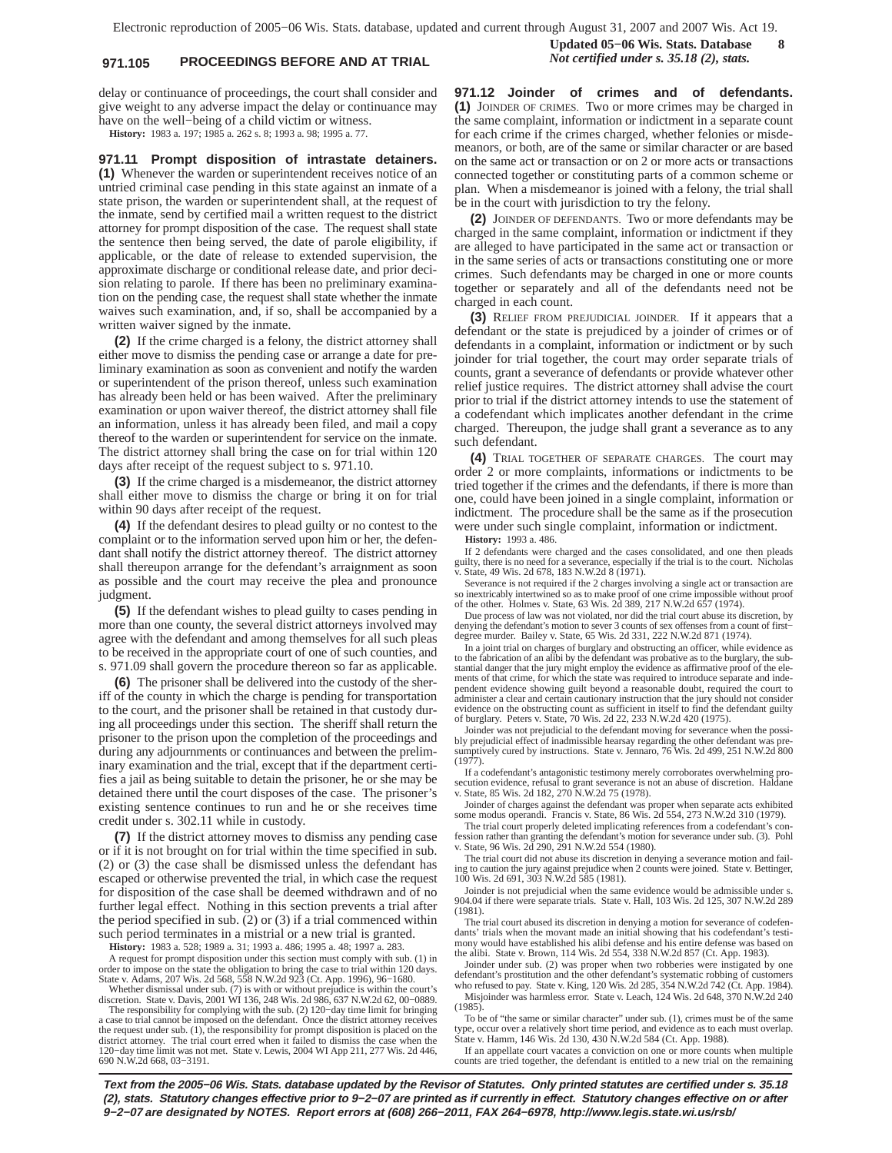# **971.105 PROCEEDINGS BEFORE AND AT TRIAL** *Not certified under s. 35.18 (2), stats.*

**Updated 05−06 Wis. Stats. Database 8**

delay or continuance of proceedings, the court shall consider and give weight to any adverse impact the delay or continuance may have on the well−being of a child victim or witness.

**History:** 1983 a. 197; 1985 a. 262 s. 8; 1993 a. 98; 1995 a. 77.

**971.11 Prompt disposition of intrastate detainers. (1)** Whenever the warden or superintendent receives notice of an untried criminal case pending in this state against an inmate of a state prison, the warden or superintendent shall, at the request of the inmate, send by certified mail a written request to the district attorney for prompt disposition of the case. The request shall state the sentence then being served, the date of parole eligibility, if applicable, or the date of release to extended supervision, the approximate discharge or conditional release date, and prior decision relating to parole. If there has been no preliminary examination on the pending case, the request shall state whether the inmate waives such examination, and, if so, shall be accompanied by a written waiver signed by the inmate.

**(2)** If the crime charged is a felony, the district attorney shall either move to dismiss the pending case or arrange a date for preliminary examination as soon as convenient and notify the warden or superintendent of the prison thereof, unless such examination has already been held or has been waived. After the preliminary examination or upon waiver thereof, the district attorney shall file an information, unless it has already been filed, and mail a copy thereof to the warden or superintendent for service on the inmate. The district attorney shall bring the case on for trial within 120 days after receipt of the request subject to s. 971.10.

**(3)** If the crime charged is a misdemeanor, the district attorney shall either move to dismiss the charge or bring it on for trial within 90 days after receipt of the request.

**(4)** If the defendant desires to plead guilty or no contest to the complaint or to the information served upon him or her, the defendant shall notify the district attorney thereof. The district attorney shall thereupon arrange for the defendant's arraignment as soon as possible and the court may receive the plea and pronounce judgment.

**(5)** If the defendant wishes to plead guilty to cases pending in more than one county, the several district attorneys involved may agree with the defendant and among themselves for all such pleas to be received in the appropriate court of one of such counties, and s. 971.09 shall govern the procedure thereon so far as applicable.

**(6)** The prisoner shall be delivered into the custody of the sheriff of the county in which the charge is pending for transportation to the court, and the prisoner shall be retained in that custody during all proceedings under this section. The sheriff shall return the prisoner to the prison upon the completion of the proceedings and during any adjournments or continuances and between the preliminary examination and the trial, except that if the department certifies a jail as being suitable to detain the prisoner, he or she may be detained there until the court disposes of the case. The prisoner's existing sentence continues to run and he or she receives time credit under s. 302.11 while in custody.

**(7)** If the district attorney moves to dismiss any pending case or if it is not brought on for trial within the time specified in sub. (2) or (3) the case shall be dismissed unless the defendant has escaped or otherwise prevented the trial, in which case the request for disposition of the case shall be deemed withdrawn and of no further legal effect. Nothing in this section prevents a trial after the period specified in sub. (2) or (3) if a trial commenced within such period terminates in a mistrial or a new trial is granted.

**History:** 1983 a. 528; 1989 a. 31; 1993 a. 486; 1995 a. 48; 1997 a. 283.

A request for prompt disposition under this section must comply with sub. (1) in order to impose on the state the obligation to bring the case to trial within 120 days. State v. Adams, 207 Wis. 2d 568, 558 N.W.2d 923 (Ct. App. 1996), 96−1680.

Whether dismissal under sub. (7) is with or without prejudice is within the court's discretion. State v. Davis, 2001 WI 136, 248 Wis. 2d 986, 637 N.W.2d 62, 00−0889. The responsibility for complying with the sub. (2) 120−day time limit for bringing a case to trial cannot be imposed on the defendant. Once the district attorney receives the request under sub. (1), the responsibility for prompt disposition is placed on the district attorney. The trial court erred when it failed to dismiss the case when the 120−day time limit was not met. State v. Lewis, 2004 WI App 211, 277 Wis. 2d 446, 690 N.W.2d 668, 03−3191.

**971.12 Joinder of crimes and of defendants. (1)** JOINDER OF CRIMES. Two or more crimes may be charged in the same complaint, information or indictment in a separate count for each crime if the crimes charged, whether felonies or misdemeanors, or both, are of the same or similar character or are based on the same act or transaction or on 2 or more acts or transactions connected together or constituting parts of a common scheme or plan. When a misdemeanor is joined with a felony, the trial shall be in the court with jurisdiction to try the felony.

**(2)** JOINDER OF DEFENDANTS. Two or more defendants may be charged in the same complaint, information or indictment if they are alleged to have participated in the same act or transaction or in the same series of acts or transactions constituting one or more crimes. Such defendants may be charged in one or more counts together or separately and all of the defendants need not be charged in each count.

**(3)** RELIEF FROM PREJUDICIAL JOINDER. If it appears that a defendant or the state is prejudiced by a joinder of crimes or of defendants in a complaint, information or indictment or by such joinder for trial together, the court may order separate trials of counts, grant a severance of defendants or provide whatever other relief justice requires. The district attorney shall advise the court prior to trial if the district attorney intends to use the statement of a codefendant which implicates another defendant in the crime charged. Thereupon, the judge shall grant a severance as to any such defendant.

**(4)** TRIAL TOGETHER OF SEPARATE CHARGES. The court may order 2 or more complaints, informations or indictments to be tried together if the crimes and the defendants, if there is more than one, could have been joined in a single complaint, information or indictment. The procedure shall be the same as if the prosecution were under such single complaint, information or indictment.

**History:** 1993 a. 486.

If 2 defendants were charged and the cases consolidated, and one then pleads guilty, there is no need for a severance, especially if the trial is to the court. Nicholas v. State, 49 Wis. 2d 678, 183 N.W.2d 8 (1971).

Severance is not required if the 2 charges involving a single act or transaction are so inextricably intertwined so as to make proof of one crime impossible without proof of the other. Holmes v. State, 63 Wis. 2d 389, 217 N.W.2d 657 (1974).

Due process of law was not violated, nor did the trial court abuse its discretion, by denying the defendant's motion to sever 3 counts of sex offenses from a count of first− degree murder. Bailey v. State, 65 Wis. 2d 331, 222 N.W.2d 871 (1974).

In a joint trial on charges of burglary and obstructing an officer, while evidence as to the fabrication of an alibi by the defendant was probative as to the burglary, the substantial danger that the jury might employ the evidence as affirmative proof of the elements of that crime, for which the state was required to introduce separate and independent evidence showing guilt beyond a reasonable doubt, required the court to administer a clear and certain cautionary instruction that the jury should not consider evidence on the obstructing count as sufficient in itself to find the defendant guilty of burglary. Peters v. State, 70 Wis. 2d 22, 233 N.W.2d 420 (1975).

Joinder was not prejudicial to the defendant moving for severance when the possibly prejudicial effect of inadmissible hearsay regarding the other defendant was pre-sumptively cured by instructions. State v. Jennaro, 76 Wis. 2d 499, 251 N.W.2d 800  $(1977)$ .

If a codefendant's antagonistic testimony merely corroborates overwhelming prosecution evidence, refusal to grant severance is not an abuse of discretion. Haldane v. State, 85 Wis. 2d 182, 270 N.W.2d 75 (1978).

Joinder of charges against the defendant was proper when separate acts exhibited some modus operandi. Francis v. State, 86 Wis. 2d 554, 273 N.W.2d 310 (1979).

The trial court properly deleted implicating references from a codefendant's confession rather than granting the defendant's motion for severance under sub. (3). Pohl v. State, 96 Wis. 2d 290, 291 N.W.2d 554 (1980).

The trial court did not abuse its discretion in denying a severance motion and failing to caution the jury against prejudice when 2 counts were joined. State v. Bettinger, 100 Wis. 2d 691, 303 N.W.2d 585 (1981).

Joinder is not prejudicial when the same evidence would be admissible under s. 904.04 if there were separate trials. State v. Hall, 103 Wis. 2d 125, 307 N.W.2d 289 (1981).

The trial court abused its discretion in denying a motion for severance of codefendants' trials when the movant made an initial showing that his codefendant's testimony would have established his alibi defense and his entire defense was based on the alibi. State v. Brown, 114 Wis. 2d 554, 338 N.W.2d 857 (Ct. App. 1983).

Joinder under sub. (2) was proper when two robberies were instigated by one defendant's prostitution and the other defendant's systematic robbing of customers who refused to pay. State v. King, 120 Wis. 2d 285, 354 N.W.2d 742 (Ct. App. 1984).

Misjoinder was harmless error. State v. Leach, 124 Wis. 2d 648, 370 N.W.2d 240 (1985). To be of "the same or similar character" under sub. (1), crimes must be of the same

type, occur over a relatively short time period, and evidence as to each must overlap. State v. Hamm, 146 Wis. 2d 130, 430 N.W.2d 584 (Ct. App. 1988).

If an appellate court vacates a conviction on one or more counts when multiple counts are tried together, the defendant is entitled to a new trial on the remaining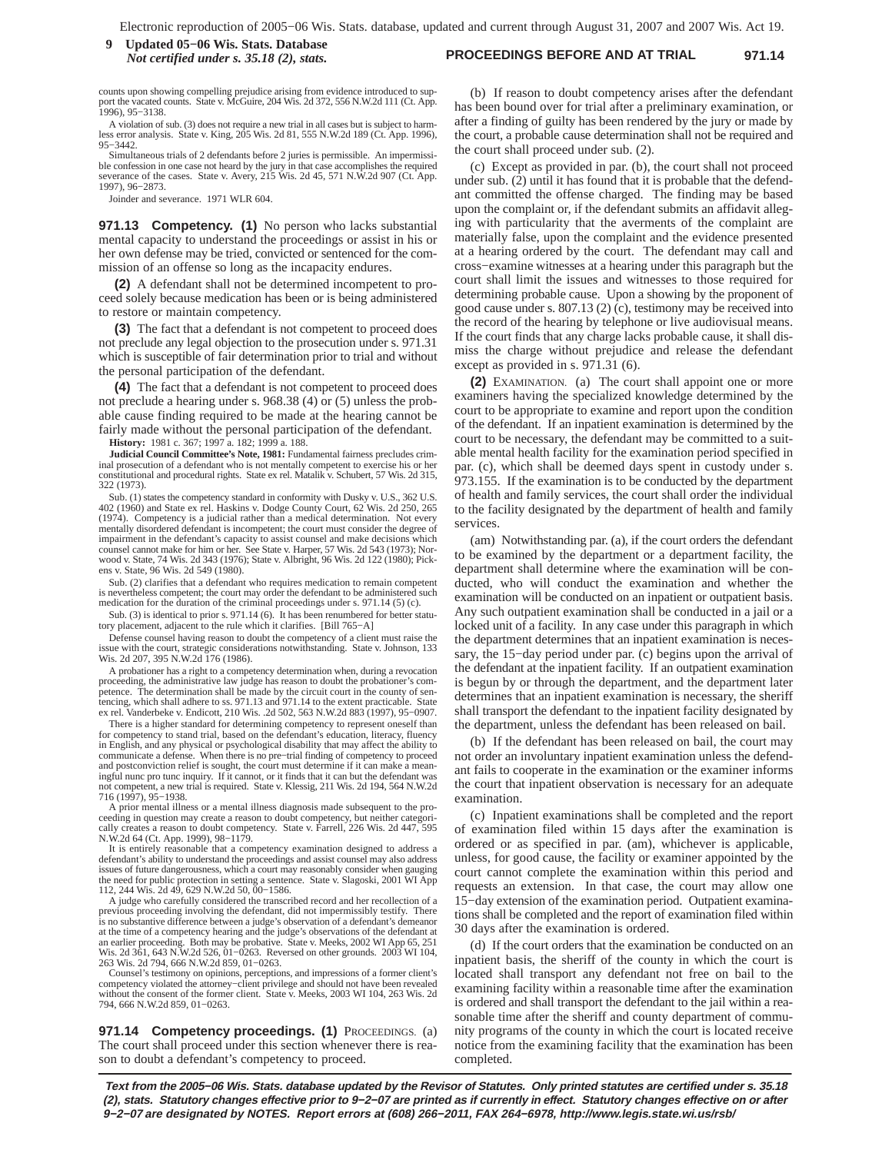#### **Proceed 85–06 Wis. Stats. Database**<br>*Not certified under s* 35.18 (2), stats. **PROCEEDINGS BEFORE AND AT TRIAL** 971.14 *Not certified under s. 35.18 (2), stats.*

counts upon showing compelling prejudice arising from evidence introduced to sup-port the vacated counts. State v. McGuire, 204 Wis. 2d 372, 556 N.W.2d 111 (Ct. App. 1996), 95−3138.

A violation of sub. (3) does not require a new trial in all cases but is subject to harmless error analysis. State v. King, 205 Wis. 2d 81, 555 N.W.2d 189 (Ct. App. 1996), 95−3442.

Simultaneous trials of 2 defendants before 2 juries is permissible. An impermissi-ble confession in one case not heard by the jury in that case accomplishes the required severance of the cases. State v. Avery, 215 Wis. 2d 45, 571 N.W.2d 907 (Ct. App. 1997), 96−2873.

Joinder and severance. 1971 WLR 604.

**971.13 Competency. (1)** No person who lacks substantial mental capacity to understand the proceedings or assist in his or her own defense may be tried, convicted or sentenced for the commission of an offense so long as the incapacity endures.

**(2)** A defendant shall not be determined incompetent to proceed solely because medication has been or is being administered to restore or maintain competency.

**(3)** The fact that a defendant is not competent to proceed does not preclude any legal objection to the prosecution under s. 971.31 which is susceptible of fair determination prior to trial and without the personal participation of the defendant.

**(4)** The fact that a defendant is not competent to proceed does not preclude a hearing under s. 968.38 (4) or (5) unless the probable cause finding required to be made at the hearing cannot be fairly made without the personal participation of the defendant.

**History:** 1981 c. 367; 1997 a. 182; 1999 a. 188.

**Judicial Council Committee's Note, 1981:** Fundamental fairness precludes criminal prosecution of a defendant who is not mentally competent to exercise his or her constitutional and procedural rights. State ex rel. Matalik v. Schubert, 57 Wis. 2d 315, 322 (1973).

Sub. (1) states the competency standard in conformity with Dusky v. U.S., 362 U.S. 402 (1960) and State ex rel. Haskins v. Dodge County Court, 62 Wis. 2d 250, 265 (1974). Competency is a judicial rather than a medical determination. Not every mentally disordered defendant is incompetent; the court must consider the degree of impairment in the defendant's capacity to assist counsel and make decisions which counsel cannot make for him or her. See State v. Harper, 57 Wis. 2d 543 (1973); Norwood v. State, 74 Wis. 2d 343 (1976); State v. Albright, 96 Wis. 2d 122 (1980); Pick-ens v. State, 96 Wis. 2d 549 (1980).

Sub. (2) clarifies that a defendant who requires medication to remain competent is nevertheless competent; the court may order the defendant to be administered such medication for the duration of the criminal proceedings under s. 971.14 (5) (c).

Sub. (3) is identical to prior s. 971.14 (6). It has been renumbered for better statutory placement, adjacent to the rule which it clarifies. [Bill 765−A]

Defense counsel having reason to doubt the competency of a client must raise the issue with the court, strategic considerations notwithstanding. State v. Johnson, 133 Wis. 2d 207, 395 N.W.2d 176 (1986).

A probationer has a right to a competency determination when, during a revocation proceeding, the administrative law judge has reason to doubt the probationer's com-petence. The determination shall be made by the circuit court in the county of sentencing, which shall adhere to ss. 971.13 and 971.14 to the extent practicable. State ex rel. Vanderbeke v. Endicott, 210 Wis. .2d 502, 563 N.W.2d 883 (1997), 95−0907.

There is a higher standard for determining competency to represent oneself than for competency to stand trial, based on the defendant's education, literacy, fluency in English, and any physical or psychological disability that may affect the ability to communicate a defense. When there is no pre−trial finding of competency to proceed and postconviction relief is sought, the court must determine if it can make a mean-ingful nunc pro tunc inquiry. If it cannot, or it finds that it can but the defendant was not competent, a new trial is required. State v. Klessig, 211 Wis. 2d 194, 564 N.W.2d 716 (1997), 95−1938.

A prior mental illness or a mental illness diagnosis made subsequent to the proceeding in question may create a reason to doubt competency, but neither categorically creates a reason to doubt competency. State v. Farrell, 226 Wis. 2d 447, 595 N.W.2d 64 (Ct. App. 1999), 98−1179.

It is entirely reasonable that a competency examination designed to address a defendant's ability to understand the proceedings and assist counsel may also address issues of future dangerousness, which a court may reasonably consider when gauging the need for public protection in setting a sentence. State v. Slagoski, 2001 WI App 112, 244 Wis. 2d 49, 629 N.W.2d 50, 00−1586.

A judge who carefully considered the transcribed record and her recollection of a previous proceeding involving the defendant, did not impermissibly testify. There is no substantive difference between a judge's observation of a defendant's demeanor at the time of a competency hearing and the judge's observations of the defendant at an earlier proceeding. Both may be probative. State v. Meeks, 2002 WI App 65, 251 2d 361, 643 N.W.2d 526, 01-0263. Reversed on other grounds. 2003 WI 104, 263 Wis. 2d 794, 666 N.W.2d 859, 01−0263.

Counsel's testimony on opinions, perceptions, and impressions of a former client's competency violated the attorney−client privilege and should not have been revealed without the consent of the former client. State v. Meeks, 2003 WI 104, 263 Wis. 2d 794, 666 N.W.2d 859, 01−0263.

971.14 Competency proceedings. (1) PROCEEDINGS. (a) The court shall proceed under this section whenever there is reason to doubt a defendant's competency to proceed.

(b) If reason to doubt competency arises after the defendant has been bound over for trial after a preliminary examination, or after a finding of guilty has been rendered by the jury or made by the court, a probable cause determination shall not be required and the court shall proceed under sub. (2).

(c) Except as provided in par. (b), the court shall not proceed under sub. (2) until it has found that it is probable that the defendant committed the offense charged. The finding may be based upon the complaint or, if the defendant submits an affidavit alleging with particularity that the averments of the complaint are materially false, upon the complaint and the evidence presented at a hearing ordered by the court. The defendant may call and cross−examine witnesses at a hearing under this paragraph but the court shall limit the issues and witnesses to those required for determining probable cause. Upon a showing by the proponent of good cause under s. 807.13 (2) (c), testimony may be received into the record of the hearing by telephone or live audiovisual means. If the court finds that any charge lacks probable cause, it shall dismiss the charge without prejudice and release the defendant except as provided in s. 971.31 (6).

**(2)** EXAMINATION. (a) The court shall appoint one or more examiners having the specialized knowledge determined by the court to be appropriate to examine and report upon the condition of the defendant. If an inpatient examination is determined by the court to be necessary, the defendant may be committed to a suitable mental health facility for the examination period specified in par. (c), which shall be deemed days spent in custody under s. 973.155. If the examination is to be conducted by the department of health and family services, the court shall order the individual to the facility designated by the department of health and family services.

(am) Notwithstanding par. (a), if the court orders the defendant to be examined by the department or a department facility, the department shall determine where the examination will be conducted, who will conduct the examination and whether the examination will be conducted on an inpatient or outpatient basis. Any such outpatient examination shall be conducted in a jail or a locked unit of a facility. In any case under this paragraph in which the department determines that an inpatient examination is necessary, the 15−day period under par. (c) begins upon the arrival of the defendant at the inpatient facility. If an outpatient examination is begun by or through the department, and the department later determines that an inpatient examination is necessary, the sheriff shall transport the defendant to the inpatient facility designated by the department, unless the defendant has been released on bail.

(b) If the defendant has been released on bail, the court may not order an involuntary inpatient examination unless the defendant fails to cooperate in the examination or the examiner informs the court that inpatient observation is necessary for an adequate examination.

(c) Inpatient examinations shall be completed and the report of examination filed within 15 days after the examination is ordered or as specified in par. (am), whichever is applicable, unless, for good cause, the facility or examiner appointed by the court cannot complete the examination within this period and requests an extension. In that case, the court may allow one 15−day extension of the examination period. Outpatient examinations shall be completed and the report of examination filed within 30 days after the examination is ordered.

(d) If the court orders that the examination be conducted on an inpatient basis, the sheriff of the county in which the court is located shall transport any defendant not free on bail to the examining facility within a reasonable time after the examination is ordered and shall transport the defendant to the jail within a reasonable time after the sheriff and county department of community programs of the county in which the court is located receive notice from the examining facility that the examination has been completed.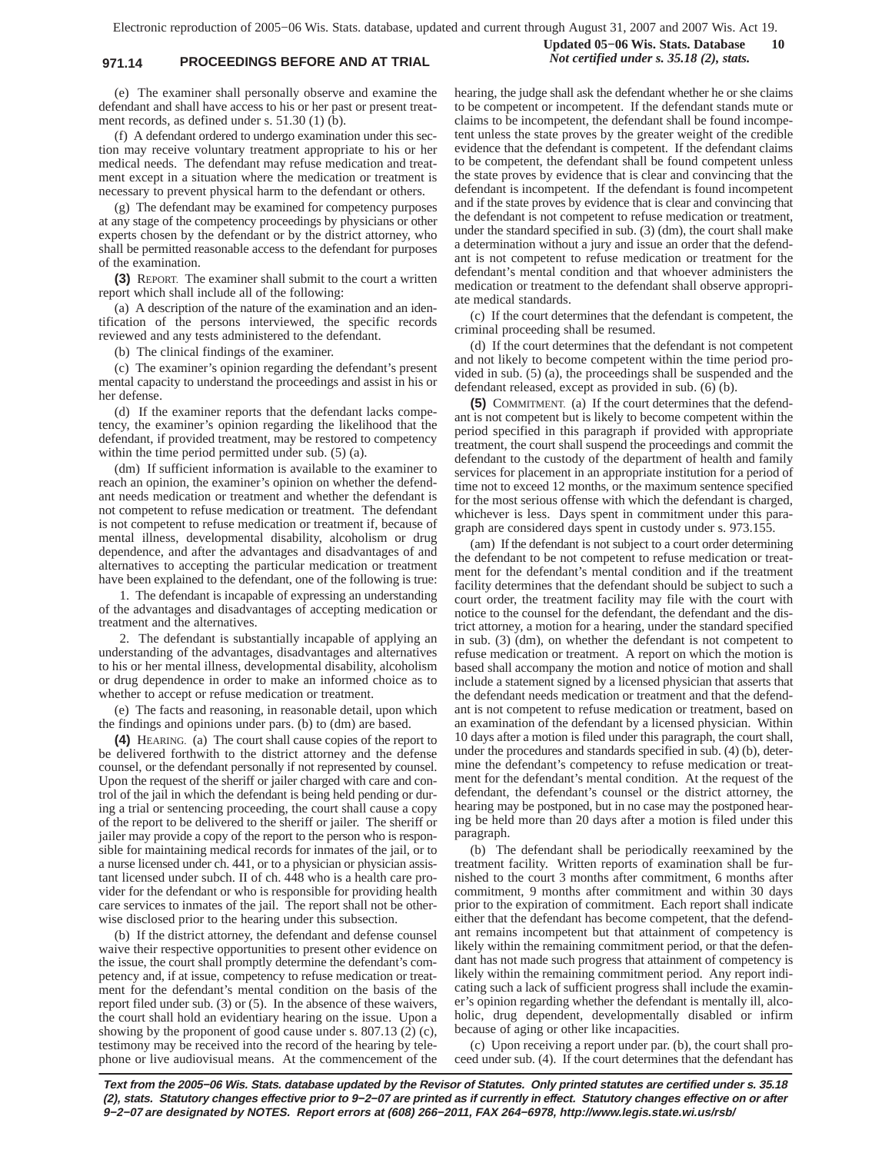# **971.14 PROCEEDINGS BEFORE AND AT TRIAL** *Not certified under s. 35.18 (2), stats.*

(e) The examiner shall personally observe and examine the defendant and shall have access to his or her past or present treatment records, as defined under s. 51.30 (1) (b).

(f) A defendant ordered to undergo examination under this section may receive voluntary treatment appropriate to his or her medical needs. The defendant may refuse medication and treatment except in a situation where the medication or treatment is necessary to prevent physical harm to the defendant or others.

(g) The defendant may be examined for competency purposes at any stage of the competency proceedings by physicians or other experts chosen by the defendant or by the district attorney, who shall be permitted reasonable access to the defendant for purposes of the examination.

**(3)** REPORT. The examiner shall submit to the court a written report which shall include all of the following:

(a) A description of the nature of the examination and an identification of the persons interviewed, the specific records reviewed and any tests administered to the defendant.

(b) The clinical findings of the examiner.

(c) The examiner's opinion regarding the defendant's present mental capacity to understand the proceedings and assist in his or her defense.

(d) If the examiner reports that the defendant lacks competency, the examiner's opinion regarding the likelihood that the defendant, if provided treatment, may be restored to competency within the time period permitted under sub. (5) (a).

(dm) If sufficient information is available to the examiner to reach an opinion, the examiner's opinion on whether the defendant needs medication or treatment and whether the defendant is not competent to refuse medication or treatment. The defendant is not competent to refuse medication or treatment if, because of mental illness, developmental disability, alcoholism or drug dependence, and after the advantages and disadvantages of and alternatives to accepting the particular medication or treatment have been explained to the defendant, one of the following is true:

1. The defendant is incapable of expressing an understanding of the advantages and disadvantages of accepting medication or treatment and the alternatives.

2. The defendant is substantially incapable of applying an understanding of the advantages, disadvantages and alternatives to his or her mental illness, developmental disability, alcoholism or drug dependence in order to make an informed choice as to whether to accept or refuse medication or treatment.

(e) The facts and reasoning, in reasonable detail, upon which the findings and opinions under pars. (b) to (dm) are based.

**(4)** HEARING. (a) The court shall cause copies of the report to be delivered forthwith to the district attorney and the defense counsel, or the defendant personally if not represented by counsel. Upon the request of the sheriff or jailer charged with care and control of the jail in which the defendant is being held pending or during a trial or sentencing proceeding, the court shall cause a copy of the report to be delivered to the sheriff or jailer. The sheriff or jailer may provide a copy of the report to the person who is responsible for maintaining medical records for inmates of the jail, or to a nurse licensed under ch. 441, or to a physician or physician assistant licensed under subch. II of ch. 448 who is a health care provider for the defendant or who is responsible for providing health care services to inmates of the jail. The report shall not be otherwise disclosed prior to the hearing under this subsection.

(b) If the district attorney, the defendant and defense counsel waive their respective opportunities to present other evidence on the issue, the court shall promptly determine the defendant's competency and, if at issue, competency to refuse medication or treatment for the defendant's mental condition on the basis of the report filed under sub. (3) or (5). In the absence of these waivers, the court shall hold an evidentiary hearing on the issue. Upon a showing by the proponent of good cause under s. 807.13 (2) (c), testimony may be received into the record of the hearing by telephone or live audiovisual means. At the commencement of the hearing, the judge shall ask the defendant whether he or she claims to be competent or incompetent. If the defendant stands mute or claims to be incompetent, the defendant shall be found incompetent unless the state proves by the greater weight of the credible evidence that the defendant is competent. If the defendant claims to be competent, the defendant shall be found competent unless the state proves by evidence that is clear and convincing that the defendant is incompetent. If the defendant is found incompetent and if the state proves by evidence that is clear and convincing that the defendant is not competent to refuse medication or treatment, under the standard specified in sub. (3) (dm), the court shall make a determination without a jury and issue an order that the defendant is not competent to refuse medication or treatment for the defendant's mental condition and that whoever administers the medication or treatment to the defendant shall observe appropriate medical standards.

**Updated 05−06 Wis. Stats. Database 10**

(c) If the court determines that the defendant is competent, the criminal proceeding shall be resumed.

(d) If the court determines that the defendant is not competent and not likely to become competent within the time period provided in sub. (5) (a), the proceedings shall be suspended and the defendant released, except as provided in sub. (6) (b).

**(5)** COMMITMENT. (a) If the court determines that the defendant is not competent but is likely to become competent within the period specified in this paragraph if provided with appropriate treatment, the court shall suspend the proceedings and commit the defendant to the custody of the department of health and family services for placement in an appropriate institution for a period of time not to exceed 12 months, or the maximum sentence specified for the most serious offense with which the defendant is charged, whichever is less. Days spent in commitment under this paragraph are considered days spent in custody under s. 973.155.

(am) If the defendant is not subject to a court order determining the defendant to be not competent to refuse medication or treatment for the defendant's mental condition and if the treatment facility determines that the defendant should be subject to such a court order, the treatment facility may file with the court with notice to the counsel for the defendant, the defendant and the district attorney, a motion for a hearing, under the standard specified in sub. (3) (dm), on whether the defendant is not competent to refuse medication or treatment. A report on which the motion is based shall accompany the motion and notice of motion and shall include a statement signed by a licensed physician that asserts that the defendant needs medication or treatment and that the defendant is not competent to refuse medication or treatment, based on an examination of the defendant by a licensed physician. Within 10 days after a motion is filed under this paragraph, the court shall, under the procedures and standards specified in sub. (4) (b), determine the defendant's competency to refuse medication or treatment for the defendant's mental condition. At the request of the defendant, the defendant's counsel or the district attorney, the hearing may be postponed, but in no case may the postponed hearing be held more than 20 days after a motion is filed under this paragraph.

(b) The defendant shall be periodically reexamined by the treatment facility. Written reports of examination shall be furnished to the court 3 months after commitment, 6 months after commitment, 9 months after commitment and within 30 days prior to the expiration of commitment. Each report shall indicate either that the defendant has become competent, that the defendant remains incompetent but that attainment of competency is likely within the remaining commitment period, or that the defendant has not made such progress that attainment of competency is likely within the remaining commitment period. Any report indicating such a lack of sufficient progress shall include the examiner's opinion regarding whether the defendant is mentally ill, alcoholic, drug dependent, developmentally disabled or infirm because of aging or other like incapacities.

(c) Upon receiving a report under par. (b), the court shall proceed under sub. (4). If the court determines that the defendant has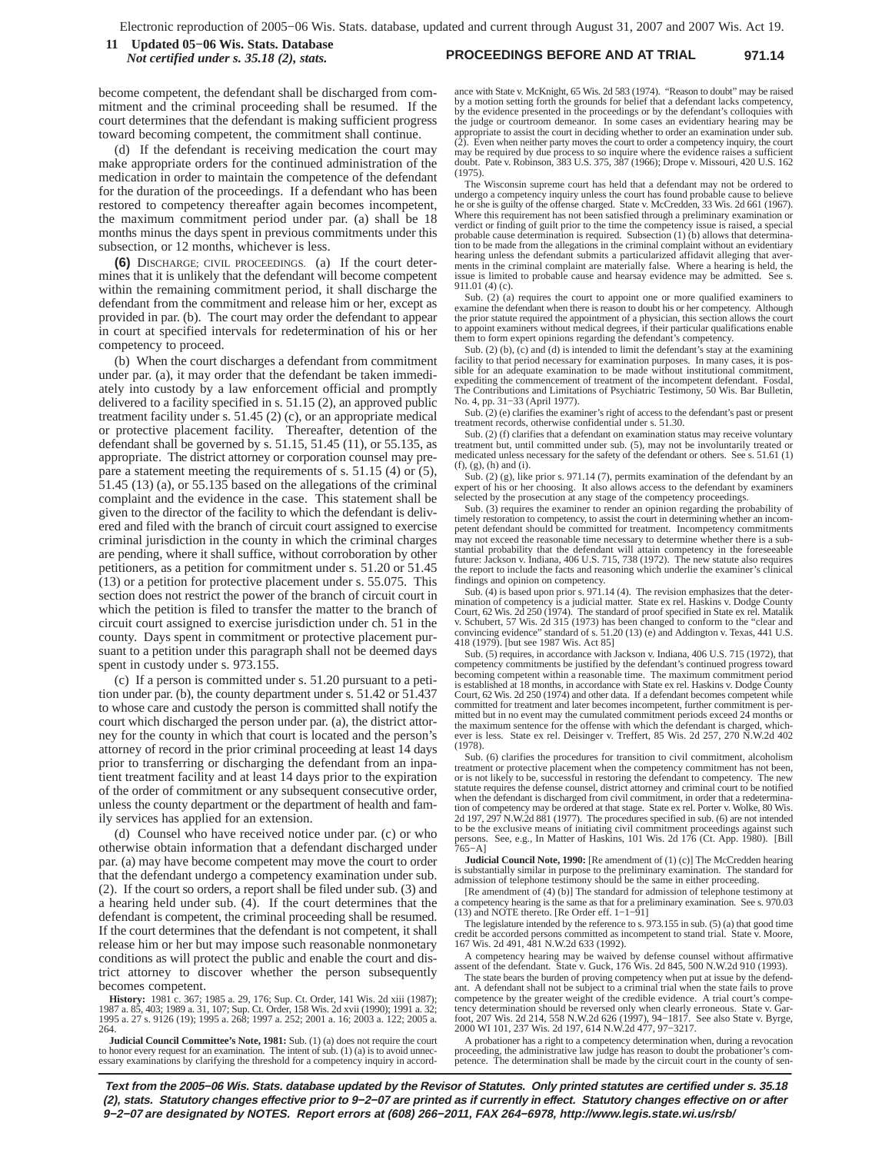**PROCEEDINGS BEFORE AND AT TRIAL 971.14 11 Updated 05−06 Wis. Stats. Database** *Not certified under s. 35.18 (2), stats.*

become competent, the defendant shall be discharged from commitment and the criminal proceeding shall be resumed. If the court determines that the defendant is making sufficient progress toward becoming competent, the commitment shall continue.

(d) If the defendant is receiving medication the court may make appropriate orders for the continued administration of the medication in order to maintain the competence of the defendant for the duration of the proceedings. If a defendant who has been restored to competency thereafter again becomes incompetent, the maximum commitment period under par. (a) shall be 18 months minus the days spent in previous commitments under this subsection, or 12 months, whichever is less.

**(6)** DISCHARGE; CIVIL PROCEEDINGS. (a) If the court determines that it is unlikely that the defendant will become competent within the remaining commitment period, it shall discharge the defendant from the commitment and release him or her, except as provided in par. (b). The court may order the defendant to appear in court at specified intervals for redetermination of his or her competency to proceed.

(b) When the court discharges a defendant from commitment under par. (a), it may order that the defendant be taken immediately into custody by a law enforcement official and promptly delivered to a facility specified in s. 51.15 (2), an approved public treatment facility under s. 51.45 (2) (c), or an appropriate medical or protective placement facility. Thereafter, detention of the defendant shall be governed by s.  $51.15$ ,  $51.45$  (11), or  $55.135$ , as appropriate. The district attorney or corporation counsel may prepare a statement meeting the requirements of s. 51.15 (4) or (5), 51.45 (13) (a), or 55.135 based on the allegations of the criminal complaint and the evidence in the case. This statement shall be given to the director of the facility to which the defendant is delivered and filed with the branch of circuit court assigned to exercise criminal jurisdiction in the county in which the criminal charges are pending, where it shall suffice, without corroboration by other petitioners, as a petition for commitment under s. 51.20 or 51.45 (13) or a petition for protective placement under s. 55.075. This section does not restrict the power of the branch of circuit court in which the petition is filed to transfer the matter to the branch of circuit court assigned to exercise jurisdiction under ch. 51 in the county. Days spent in commitment or protective placement pursuant to a petition under this paragraph shall not be deemed days spent in custody under s. 973.155.

(c) If a person is committed under s. 51.20 pursuant to a petition under par. (b), the county department under s. 51.42 or 51.437 to whose care and custody the person is committed shall notify the court which discharged the person under par. (a), the district attorney for the county in which that court is located and the person's attorney of record in the prior criminal proceeding at least 14 days prior to transferring or discharging the defendant from an inpatient treatment facility and at least 14 days prior to the expiration of the order of commitment or any subsequent consecutive order, unless the county department or the department of health and family services has applied for an extension.

(d) Counsel who have received notice under par. (c) or who otherwise obtain information that a defendant discharged under par. (a) may have become competent may move the court to order that the defendant undergo a competency examination under sub. (2). If the court so orders, a report shall be filed under sub. (3) and a hearing held under sub. (4). If the court determines that the defendant is competent, the criminal proceeding shall be resumed. If the court determines that the defendant is not competent, it shall release him or her but may impose such reasonable nonmonetary conditions as will protect the public and enable the court and district attorney to discover whether the person subsequently becomes competent.

**History:** 1981 c. 367; 1985 a. 29, 176; Sup. Ct. Order, 141 Wis. 2d xiii (1987); 1987 a. 85, 403; 1989 a. 31, 107; Sup. Ct. Order, 158 Wis. 2d xvii (1990); 1991 a. 32; 1995 a. 27 s. 9126 (19); 1995 a. 268; 1997 a. 252; 2001 a. 16; 2003 a. 122; 2005 a. 264.

**Judicial Council Committee's Note, 1981:** Sub. (1) (a) does not require the court to honor every request for an examination. The intent of sub.  $(1)$  (a) is to avoid unnecessary examinations by clarifying the threshold for a competency inquiry in accord-

ance with State v. McKnight, 65 Wis. 2d 583 (1974). "Reason to doubt" may be raised by a motion setting forth the grounds for belief that a defendant lacks competency, by the evidence presented in the proceedings or by the defendant's colloquies with the judge or courtroom demeanor. In some cases an evidentiary hearing may be appropriate to assist the court in deciding whether to order an examination under sub. (2). Even when neither party moves the court to order a competency inquiry, the court may be required by due process to so inquire where the evidence raises a sufficient doubt. Pate v. Robinson, 383 U.S. 375, 387 (1966); Drope v. Missouri, 420 U.S. 162 (1975).

The Wisconsin supreme court has held that a defendant may not be ordered to undergo a competency inquiry unless the court has found probable cause to believe he or she is guilty of the offense charged. State v. McCredden, 33 Wis. 2d 661 (1967). Where this requirement has not been satisfied through a preliminary examination or verdict or finding of guilt prior to the time the competency issue is raised, a special probable cause determination is required. Subsection (1) (b) allows that determina-tion to be made from the allegations in the criminal complaint without an evidentiary hearing unless the defendant submits a particularized affidavit alleging that averments in the criminal complaint are materially false. Where a hearing is held, the sue is limited to probable cause and hearsay evidence may be admitted. See s. 911.01 (4) (c).

Sub. (2) (a) requires the court to appoint one or more qualified examiners to examine the defendant when there is reason to doubt his or her competency. Although the prior statute required the appointment of a physician, this section allows the court to appoint examiners without medical degrees, if their particular qualifications enable them to form expert opinions regarding the defendant's competency.

Sub. (2) (b), (c) and (d) is intended to limit the defendant's stay at the examining facility to that period necessary for examination purposes. In many cases, it is possible for an adequate examination to be made without institutional commitment, expediting the commencement of treatment of the incompetent defendant. Fosdal, The Contributions and Limitations of Psychiatric Testimony, 50 Wis. Bar Bulletin, No. 4, pp. 31−33 (April 1977).

Sub. (2) (e) clarifies the examiner's right of access to the defendant's past or present treatment records, otherwise confidential under s.  $51.30$ .

Sub. (2) (f) clarifies that a defendant on examination status may receive voluntary treatment but, until committed under sub. (5), may not be involuntarily treated or medicated unless necessary for the safety of the defendant or others. See s. 51.61 (1) (f), (g), (h) and (i).

Sub. (2) (g), like prior s. 971.14 (7), permits examination of the defendant by an expert of his or her choosing. It also allows access to the defendant by examiners selected by the prosecution at any stage of the competency proceedings.

Sub. (3) requires the examiner to render an opinion regarding the probability of timely restoration to competency, to assist the court in determining whether an incompetent defendant should be committed for treatment. Incompetency commitments may not exceed the reasonable time necessary to determine whether there is a sub-stantial probability that the defendant will attain competency in the foreseeable future: Jackson v. Indiana, 406 U.S. 715, 738 (1972). The new statute also requires the report to include the facts and reasoning which underlie the examiner's clinical findings and opinion on competency.

Sub. (4) is based upon prior s. 971.14 (4). The revision emphasizes that the determination of competency is a judicial matter. State ex rel. Haskins v. Dodge County<br>Court, 62 Wis. 2d 250 (1974). The standard of proof specified in State ex rel. Matalik<br>v. Schubert, 57 Wis. 2d 315 (1973) has been changed convincing evidence" standard of s. 51.20 (13) (e) and Addington v. Texas, 441 U.S. 418 (1979). [but see 1987 Wis. Act 85]

Sub. (5) requires, in accordance with Jackson v. Indiana, 406 U.S. 715 (1972), that competency commitments be justified by the defendant's continued progress toward becoming competent within a reasonable time. The maximum commitment period is established at 18 months, in accordance with State ex rel. Haskins v. Dodge County Court, 62 Wis. 2d 250 (1974) and other data. If a defendant becomes competent while committed for treatment and later becomes incompetent, further commitment is per-mitted but in no event may the cumulated commitment periods exceed 24 months or the maximum sentence for the offense with which the defendant is charged, whichever is less. State ex rel. Deisinger v. Treffert, 85 Wis. 2d 257, 270 N.W.2d 402 (1978).

Sub. (6) clarifies the procedures for transition to civil commitment, alcoholism treatment or protective placement when the competency commitment has not been,<br>or is not likely to be, successful in restoring the defendant to competency. The new<br>statute requires the defense counsel, district attorney an when the defendant is discharged from civil commitment, in order that a redetermination of competency may be ordered at that stage. State ex rel. Porter v. Wolke, 80 Wis. 2d 197, 297 N.W.2d 881 (1977). The procedures specified in sub. (6) are not intended to be the exclusive means of initiating civil commitment proceedings against such persons. See, e.g., In Matter of Haskins, 101 Wis. 2d 176 (Ct. App. 1980). [Bill 765−A]

**Judicial Council Note, 1990:** [Re amendment of (1) (c)] The McCredden hearing is substantially similar in purpose to the preliminary examination. The standard for admission of telephone testimony should be the same in either proceeding.

[Re amendment of (4) (b)] The standard for admission of telephone testimony at a competency hearing is the same as that for a preliminary examination. See s. 970.03 (13) and NOTE thereto. [Re Order eff. 1−1−91]

The legislature intended by the reference to s. 973.155 in sub. (5) (a) that good time credit be accorded persons committed as incompetent to stand trial. State v. Moore, 167 Wis. 2d 491, 481 N.W.2d 633 (1992).

A competency hearing may be waived by defense counsel without affirmative assent of the defendant. State v. Guck, 176 Wis. 2d 845, 500 N.W.2d 910 (1993).

The state bears the burden of proving competency when put at issue by the defend-ant. A defendant shall not be subject to a criminal trial when the state fails to prove competence by the greater weight of the credible evidence. A trial court's competency determination should be reversed only when clearly erroneous. State v. Gar-foot, 207 Wis. 2d 214, 558 N.W.2d 626 (1997), 94−1817. See also State v. Byrge, 2000 WI 101, 237 Wis. 2d 197, 614 N.W.2d 477, 97−3217.

A probationer has a right to a competency determination when, during a revocation proceeding, the administrative law judge has reason to doubt the probationer's competence. The determination shall be made by the circuit court in the county of sen-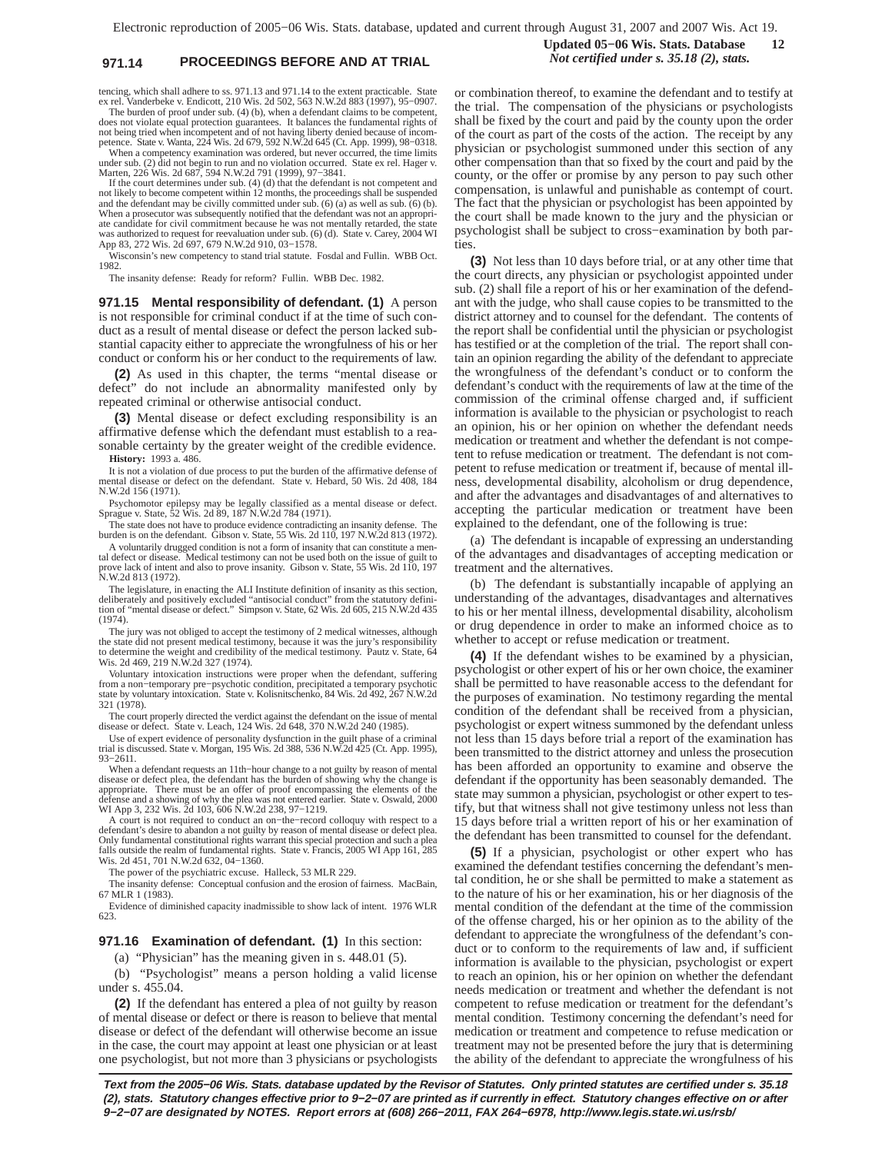# **971.14 PROCEEDINGS BEFORE AND AT TRIAL** *Not certified under s. 35.18 (2), stats.*

**Updated 05−06 Wis. Stats. Database 12**

tencing, which shall adhere to ss. 971.13 and 971.14 to the extent practicable. State ex rel. Vanderbeke v. Endicott, 210 Wis. 2d 502, 563 N.W.2d 883 (1997), 95−0907. The burden of proof under sub. (4) (b), when a defendant claims to be competent,

does not violate equal protection guarantees. It balances the fundamental rights of not being tried when incompetent and of not having liberty denied because of incom-petence. State v. Wanta, 224 Wis. 2d 679, 592 N.W.2d 645 (Ct. App. 1999), 98−0318. When a competency examination was ordered, but never occurred, the time limits

under sub. (2) did not begin to run and no violation occurred. State ex rel. Hager v. Marten, 226 Wis. 2d 687, 594 N.W.2d 791 (1999), 97−3841.

If the court determines under sub. (4) (d) that the defendant is not competent and not likely to become competent within 12 months, the proceedings shall be suspended and the defendant may be civilly committed under sub. (6) (a) as well as sub. (6) (b). When a prosecutor was subsequently notified that the defendant was not an appropriate candidate for civil commitment because he was not mentally retarded, the state was authorized to request for reevaluation under sub. (6) (d). State v. Carey, 2004 WI App 83, 272 Wis. 2d 697, 679 N.W.2d 910, 03−1578.

Wisconsin's new competency to stand trial statute. Fosdal and Fullin. WBB Oct. 1982.

The insanity defense: Ready for reform? Fullin. WBB Dec. 1982.

**971.15 Mental responsibility of defendant. (1)** A person is not responsible for criminal conduct if at the time of such conduct as a result of mental disease or defect the person lacked substantial capacity either to appreciate the wrongfulness of his or her conduct or conform his or her conduct to the requirements of law.

**(2)** As used in this chapter, the terms "mental disease or defect" do not include an abnormality manifested only by repeated criminal or otherwise antisocial conduct.

**(3)** Mental disease or defect excluding responsibility is an affirmative defense which the defendant must establish to a reasonable certainty by the greater weight of the credible evidence. **History:** 1993 a. 486.

It is not a violation of due process to put the burden of the affirmative defense of mental disease or defect on the defendant. State v. Hebard, 50 Wis. 2d 408, 184 N.W.2d 156 (1971).

Psychomotor epilepsy may be legally classified as a mental disease or defect. Sprague v. State, 52 Wis. 2d 89, 187 N.W.2d 784 (1971).

The state does not have to produce evidence contradicting an insanity defense. The burden is on the defendant. Gibson v. State, 55 Wis. 2d 110, 197 N.W.2d 813 (1972).

A voluntarily drugged condition is not a form of insanity that can constitute a mental defect or disease. Medical testimony can not be used both on the issue of guilt to ve lack of intent and also to prove insanity. Gibson v. State, 55 Wis. 2d 110, 197 N.W.2d 813 (1972).

The legislature, in enacting the ALI Institute definition of insanity as this section, deliberately and positively excluded "antisocial conduct" from the statutory definition of "mental disease or defect." Simpson v. State, 62 Wis. 2d 605, 215 N.W.2d 435 (1974).

The jury was not obliged to accept the testimony of 2 medical witnesses, although<br>the state did not present medical testimony, because it was the jury's responsibility<br>to determine the weight and credibility of the medical Wis. 2d 469, 219 N.W.2d 327 (1974).

Voluntary intoxication instructions were proper when the defendant, suffering from a non−temporary pre−psychotic condition, precipitated a temporary psychotic state by voluntary intoxication. State v. Kolisnitschenko, 84 Wis. 2d 492, 267 N.W.2d 321 (1978).

The court properly directed the verdict against the defendant on the issue of mental disease or defect. State v. Leach, 124 Wis. 2d 648, 370 N.W.2d 240 (1985).

Use of expert evidence of personality dysfunction in the guilt phase of a criminal trial is discussed. State v. Morgan, 195 Wis. 2d 388, 536 N.W.2d 425 (Ct. App. 1995), 93−2611.

When a defendant requests an 11th−hour change to a not guilty by reason of mental disease or defect plea, the defendant has the burden of showing why the change is appropriate. There must be an offer of proof encompassing the elements of the defense and a showing of why the plea was not entered earlier. State v. Oswald, 2000 WI App 3, 232 Wis. 2d 103, 606 N.W.2d 238, 97−1219.

A court is not required to conduct an on−the−record colloquy with respect to a defendant's desire to abandon a not guilty by reason of mental disease or defect plea. Only fundamental constitutional rights warrant this special protection and such a plea falls outside the realm of fundamental rights. State v. Francis, 2005 WI App 161, 285 Wis. 2d 451, 701 N.W.2d 632, 04-1360.

The power of the psychiatric excuse. Halleck, 53 MLR 229.

The insanity defense: Conceptual confusion and the erosion of fairness. MacBain,

67 MLR 1 (1983). Evidence of diminished capacity inadmissible to show lack of intent. 1976 WLR 623.

#### **971.16 Examination of defendant. (1)** In this section:

(a) "Physician" has the meaning given in s. 448.01 (5).

(b) "Psychologist" means a person holding a valid license under s. 455.04.

**(2)** If the defendant has entered a plea of not guilty by reason of mental disease or defect or there is reason to believe that mental disease or defect of the defendant will otherwise become an issue in the case, the court may appoint at least one physician or at least one psychologist, but not more than 3 physicians or psychologists or combination thereof, to examine the defendant and to testify at the trial. The compensation of the physicians or psychologists shall be fixed by the court and paid by the county upon the order of the court as part of the costs of the action. The receipt by any physician or psychologist summoned under this section of any other compensation than that so fixed by the court and paid by the county, or the offer or promise by any person to pay such other compensation, is unlawful and punishable as contempt of court. The fact that the physician or psychologist has been appointed by the court shall be made known to the jury and the physician or psychologist shall be subject to cross−examination by both parties.

**(3)** Not less than 10 days before trial, or at any other time that the court directs, any physician or psychologist appointed under sub. (2) shall file a report of his or her examination of the defendant with the judge, who shall cause copies to be transmitted to the district attorney and to counsel for the defendant. The contents of the report shall be confidential until the physician or psychologist has testified or at the completion of the trial. The report shall contain an opinion regarding the ability of the defendant to appreciate the wrongfulness of the defendant's conduct or to conform the defendant's conduct with the requirements of law at the time of the commission of the criminal offense charged and, if sufficient information is available to the physician or psychologist to reach an opinion, his or her opinion on whether the defendant needs medication or treatment and whether the defendant is not competent to refuse medication or treatment. The defendant is not competent to refuse medication or treatment if, because of mental illness, developmental disability, alcoholism or drug dependence, and after the advantages and disadvantages of and alternatives to accepting the particular medication or treatment have been explained to the defendant, one of the following is true:

(a) The defendant is incapable of expressing an understanding of the advantages and disadvantages of accepting medication or treatment and the alternatives.

(b) The defendant is substantially incapable of applying an understanding of the advantages, disadvantages and alternatives to his or her mental illness, developmental disability, alcoholism or drug dependence in order to make an informed choice as to whether to accept or refuse medication or treatment.

**(4)** If the defendant wishes to be examined by a physician, psychologist or other expert of his or her own choice, the examiner shall be permitted to have reasonable access to the defendant for the purposes of examination. No testimony regarding the mental condition of the defendant shall be received from a physician, psychologist or expert witness summoned by the defendant unless not less than 15 days before trial a report of the examination has been transmitted to the district attorney and unless the prosecution has been afforded an opportunity to examine and observe the defendant if the opportunity has been seasonably demanded. The state may summon a physician, psychologist or other expert to testify, but that witness shall not give testimony unless not less than 15 days before trial a written report of his or her examination of the defendant has been transmitted to counsel for the defendant.

**(5)** If a physician, psychologist or other expert who has examined the defendant testifies concerning the defendant's mental condition, he or she shall be permitted to make a statement as to the nature of his or her examination, his or her diagnosis of the mental condition of the defendant at the time of the commission of the offense charged, his or her opinion as to the ability of the defendant to appreciate the wrongfulness of the defendant's conduct or to conform to the requirements of law and, if sufficient information is available to the physician, psychologist or expert to reach an opinion, his or her opinion on whether the defendant needs medication or treatment and whether the defendant is not competent to refuse medication or treatment for the defendant's mental condition. Testimony concerning the defendant's need for medication or treatment and competence to refuse medication or treatment may not be presented before the jury that is determining the ability of the defendant to appreciate the wrongfulness of his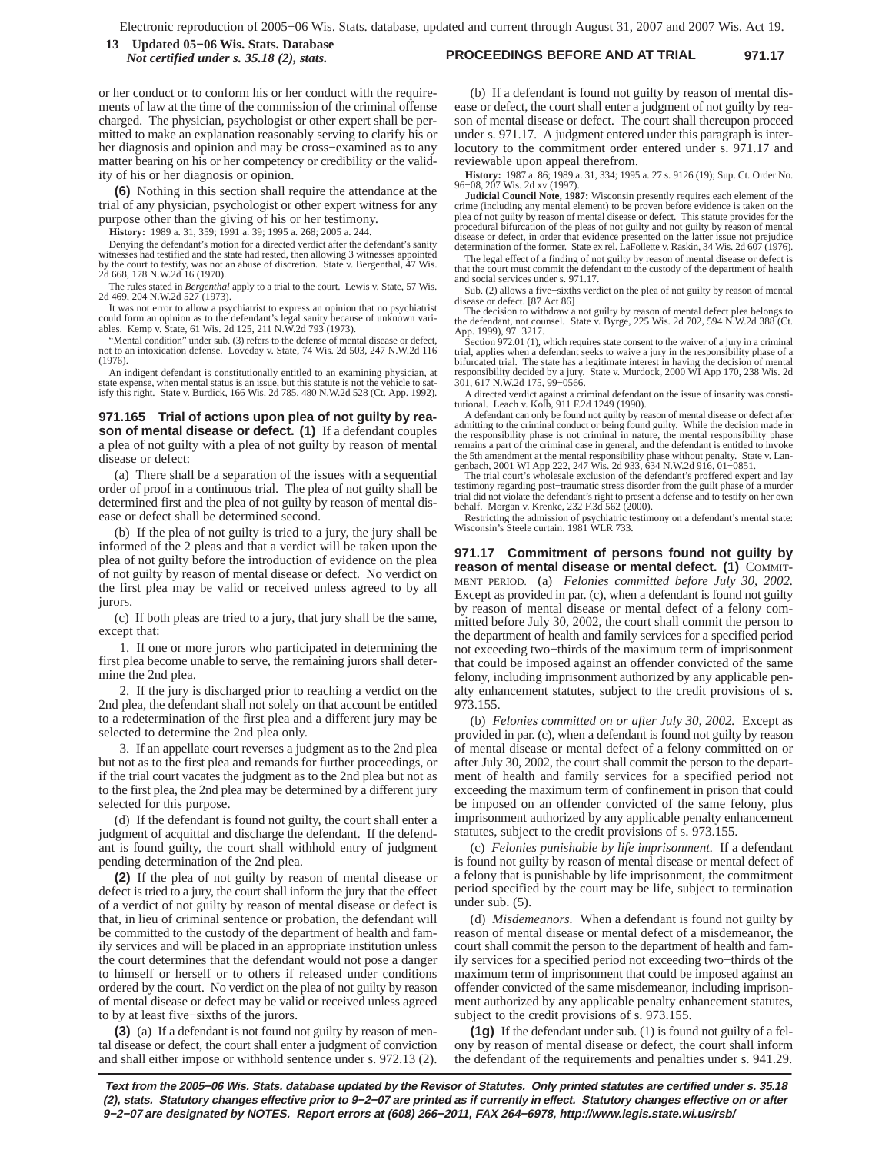**PROCEEDINGS BEFORE AND AT TRIAL 971.17 13 Updated 05−06 Wis. Stats. Database** *Not certified under s. 35.18 (2), stats.*

or her conduct or to conform his or her conduct with the requirements of law at the time of the commission of the criminal offense charged. The physician, psychologist or other expert shall be permitted to make an explanation reasonably serving to clarify his or her diagnosis and opinion and may be cross−examined as to any matter bearing on his or her competency or credibility or the validity of his or her diagnosis or opinion.

**(6)** Nothing in this section shall require the attendance at the trial of any physician, psychologist or other expert witness for any purpose other than the giving of his or her testimony.

**History:** 1989 a. 31, 359; 1991 a. 39; 1995 a. 268; 2005 a. 244.

Denying the defendant's motion for a directed verdict after the defendant's sanity witnesses had testified and the state had rested, then allowing 3 witnesses appointed by the court to testify, was not an abuse of discretion. State v. Bergenthal, 47 Wis. 2d 668, 178 N.W.2d 16 (1970).

The rules stated in *Bergenthal* apply to a trial to the court. Lewis v. State, 57 Wis. 2d 469, 204 N.W.2d 527 (1973).

It was not error to allow a psychiatrist to express an opinion that no psychiatrist<br>could form an opinion as to the defendant's legal sanity because of unknown vari-<br>ables. Kemp v. State, 61 Wis. 2d 125, 211 N.W.2d 793 (19

"Mental condition" under sub. (3) refers to the defense of mental disease or defect, not to an intoxication defense. Loveday v. State, 74 Wis. 2d 503, 247 N.W.2d 116 (1976).

An indigent defendant is constitutionally entitled to an examining physician, at state expense, when mental status is an issue, but this statute is not the vehicle to sat-isfy this right. State v. Burdick, 166 Wis. 2d 785, 480 N.W.2d 528 (Ct. App. 1992).

#### **971.165 Trial of actions upon plea of not guilty by reason of mental disease or defect. (1)** If a defendant couples a plea of not guilty with a plea of not guilty by reason of mental disease or defect:

(a) There shall be a separation of the issues with a sequential order of proof in a continuous trial. The plea of not guilty shall be determined first and the plea of not guilty by reason of mental disease or defect shall be determined second.

(b) If the plea of not guilty is tried to a jury, the jury shall be informed of the 2 pleas and that a verdict will be taken upon the plea of not guilty before the introduction of evidence on the plea of not guilty by reason of mental disease or defect. No verdict on the first plea may be valid or received unless agreed to by all jurors.

(c) If both pleas are tried to a jury, that jury shall be the same, except that:

1. If one or more jurors who participated in determining the first plea become unable to serve, the remaining jurors shall determine the 2nd plea.

2. If the jury is discharged prior to reaching a verdict on the 2nd plea, the defendant shall not solely on that account be entitled to a redetermination of the first plea and a different jury may be selected to determine the 2nd plea only.

3. If an appellate court reverses a judgment as to the 2nd plea but not as to the first plea and remands for further proceedings, or if the trial court vacates the judgment as to the 2nd plea but not as to the first plea, the 2nd plea may be determined by a different jury selected for this purpose.

(d) If the defendant is found not guilty, the court shall enter a judgment of acquittal and discharge the defendant. If the defendant is found guilty, the court shall withhold entry of judgment pending determination of the 2nd plea.

**(2)** If the plea of not guilty by reason of mental disease or defect is tried to a jury, the court shall inform the jury that the effect of a verdict of not guilty by reason of mental disease or defect is that, in lieu of criminal sentence or probation, the defendant will be committed to the custody of the department of health and family services and will be placed in an appropriate institution unless the court determines that the defendant would not pose a danger to himself or herself or to others if released under conditions ordered by the court. No verdict on the plea of not guilty by reason of mental disease or defect may be valid or received unless agreed to by at least five−sixths of the jurors.

**(3)** (a) If a defendant is not found not guilty by reason of mental disease or defect, the court shall enter a judgment of conviction and shall either impose or withhold sentence under s. 972.13 (2).

(b) If a defendant is found not guilty by reason of mental disease or defect, the court shall enter a judgment of not guilty by reason of mental disease or defect. The court shall thereupon proceed under s. 971.17. A judgment entered under this paragraph is interlocutory to the commitment order entered under s. 971.17 and reviewable upon appeal therefrom.

**History:** 1987 a. 86; 1989 a. 31, 334; 1995 a. 27 s. 9126 (19); Sup. Ct. Order No. 96−08, 207 Wis. 2d xv (1997).

**Judicial Council Note, 1987:** Wisconsin presently requires each element of the crime (including any mental element) to be proven before evidence is taken on the plea of not guilty by reason of mental disease or defect. This statute provides for the procedural bifurcation of the pleas of not guilty and not guilty by reason of mental<br>disease or defect, in order that evidence presented on the latter issue not prejudice<br>determination of the former. State ex rel. LaFollet

The legal effect of a finding of not guilty by reason of mental disease or defect is that the court must commit the defendant to the custody of the department of health and social services under s. 971.17.

Sub. (2) allows a five−sixths verdict on the plea of not guilty by reason of mental disease or defect. [87 Act 86] The decision to withdraw a not guilty by reason of mental defect plea belongs to

the defendant, not counsel. State v. Byrge, 225 Wis. 2d 702, 594 N.W.2d 388 (Ct. App. 1999), 97−3217. Section 972.01 (1), which requires state consent to the waiver of a jury in a criminal

trial, applies when a defendant seeks to waive a jury in the responsibility phase of a bifurcated trial. The state has a legitimate interest in having the decision of mental responsibility decided by a jury. State v. Murdock, 2000 WI App 170, 238 Wis. 2d 301, 617 N.W.2d 175, 99−0566.

A directed verdict against a criminal defendant on the issue of insanity was constitutional. Leach v. Kolb, 911 F.2d 1249 (1990).

A defendant can only be found not guilty by reason of mental disease or defect after admitting to the criminal conduct or being found guilty. While the decision made in the responsibility phase is not criminal in nature, the mental responsibility phase remains a part of the criminal case in general, and the defendant is entitled to invoke the 5th amendment at the mental responsibility phase without penalty. State v. Langenbach, 2001 WI App 222, 247 Wis. 2d 933, 634 N.W.2d 916, 01–0851.<br>The trial court's wholesale exclusion of the defendant's proffered exper

testimony regarding post−traumatic stress disorder from the guilt phase of a murder trial did not violate the defendant's right to present a defense and to testify on her own behalf. Morgan v. Krenke, 232 F.3d 562 (2000).

Restricting the admission of psychiatric testimony on a defendant's mental state: Wisconsin's Steele curtain. 1981 WLR 733.

**971.17 Commitment of persons found not guilty by reason of mental disease or mental defect. (1)** COMMIT-MENT PERIOD. (a) *Felonies committed before July 30, 2002.* Except as provided in par. (c), when a defendant is found not guilty by reason of mental disease or mental defect of a felony committed before July 30, 2002, the court shall commit the person to the department of health and family services for a specified period not exceeding two−thirds of the maximum term of imprisonment that could be imposed against an offender convicted of the same felony, including imprisonment authorized by any applicable penalty enhancement statutes, subject to the credit provisions of s. 973.155.

(b) *Felonies committed on or after July 30, 2002.* Except as provided in par. (c), when a defendant is found not guilty by reason of mental disease or mental defect of a felony committed on or after July 30, 2002, the court shall commit the person to the department of health and family services for a specified period not exceeding the maximum term of confinement in prison that could be imposed on an offender convicted of the same felony, plus imprisonment authorized by any applicable penalty enhancement statutes, subject to the credit provisions of s. 973.155.

(c) *Felonies punishable by life imprisonment.* If a defendant is found not guilty by reason of mental disease or mental defect of a felony that is punishable by life imprisonment, the commitment period specified by the court may be life, subject to termination under sub. (5).

(d) *Misdemeanors.* When a defendant is found not guilty by reason of mental disease or mental defect of a misdemeanor, the court shall commit the person to the department of health and family services for a specified period not exceeding two−thirds of the maximum term of imprisonment that could be imposed against an offender convicted of the same misdemeanor, including imprisonment authorized by any applicable penalty enhancement statutes, subject to the credit provisions of s. 973.155.

**(1g)** If the defendant under sub. (1) is found not guilty of a felony by reason of mental disease or defect, the court shall inform the defendant of the requirements and penalties under s. 941.29.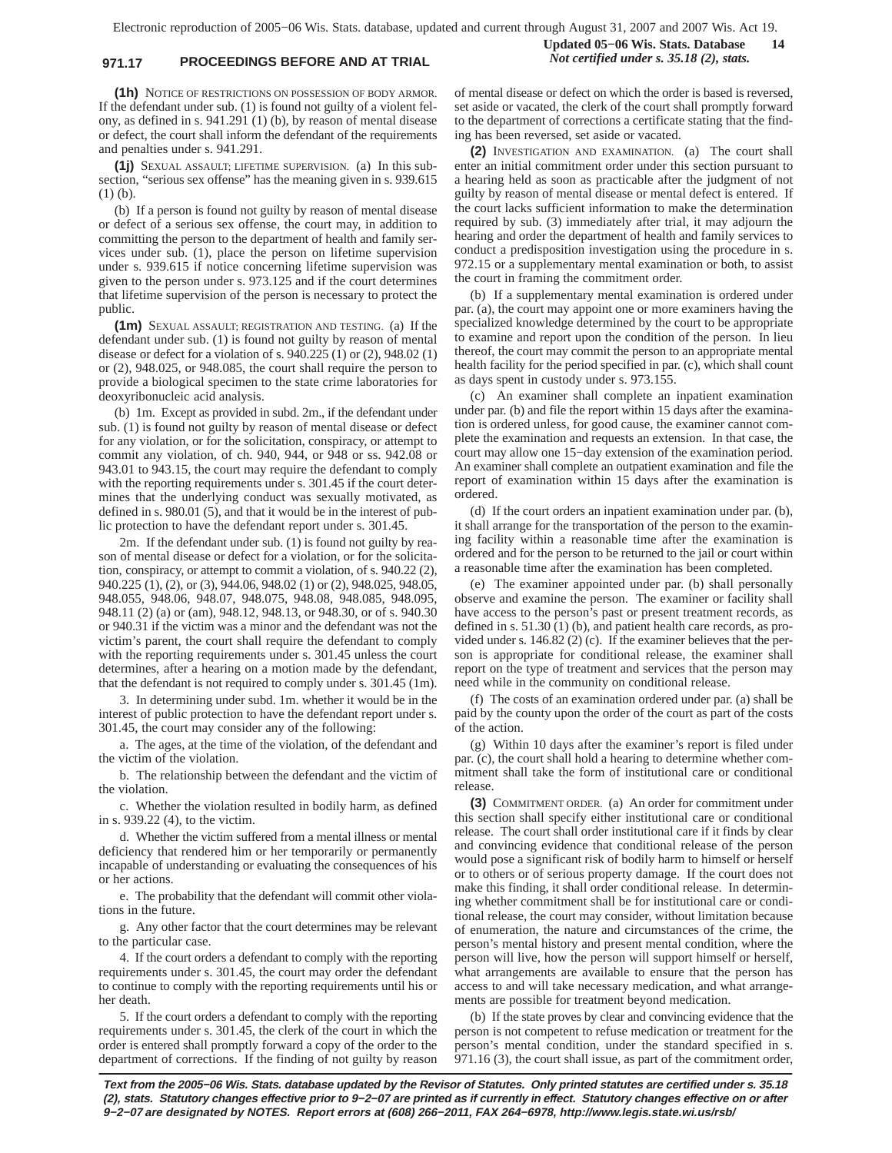# **971.17 PROCEEDINGS BEFORE AND AT TRIAL** *Not certified under s. 35.18 (2), stats.*

**Updated 05−06 Wis. Stats. Database 14**

**(1h)** NOTICE OF RESTRICTIONS ON POSSESSION OF BODY ARMOR. If the defendant under sub. (1) is found not guilty of a violent felony, as defined in s. 941.291 (1) (b), by reason of mental disease or defect, the court shall inform the defendant of the requirements and penalties under s. 941.291.

**(1j)** SEXUAL ASSAULT; LIFETIME SUPERVISION. (a) In this subsection, "serious sex offense" has the meaning given in s. 939.615 (1) (b).

(b) If a person is found not guilty by reason of mental disease or defect of a serious sex offense, the court may, in addition to committing the person to the department of health and family services under sub. (1), place the person on lifetime supervision under s. 939.615 if notice concerning lifetime supervision was given to the person under s. 973.125 and if the court determines that lifetime supervision of the person is necessary to protect the public.

**(1m)** SEXUAL ASSAULT; REGISTRATION AND TESTING. (a) If the defendant under sub. (1) is found not guilty by reason of mental disease or defect for a violation of s. 940.225 (1) or (2), 948.02 (1) or (2), 948.025, or 948.085, the court shall require the person to provide a biological specimen to the state crime laboratories for deoxyribonucleic acid analysis.

(b) 1m. Except as provided in subd. 2m., if the defendant under sub. (1) is found not guilty by reason of mental disease or defect for any violation, or for the solicitation, conspiracy, or attempt to commit any violation, of ch. 940, 944, or 948 or ss. 942.08 or 943.01 to 943.15, the court may require the defendant to comply with the reporting requirements under s. 301.45 if the court determines that the underlying conduct was sexually motivated, as defined in s. 980.01 (5), and that it would be in the interest of public protection to have the defendant report under s. 301.45.

2m. If the defendant under sub. (1) is found not guilty by reason of mental disease or defect for a violation, or for the solicitation, conspiracy, or attempt to commit a violation, of s. 940.22 (2), 940.225 (1), (2), or (3), 944.06, 948.02 (1) or (2), 948.025, 948.05, 948.055, 948.06, 948.07, 948.075, 948.08, 948.085, 948.095, 948.11 (2) (a) or (am), 948.12, 948.13, or 948.30, or of s. 940.30 or 940.31 if the victim was a minor and the defendant was not the victim's parent, the court shall require the defendant to comply with the reporting requirements under s. 301.45 unless the court determines, after a hearing on a motion made by the defendant, that the defendant is not required to comply under s. 301.45 (1m).

3. In determining under subd. 1m. whether it would be in the interest of public protection to have the defendant report under s. 301.45, the court may consider any of the following:

a. The ages, at the time of the violation, of the defendant and the victim of the violation.

b. The relationship between the defendant and the victim of the violation.

c. Whether the violation resulted in bodily harm, as defined in s. 939.22 (4), to the victim.

d. Whether the victim suffered from a mental illness or mental deficiency that rendered him or her temporarily or permanently incapable of understanding or evaluating the consequences of his or her actions.

e. The probability that the defendant will commit other violations in the future.

g. Any other factor that the court determines may be relevant to the particular case.

4. If the court orders a defendant to comply with the reporting requirements under s. 301.45, the court may order the defendant to continue to comply with the reporting requirements until his or her death.

5. If the court orders a defendant to comply with the reporting requirements under s. 301.45, the clerk of the court in which the order is entered shall promptly forward a copy of the order to the department of corrections. If the finding of not guilty by reason of mental disease or defect on which the order is based is reversed, set aside or vacated, the clerk of the court shall promptly forward to the department of corrections a certificate stating that the finding has been reversed, set aside or vacated.

**(2)** INVESTIGATION AND EXAMINATION. (a) The court shall enter an initial commitment order under this section pursuant to a hearing held as soon as practicable after the judgment of not guilty by reason of mental disease or mental defect is entered. If the court lacks sufficient information to make the determination required by sub. (3) immediately after trial, it may adjourn the hearing and order the department of health and family services to conduct a predisposition investigation using the procedure in s. 972.15 or a supplementary mental examination or both, to assist the court in framing the commitment order.

(b) If a supplementary mental examination is ordered under par. (a), the court may appoint one or more examiners having the specialized knowledge determined by the court to be appropriate to examine and report upon the condition of the person. In lieu thereof, the court may commit the person to an appropriate mental health facility for the period specified in par. (c), which shall count as days spent in custody under s. 973.155.

(c) An examiner shall complete an inpatient examination under par. (b) and file the report within 15 days after the examination is ordered unless, for good cause, the examiner cannot complete the examination and requests an extension. In that case, the court may allow one 15−day extension of the examination period. An examiner shall complete an outpatient examination and file the report of examination within 15 days after the examination is ordered.

(d) If the court orders an inpatient examination under par. (b), it shall arrange for the transportation of the person to the examining facility within a reasonable time after the examination is ordered and for the person to be returned to the jail or court within a reasonable time after the examination has been completed.

(e) The examiner appointed under par. (b) shall personally observe and examine the person. The examiner or facility shall have access to the person's past or present treatment records, as defined in s. 51.30 (1) (b), and patient health care records, as provided under s. 146.82 (2) (c). If the examiner believes that the person is appropriate for conditional release, the examiner shall report on the type of treatment and services that the person may need while in the community on conditional release.

(f) The costs of an examination ordered under par. (a) shall be paid by the county upon the order of the court as part of the costs of the action.

(g) Within 10 days after the examiner's report is filed under par. (c), the court shall hold a hearing to determine whether commitment shall take the form of institutional care or conditional release.

**(3)** COMMITMENT ORDER. (a) An order for commitment under this section shall specify either institutional care or conditional release. The court shall order institutional care if it finds by clear and convincing evidence that conditional release of the person would pose a significant risk of bodily harm to himself or herself or to others or of serious property damage. If the court does not make this finding, it shall order conditional release. In determining whether commitment shall be for institutional care or conditional release, the court may consider, without limitation because of enumeration, the nature and circumstances of the crime, the person's mental history and present mental condition, where the person will live, how the person will support himself or herself, what arrangements are available to ensure that the person has access to and will take necessary medication, and what arrangements are possible for treatment beyond medication.

(b) If the state proves by clear and convincing evidence that the person is not competent to refuse medication or treatment for the person's mental condition, under the standard specified in s. 971.16 (3), the court shall issue, as part of the commitment order,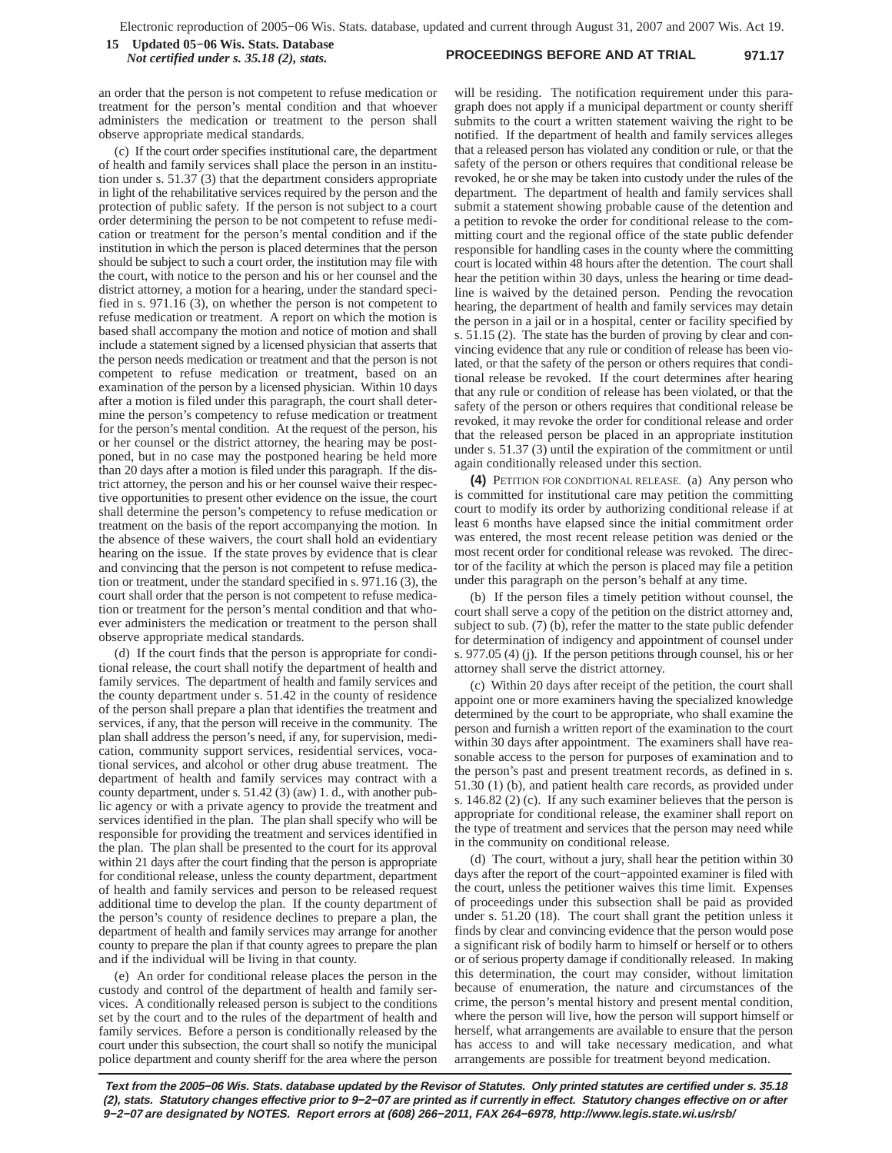#### **PROCEEDINGS BEFORE AND AT TRIAL 971.17 15 Updated 05−06 Wis. Stats. Database** *Not certified under s. 35.18 (2), stats.*

an order that the person is not competent to refuse medication or treatment for the person's mental condition and that whoever administers the medication or treatment to the person shall observe appropriate medical standards.

(c) If the court order specifies institutional care, the department of health and family services shall place the person in an institution under s. 51.37 (3) that the department considers appropriate in light of the rehabilitative services required by the person and the protection of public safety. If the person is not subject to a court order determining the person to be not competent to refuse medication or treatment for the person's mental condition and if the institution in which the person is placed determines that the person should be subject to such a court order, the institution may file with the court, with notice to the person and his or her counsel and the district attorney, a motion for a hearing, under the standard specified in s. 971.16 (3), on whether the person is not competent to refuse medication or treatment. A report on which the motion is based shall accompany the motion and notice of motion and shall include a statement signed by a licensed physician that asserts that the person needs medication or treatment and that the person is not competent to refuse medication or treatment, based on an examination of the person by a licensed physician. Within 10 days after a motion is filed under this paragraph, the court shall determine the person's competency to refuse medication or treatment for the person's mental condition. At the request of the person, his or her counsel or the district attorney, the hearing may be postponed, but in no case may the postponed hearing be held more than 20 days after a motion is filed under this paragraph. If the district attorney, the person and his or her counsel waive their respective opportunities to present other evidence on the issue, the court shall determine the person's competency to refuse medication or treatment on the basis of the report accompanying the motion. In the absence of these waivers, the court shall hold an evidentiary hearing on the issue. If the state proves by evidence that is clear and convincing that the person is not competent to refuse medication or treatment, under the standard specified in s. 971.16 (3), the court shall order that the person is not competent to refuse medication or treatment for the person's mental condition and that whoever administers the medication or treatment to the person shall observe appropriate medical standards.

(d) If the court finds that the person is appropriate for conditional release, the court shall notify the department of health and family services. The department of health and family services and the county department under s. 51.42 in the county of residence of the person shall prepare a plan that identifies the treatment and services, if any, that the person will receive in the community. The plan shall address the person's need, if any, for supervision, medication, community support services, residential services, vocational services, and alcohol or other drug abuse treatment. The department of health and family services may contract with a county department, under s. 51.42 (3) (aw) 1. d., with another public agency or with a private agency to provide the treatment and services identified in the plan. The plan shall specify who will be responsible for providing the treatment and services identified in the plan. The plan shall be presented to the court for its approval within 21 days after the court finding that the person is appropriate for conditional release, unless the county department, department of health and family services and person to be released request additional time to develop the plan. If the county department of the person's county of residence declines to prepare a plan, the department of health and family services may arrange for another county to prepare the plan if that county agrees to prepare the plan and if the individual will be living in that county.

(e) An order for conditional release places the person in the custody and control of the department of health and family services. A conditionally released person is subject to the conditions set by the court and to the rules of the department of health and family services. Before a person is conditionally released by the court under this subsection, the court shall so notify the municipal police department and county sheriff for the area where the person will be residing. The notification requirement under this paragraph does not apply if a municipal department or county sheriff submits to the court a written statement waiving the right to be notified. If the department of health and family services alleges that a released person has violated any condition or rule, or that the safety of the person or others requires that conditional release be revoked, he or she may be taken into custody under the rules of the department. The department of health and family services shall submit a statement showing probable cause of the detention and a petition to revoke the order for conditional release to the committing court and the regional office of the state public defender responsible for handling cases in the county where the committing court is located within 48 hours after the detention. The court shall hear the petition within 30 days, unless the hearing or time deadline is waived by the detained person. Pending the revocation hearing, the department of health and family services may detain the person in a jail or in a hospital, center or facility specified by s. 51.15 (2). The state has the burden of proving by clear and convincing evidence that any rule or condition of release has been violated, or that the safety of the person or others requires that conditional release be revoked. If the court determines after hearing that any rule or condition of release has been violated, or that the safety of the person or others requires that conditional release be revoked, it may revoke the order for conditional release and order that the released person be placed in an appropriate institution under s. 51.37 (3) until the expiration of the commitment or until again conditionally released under this section.

**(4)** PETITION FOR CONDITIONAL RELEASE. (a) Any person who is committed for institutional care may petition the committing court to modify its order by authorizing conditional release if at least 6 months have elapsed since the initial commitment order was entered, the most recent release petition was denied or the most recent order for conditional release was revoked. The director of the facility at which the person is placed may file a petition under this paragraph on the person's behalf at any time.

(b) If the person files a timely petition without counsel, the court shall serve a copy of the petition on the district attorney and, subject to sub. (7) (b), refer the matter to the state public defender for determination of indigency and appointment of counsel under s. 977.05 (4) (j). If the person petitions through counsel, his or her attorney shall serve the district attorney.

(c) Within 20 days after receipt of the petition, the court shall appoint one or more examiners having the specialized knowledge determined by the court to be appropriate, who shall examine the person and furnish a written report of the examination to the court within 30 days after appointment. The examiners shall have reasonable access to the person for purposes of examination and to the person's past and present treatment records, as defined in s. 51.30 (1) (b), and patient health care records, as provided under s. 146.82 (2) (c). If any such examiner believes that the person is appropriate for conditional release, the examiner shall report on the type of treatment and services that the person may need while in the community on conditional release.

(d) The court, without a jury, shall hear the petition within 30 days after the report of the court−appointed examiner is filed with the court, unless the petitioner waives this time limit. Expenses of proceedings under this subsection shall be paid as provided under s. 51.20 (18). The court shall grant the petition unless it finds by clear and convincing evidence that the person would pose a significant risk of bodily harm to himself or herself or to others or of serious property damage if conditionally released. In making this determination, the court may consider, without limitation because of enumeration, the nature and circumstances of the crime, the person's mental history and present mental condition, where the person will live, how the person will support himself or herself, what arrangements are available to ensure that the person has access to and will take necessary medication, and what arrangements are possible for treatment beyond medication.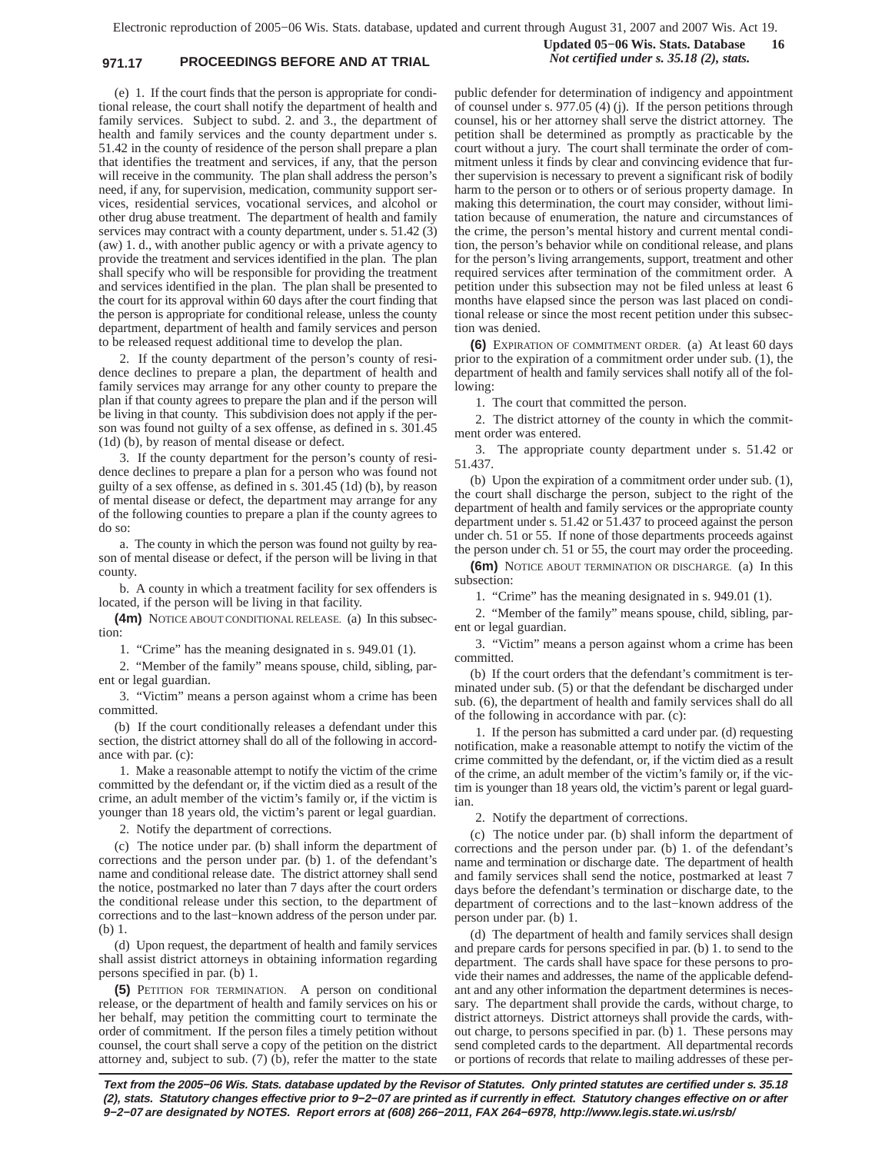# **971.17 PROCEEDINGS BEFORE AND AT TRIAL** *Not certified under s. 35.18 (2), stats.*

**Updated 05−06 Wis. Stats. Database 16**

(e) 1. If the court finds that the person is appropriate for conditional release, the court shall notify the department of health and family services. Subject to subd. 2. and 3., the department of health and family services and the county department under s. 51.42 in the county of residence of the person shall prepare a plan that identifies the treatment and services, if any, that the person will receive in the community. The plan shall address the person's need, if any, for supervision, medication, community support services, residential services, vocational services, and alcohol or other drug abuse treatment. The department of health and family services may contract with a county department, under s. 51.42 (3) (aw) 1. d., with another public agency or with a private agency to provide the treatment and services identified in the plan. The plan shall specify who will be responsible for providing the treatment and services identified in the plan. The plan shall be presented to the court for its approval within 60 days after the court finding that the person is appropriate for conditional release, unless the county department, department of health and family services and person to be released request additional time to develop the plan.

2. If the county department of the person's county of residence declines to prepare a plan, the department of health and family services may arrange for any other county to prepare the plan if that county agrees to prepare the plan and if the person will be living in that county. This subdivision does not apply if the person was found not guilty of a sex offense, as defined in s. 301.45 (1d) (b), by reason of mental disease or defect.

3. If the county department for the person's county of residence declines to prepare a plan for a person who was found not guilty of a sex offense, as defined in s. 301.45 (1d) (b), by reason of mental disease or defect, the department may arrange for any of the following counties to prepare a plan if the county agrees to do so:

a. The county in which the person was found not guilty by reason of mental disease or defect, if the person will be living in that county.

b. A county in which a treatment facility for sex offenders is located, if the person will be living in that facility.

**(4m)** NOTICE ABOUT CONDITIONAL RELEASE. (a) In this subsection:

1. "Crime" has the meaning designated in s. 949.01 (1).

2. "Member of the family" means spouse, child, sibling, parent or legal guardian.

3. "Victim" means a person against whom a crime has been committed.

(b) If the court conditionally releases a defendant under this section, the district attorney shall do all of the following in accordance with par. (c):

1. Make a reasonable attempt to notify the victim of the crime committed by the defendant or, if the victim died as a result of the crime, an adult member of the victim's family or, if the victim is younger than 18 years old, the victim's parent or legal guardian.

2. Notify the department of corrections.

(c) The notice under par. (b) shall inform the department of corrections and the person under par. (b) 1. of the defendant's name and conditional release date. The district attorney shall send the notice, postmarked no later than 7 days after the court orders the conditional release under this section, to the department of corrections and to the last−known address of the person under par. (b) 1.

(d) Upon request, the department of health and family services shall assist district attorneys in obtaining information regarding persons specified in par. (b) 1.

**(5)** PETITION FOR TERMINATION. A person on conditional release, or the department of health and family services on his or her behalf, may petition the committing court to terminate the order of commitment. If the person files a timely petition without counsel, the court shall serve a copy of the petition on the district attorney and, subject to sub. (7) (b), refer the matter to the state

public defender for determination of indigency and appointment of counsel under s. 977.05 (4) (j). If the person petitions through counsel, his or her attorney shall serve the district attorney. The petition shall be determined as promptly as practicable by the court without a jury. The court shall terminate the order of commitment unless it finds by clear and convincing evidence that further supervision is necessary to prevent a significant risk of bodily harm to the person or to others or of serious property damage. In making this determination, the court may consider, without limitation because of enumeration, the nature and circumstances of the crime, the person's mental history and current mental condition, the person's behavior while on conditional release, and plans for the person's living arrangements, support, treatment and other required services after termination of the commitment order. A petition under this subsection may not be filed unless at least 6 months have elapsed since the person was last placed on conditional release or since the most recent petition under this subsection was denied.

**(6)** EXPIRATION OF COMMITMENT ORDER. (a) At least 60 days prior to the expiration of a commitment order under sub. (1), the department of health and family services shall notify all of the following:

1. The court that committed the person.

2. The district attorney of the county in which the commitment order was entered.

3. The appropriate county department under s. 51.42 or 51.437.

(b) Upon the expiration of a commitment order under sub. (1), the court shall discharge the person, subject to the right of the department of health and family services or the appropriate county department under s. 51.42 or 51.437 to proceed against the person under ch. 51 or 55. If none of those departments proceeds against the person under ch. 51 or 55, the court may order the proceeding.

**(6m)** NOTICE ABOUT TERMINATION OR DISCHARGE. (a) In this subsection:

1. "Crime" has the meaning designated in s. 949.01 (1).

2. "Member of the family" means spouse, child, sibling, parent or legal guardian.

3. "Victim" means a person against whom a crime has been committed.

(b) If the court orders that the defendant's commitment is terminated under sub. (5) or that the defendant be discharged under sub. (6), the department of health and family services shall do all of the following in accordance with par. (c):

1. If the person has submitted a card under par. (d) requesting notification, make a reasonable attempt to notify the victim of the crime committed by the defendant, or, if the victim died as a result of the crime, an adult member of the victim's family or, if the victim is younger than 18 years old, the victim's parent or legal guardian.

2. Notify the department of corrections.

(c) The notice under par. (b) shall inform the department of corrections and the person under par. (b) 1. of the defendant's name and termination or discharge date. The department of health and family services shall send the notice, postmarked at least 7 days before the defendant's termination or discharge date, to the department of corrections and to the last−known address of the person under par. (b) 1.

(d) The department of health and family services shall design and prepare cards for persons specified in par. (b) 1. to send to the department. The cards shall have space for these persons to provide their names and addresses, the name of the applicable defendant and any other information the department determines is necessary. The department shall provide the cards, without charge, to district attorneys. District attorneys shall provide the cards, without charge, to persons specified in par. (b) 1. These persons may send completed cards to the department. All departmental records or portions of records that relate to mailing addresses of these per-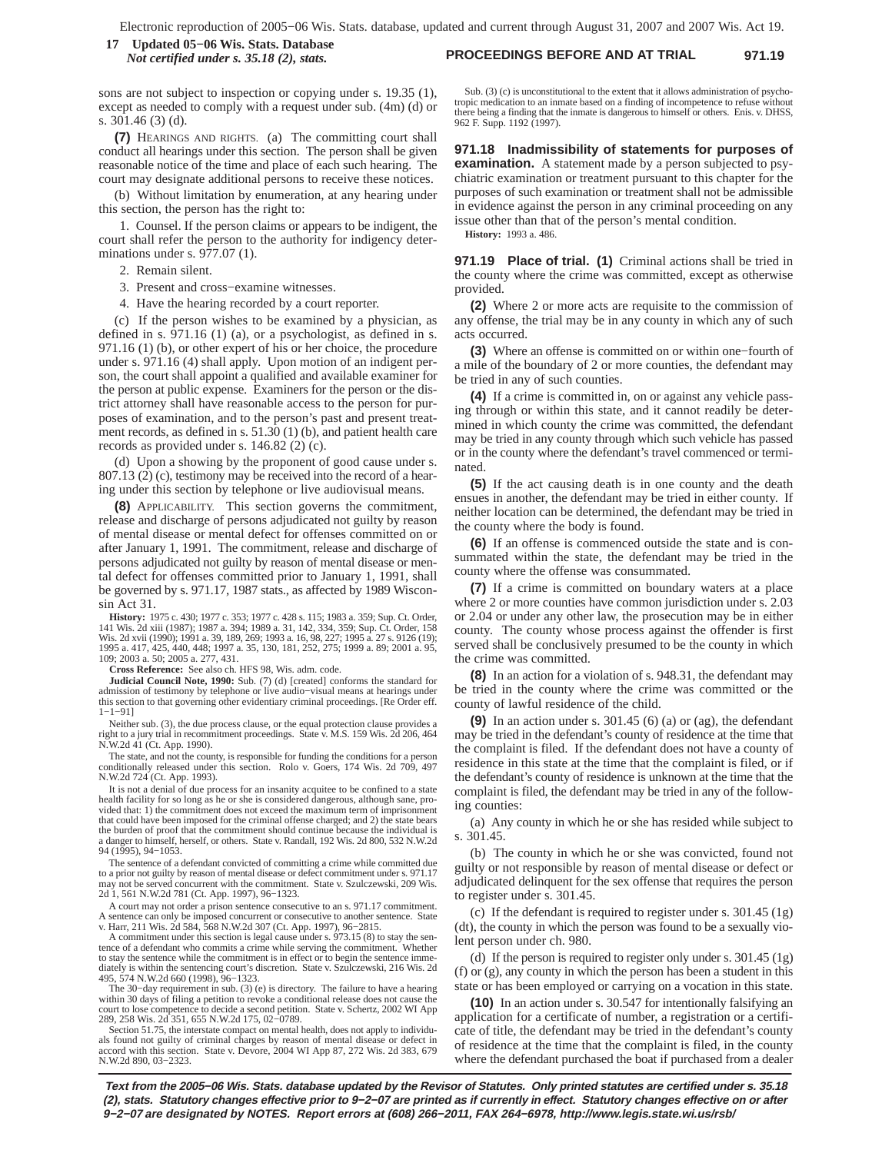### **PROCEEDINGS BEFORE AND AT TRIAL 971.19 17 Updated 05−06 Wis. Stats. Database** *Not certified under s. 35.18 (2), stats.*

sons are not subject to inspection or copying under s. 19.35 (1), except as needed to comply with a request under sub. (4m) (d) or s. 301.46 (3) (d).

**(7)** HEARINGS AND RIGHTS. (a) The committing court shall conduct all hearings under this section. The person shall be given reasonable notice of the time and place of each such hearing. The court may designate additional persons to receive these notices.

(b) Without limitation by enumeration, at any hearing under this section, the person has the right to:

1. Counsel. If the person claims or appears to be indigent, the court shall refer the person to the authority for indigency determinations under s. 977.07 (1).

2. Remain silent.

3. Present and cross−examine witnesses.

4. Have the hearing recorded by a court reporter.

(c) If the person wishes to be examined by a physician, as defined in s. 971.16 (1) (a), or a psychologist, as defined in s. 971.16 (1) (b), or other expert of his or her choice, the procedure under s. 971.16 (4) shall apply. Upon motion of an indigent person, the court shall appoint a qualified and available examiner for the person at public expense. Examiners for the person or the district attorney shall have reasonable access to the person for purposes of examination, and to the person's past and present treatment records, as defined in s. 51.30 (1) (b), and patient health care records as provided under s. 146.82 (2) (c).

(d) Upon a showing by the proponent of good cause under s. 807.13 (2) (c), testimony may be received into the record of a hearing under this section by telephone or live audiovisual means.

**(8)** APPLICABILITY. This section governs the commitment, release and discharge of persons adjudicated not guilty by reason of mental disease or mental defect for offenses committed on or after January 1, 1991. The commitment, release and discharge of persons adjudicated not guilty by reason of mental disease or mental defect for offenses committed prior to January 1, 1991, shall be governed by s. 971.17, 1987 stats., as affected by 1989 Wisconsin Act 31.

**History:** 1975 c. 430; 1977 c. 353; 1977 c. 428 s. 115; 1983 a. 359; Sup. Ct. Order, 141 Wis. 2d xiii (1987); 1987 a. 394; 1989 a. 31, 142, 334, 359; Sup. Ct. Order, 158 Wis. 2d xvii (1990); 1991 a. 39, 189, 269; 1993 a. 16, 98, 227; 1995 a. 27 s. 9126 (19); 1995 a. 417, 425, 440, 448; 1997 a. 35, 130, 181, 252, 275; 1999 a. 89; 2001 a. 95, 109; 2003 a. 50; 2005 a. 277, 431.

**Cross Reference:** See also ch. HFS 98, Wis. adm. code.

**Judicial Council Note, 1990:** Sub. (7) (d) [created] conforms the standard for admission of testimony by telephone or live audio–visual means at hearings under this section to that governing other evidentiary criminal proceedings. [Re Order eff. 1−1−91]

Neither sub. (3), the due process clause, or the equal protection clause provides a right to a jury trial in recommitment proceedings. State v. M.S. 159 Wis. 2d 206, 464 N.W.2d 41 (Ct. App. 1990).

The state, and not the county, is responsible for funding the conditions for a person conditionally released under this section. Rolo v. Goers, 174 Wis. 2d 709, 497 N.W.2d 724 (Ct. App. 1993).

It is not a denial of due process for an insanity acquitee to be confined to a state health facility for so long as he or she is considered dangerous, although sane, provided that: 1) the commitment does not exceed the maximum term of imprisonment that could have been imposed for the criminal offense charged; and 2) the state bears the burden of proof that the commitment should continue because the individual is a danger to himself, herself, or others. State v. Randall, 192 Wis. 2d 800, 532 N.W.2d 94 (1995), 94−1053.

The sentence of a defendant convicted of committing a crime while committed due to a prior not guilty by reason of mental disease or defect commitment under s. 971.17 may not be served concurrent with the commitment. State v. Szulczewski, 209 Wis. 2d 1, 561 N.W.2d 781 (Ct. App. 1997), 96−1323.

A court may not order a prison sentence consecutive to an s. 971.17 commitment. A sentence can only be imposed concurrent or consecutive to another sentence. State v. Harr, 211 Wis. 2d 584, 568 N.W.2d 307 (Ct. App. 1997), 96−2815.

A commitment under this section is legal cause under s. 973.15 (8) to stay the sentence of a defendant who commits a crime while serving the commitment. Whether to stay the sentence while the commitment is in effect or to begin the sentence immediately is within the sentencing court's discretion. State v. Szulczewski, 216 Wis. 2d 495, 574 N.W.2d 660 (1998), 96−1323.

The 30−day requirement in sub. (3) (e) is directory. The failure to have a hearing within 30 days of filing a petition to revoke a conditional release does not cause the court to lose competence to decide a second petition. State v. Schertz, 2002 WI App 289, 258 Wis. 2d 351, 655 N.W.2d 175, 02−0789.

Section 51.75, the interstate compact on mental health, does not apply to individuals found not guilty of criminal charges by reason of mental disease or defect in accord with this section. State v. Devore, 2004 WI App 87, 272 Wis. 2d 383, 679 N.W.2d 890, 03−2323.

Sub. (3) (c) is unconstitutional to the extent that it allows administration of psychotropic medication to an inmate based on a finding of incompetence to refuse without there being a finding that the inmate is dangerous to himself or others. Enis. v. DHSS, 962 F. Supp. 1192 (1997).

**971.18 Inadmissibility of statements for purposes of examination.** A statement made by a person subjected to psychiatric examination or treatment pursuant to this chapter for the purposes of such examination or treatment shall not be admissible in evidence against the person in any criminal proceeding on any issue other than that of the person's mental condition.

**History:** 1993 a. 486.

**971.19 Place of trial. (1)** Criminal actions shall be tried in the county where the crime was committed, except as otherwise provided.

**(2)** Where 2 or more acts are requisite to the commission of any offense, the trial may be in any county in which any of such acts occurred.

**(3)** Where an offense is committed on or within one−fourth of a mile of the boundary of 2 or more counties, the defendant may be tried in any of such counties.

**(4)** If a crime is committed in, on or against any vehicle passing through or within this state, and it cannot readily be determined in which county the crime was committed, the defendant may be tried in any county through which such vehicle has passed or in the county where the defendant's travel commenced or terminated.

**(5)** If the act causing death is in one county and the death ensues in another, the defendant may be tried in either county. If neither location can be determined, the defendant may be tried in the county where the body is found.

**(6)** If an offense is commenced outside the state and is consummated within the state, the defendant may be tried in the county where the offense was consummated.

**(7)** If a crime is committed on boundary waters at a place where 2 or more counties have common jurisdiction under s. 2.03 or 2.04 or under any other law, the prosecution may be in either county. The county whose process against the offender is first served shall be conclusively presumed to be the county in which the crime was committed.

**(8)** In an action for a violation of s. 948.31, the defendant may be tried in the county where the crime was committed or the county of lawful residence of the child.

**(9)** In an action under s. 301.45 (6) (a) or (ag), the defendant may be tried in the defendant's county of residence at the time that the complaint is filed. If the defendant does not have a county of residence in this state at the time that the complaint is filed, or if the defendant's county of residence is unknown at the time that the complaint is filed, the defendant may be tried in any of the following counties:

(a) Any county in which he or she has resided while subject to s. 301.45.

(b) The county in which he or she was convicted, found not guilty or not responsible by reason of mental disease or defect or adjudicated delinquent for the sex offense that requires the person to register under s. 301.45.

(c) If the defendant is required to register under s. 301.45 (1g) (dt), the county in which the person was found to be a sexually violent person under ch. 980.

(d) If the person is required to register only under s. 301.45 (1g) (f) or (g), any county in which the person has been a student in this state or has been employed or carrying on a vocation in this state.

**(10)** In an action under s. 30.547 for intentionally falsifying an application for a certificate of number, a registration or a certificate of title, the defendant may be tried in the defendant's county of residence at the time that the complaint is filed, in the county where the defendant purchased the boat if purchased from a dealer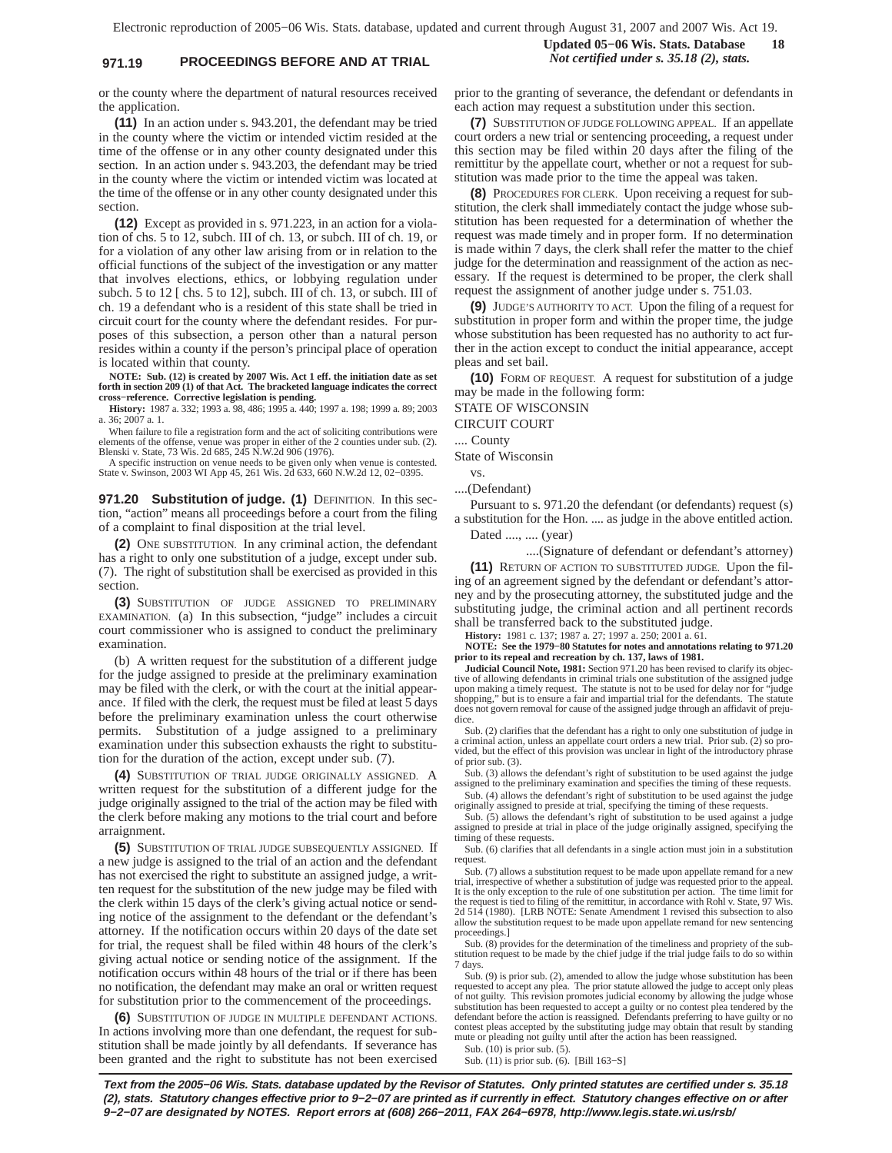## **971.19 PROCEEDINGS BEFORE AND AT TRIAL** *Not certified under s. 35.18 (2), stats.*

or the county where the department of natural resources received the application.

**(11)** In an action under s. 943.201, the defendant may be tried in the county where the victim or intended victim resided at the time of the offense or in any other county designated under this section. In an action under s. 943.203, the defendant may be tried in the county where the victim or intended victim was located at the time of the offense or in any other county designated under this section.

**(12)** Except as provided in s. 971.223, in an action for a violation of chs. 5 to 12, subch. III of ch. 13, or subch. III of ch. 19, or for a violation of any other law arising from or in relation to the official functions of the subject of the investigation or any matter that involves elections, ethics, or lobbying regulation under subch. 5 to 12 [ chs. 5 to 12], subch. III of ch. 13, or subch. III of ch. 19 a defendant who is a resident of this state shall be tried in circuit court for the county where the defendant resides. For purposes of this subsection, a person other than a natural person resides within a county if the person's principal place of operation is located within that county.

**NOTE: Sub. (12) is created by 2007 Wis. Act 1 eff. the initiation date as set forth in section 209 (1) of that Act. The bracketed language indicates the correct cross−reference. Corrective legislation is pending.**

**History:** 1987 a. 332; 1993 a. 98, 486; 1995 a. 440; 1997 a. 198; 1999 a. 89; 2003 a. 36; 2007 a. 1.

When failure to file a registration form and the act of soliciting contributions were<br>elements of the offense, venue was proper in either of the 2 counties under sub. (2).<br>Blenski v. State, 73 Wis. 2d 685, 245 N.W.2d 906 (

A specific instruction on venue needs to be given only when venue is contested. State v. Swinson, 2003 WI App 45, 261 Wis. 2d 633, 660 N.W.2d 12, 02−0395.

**971.20 Substitution of judge. (1)** DEFINITION. In this section, "action" means all proceedings before a court from the filing of a complaint to final disposition at the trial level.

**(2)** ONE SUBSTITUTION. In any criminal action, the defendant has a right to only one substitution of a judge, except under sub. (7). The right of substitution shall be exercised as provided in this section.

**(3)** SUBSTITUTION OF JUDGE ASSIGNED TO PRELIMINARY EXAMINATION. (a) In this subsection, "judge" includes a circuit court commissioner who is assigned to conduct the preliminary examination.

(b) A written request for the substitution of a different judge for the judge assigned to preside at the preliminary examination may be filed with the clerk, or with the court at the initial appearance. If filed with the clerk, the request must be filed at least 5 days before the preliminary examination unless the court otherwise permits. Substitution of a judge assigned to a preliminary examination under this subsection exhausts the right to substitution for the duration of the action, except under sub. (7).

**(4)** SUBSTITUTION OF TRIAL JUDGE ORIGINALLY ASSIGNED. A written request for the substitution of a different judge for the judge originally assigned to the trial of the action may be filed with the clerk before making any motions to the trial court and before arraignment.

**(5)** SUBSTITUTION OF TRIAL JUDGE SUBSEQUENTLY ASSIGNED. If a new judge is assigned to the trial of an action and the defendant has not exercised the right to substitute an assigned judge, a written request for the substitution of the new judge may be filed with the clerk within 15 days of the clerk's giving actual notice or sending notice of the assignment to the defendant or the defendant's attorney. If the notification occurs within 20 days of the date set for trial, the request shall be filed within 48 hours of the clerk's giving actual notice or sending notice of the assignment. If the notification occurs within 48 hours of the trial or if there has been no notification, the defendant may make an oral or written request for substitution prior to the commencement of the proceedings.

**(6)** SUBSTITUTION OF JUDGE IN MULTIPLE DEFENDANT ACTIONS. In actions involving more than one defendant, the request for substitution shall be made jointly by all defendants. If severance has been granted and the right to substitute has not been exercised prior to the granting of severance, the defendant or defendants in each action may request a substitution under this section.

**(7)** SUBSTITUTION OF JUDGE FOLLOWING APPEAL. If an appellate court orders a new trial or sentencing proceeding, a request under this section may be filed within 20 days after the filing of the remittitur by the appellate court, whether or not a request for substitution was made prior to the time the appeal was taken.

**(8)** PROCEDURES FOR CLERK. Upon receiving a request for substitution, the clerk shall immediately contact the judge whose substitution has been requested for a determination of whether the request was made timely and in proper form. If no determination is made within 7 days, the clerk shall refer the matter to the chief judge for the determination and reassignment of the action as necessary. If the request is determined to be proper, the clerk shall request the assignment of another judge under s. 751.03.

**(9)** JUDGE'S AUTHORITY TO ACT. Upon the filing of a request for substitution in proper form and within the proper time, the judge whose substitution has been requested has no authority to act further in the action except to conduct the initial appearance, accept pleas and set bail.

**(10)** FORM OF REQUEST. A request for substitution of a judge may be made in the following form:

STATE OF WISCONSIN

CIRCUIT COURT

.... County

State of Wisconsin

vs.

....(Defendant)

Pursuant to s. 971.20 the defendant (or defendants) request (s) a substitution for the Hon. .... as judge in the above entitled action.

Dated ...., .... (year)

....(Signature of defendant or defendant's attorney) **(11)** RETURN OF ACTION TO SUBSTITUTED JUDGE. Upon the filing of an agreement signed by the defendant or defendant's attorney and by the prosecuting attorney, the substituted judge and the substituting judge, the criminal action and all pertinent records shall be transferred back to the substituted judge.

**History:** 1981 c. 137; 1987 a. 27; 1997 a. 250; 2001 a. 61.

**NOTE: See the 1979−80 Statutes for notes and annotations relating to 971.20 prior to its repeal and recreation by ch. 137, laws of 1981.**

**Judicial Council Note, 1981:** Section 971.20 has been revised to clarify its objective of allowing defendants in criminal trials one substitution of the assigned judge<br>upon making a timely request. The statute is not to be used for delay nor for "judge<br>shopping," but is to ensure a fair and impartial tr does not govern removal for cause of the assigned judge through an affidavit of prejudice.

Sub. (2) clarifies that the defendant has a right to only one substitution of judge in a criminal action, unless an appellate court orders a new trial. Prior sub. (2) so provided, but the effect of this provision was unclear in light of the introductory phrase of prior sub. (3).

Sub. (3) allows the defendant's right of substitution to be used against the judge assigned to the preliminary examination and specifies the timing of these requests. Sub. (4) allows the defendant's right of substitution to be used against the judge

originally assigned to preside at trial, specifying the timing of these requests.

Sub. (5) allows the defendant's right of substitution to be used against a judge assigned to preside at trial in place of the judge originally assigned, specifying the timing of these requests.

Sub. (6) clarifies that all defendants in a single action must join in a substitution request.

Sub. (7) allows a substitution request to be made upon appellate remand for a new trial, irrespective of whether a substitution of judge was requested prior to the appeal. It is the only exception to the rule of one substitution per action. The time limit for the request is tied to filing of the remittitur, in accordance with Rohl v. State, 97 Wis. 2d 514 (1980). [LRB NOTE: Senate Amendment 1 revised this subsection to also allow the substitution request to be made upon appellate remand for new sentencing proceedings.]

Sub. (8) provides for the determination of the timeliness and propriety of the substitution request to be made by the chief judge if the trial judge fails to do so within 7 days.

Sub. (9) is prior sub. (2), amended to allow the judge whose substitution has been requested to accept any plea. The prior statute allowed the judge to accept only pleas of not guilty. This revision promotes judicial economy by allowing the judge whose<br>substitution has been requested to accept a guilty or no contest plea tendered by the<br>defendant before the action is reassigned. Defendants contest pleas accepted by the substituting judge may obtain that result by standing mute or pleading not guilty until after the action has been reassigned.

Sub. (10) is prior sub. (5).

Sub. (11) is prior sub. (6). [Bill 163–S]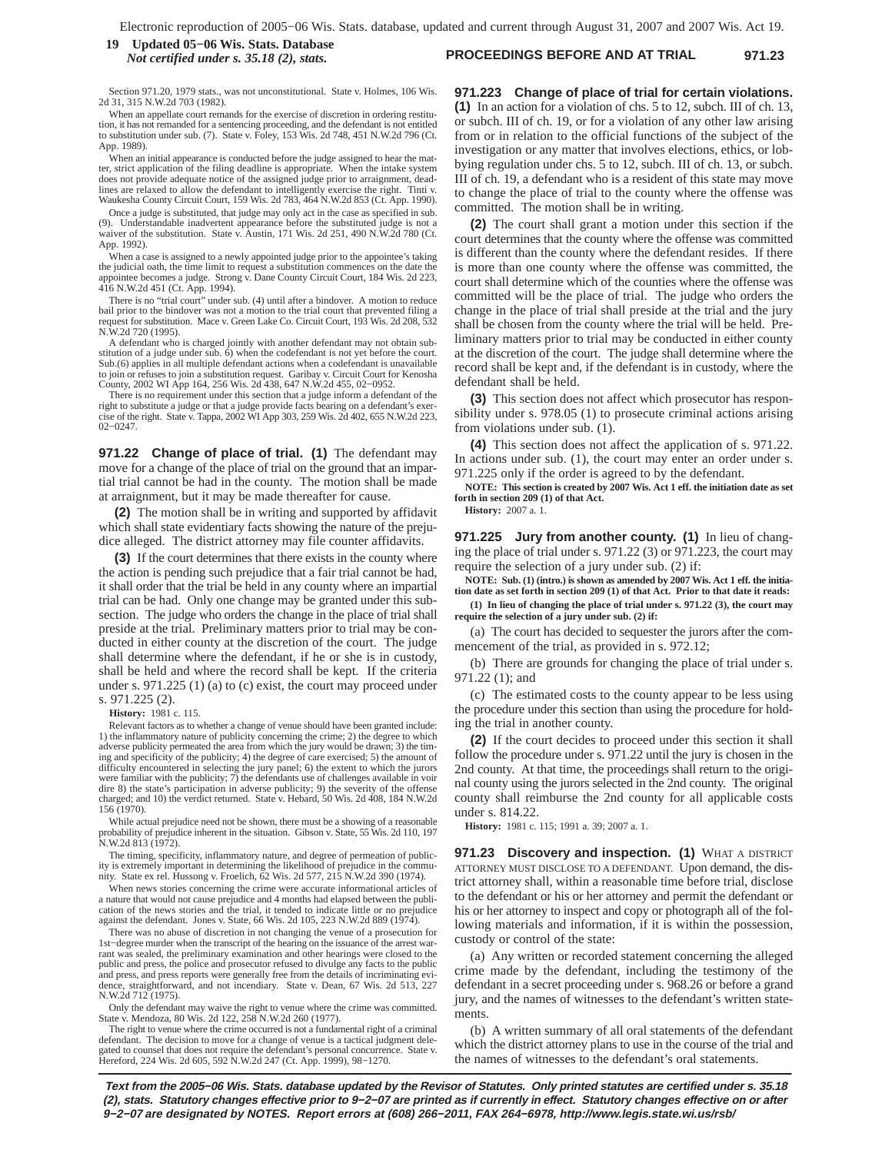#### **PROCEEDINGS BEFORE AND AT TRIAL 971.23 19 Updated 05−06 Wis. Stats. Database** *Not certified under s. 35.18 (2), stats.*

Section 971.20, 1979 stats., was not unconstitutional. State v. Holmes, 106 Wis. 2d 31, 315 N.W.2d 703 (1982).

When an appellate court remands for the exercise of discretion in ordering restitution, it has not remanded for a sentencing proceeding, and the defendant is not entitled to substitution under sub. (7). State v. Foley, 153 Wis. 2d 748, 451 N.W.2d 796 (Ct. App. 1989).

When an initial appearance is conducted before the judge assigned to hear the matter, strict application of the filing deadline is appropriate. When the intake system does not provide adequate notice of the assigned judge prior to arraignment, deadlines are relaxed to allow the defendant to intelligently exercise the right. Tinti v. Waukesha County Circuit Court, 159 Wis. 2d 783, 464 N.W.2d 853 (Ct. App. 1990).

Once a judge is substituted, that judge may only act in the case as specified in sub. (9). Understandable inadvertent appearance before the substituted judge is not a waiver of the substitution. State v. Austin, 171 Wis. 2d 251, 490 N.W.2d 780 (Ct. App. 1992).

When a case is assigned to a newly appointed judge prior to the appointee's taking the judicial oath, the time limit to request a substitution commences on the date the appointee becomes a judge. Strong v. Dane County Circuit Court, 184 Wis. 2d 223, 416 N.W.2d 451 (Ct. App. 1994).

There is no "trial court" under sub. (4) until after a bindover. A motion to reduce bail prior to the bindover was not a motion to the trial court that prevented filing a rest for substitution. Mace v. Green Lake Co. Circuit Court, 193 Wis. 2d 208, 532 N.W.2d 720 (1995).

A defendant who is charged jointly with another defendant may not obtain substitution of a judge under sub. 6) when the codefendant is not yet before the court. Sub.(6) applies in all multiple defendant actions when a codefendant is unavailable to join or refuses to join a substitution request. Garibay v. Circuit Court for Kenosha County, 2002 WI App 164, 256 Wis. 2d 438, 647 N.W.2d 455, 02−0952.

There is no requirement under this section that a judge inform a defendant of the right to substitute a judge or that a judge provide facts bearing on a defendant's exer-cise of the right. State v. Tappa, 2002 WI App 303, 259 Wis. 2d 402, 655 N.W.2d 223, 02−0247.

**971.22 Change of place of trial. (1)** The defendant may move for a change of the place of trial on the ground that an impartial trial cannot be had in the county. The motion shall be made at arraignment, but it may be made thereafter for cause.

**(2)** The motion shall be in writing and supported by affidavit which shall state evidentiary facts showing the nature of the prejudice alleged. The district attorney may file counter affidavits.

**(3)** If the court determines that there exists in the county where the action is pending such prejudice that a fair trial cannot be had, it shall order that the trial be held in any county where an impartial trial can be had. Only one change may be granted under this subsection. The judge who orders the change in the place of trial shall preside at the trial. Preliminary matters prior to trial may be conducted in either county at the discretion of the court. The judge shall determine where the defendant, if he or she is in custody, shall be held and where the record shall be kept. If the criteria under s. 971.225 (1) (a) to (c) exist, the court may proceed under s. 971.225 (2).

**History:** 1981 c. 115.

Relevant factors as to whether a change of venue should have been granted include: 1) the inflammatory nature of publicity concerning the crime; 2) the degree to which adverse publicity permeated the area from which the jury would be drawn; 3) the tim-ing and specificity of the publicity; 4) the degree of care exercised; 5) the amount of difficulty encountered in selecting the jury panel; 6) the extent to which the jurors were familiar with the publicity; 7) the defendants use of challenges available in voir dire 8) the state's participation in adverse publicity; 9) the severity of the offense charged; and 10) the verdict returned. State v. Hebard, 50 Wis. 2d 408, 184 N.W.2d 156 (1970).

While actual prejudice need not be shown, there must be a showing of a reasonable probability of prejudice inherent in the situation. Gibson v. State, 55 Wis. 2d 110, 197 N.W.2d 813 (1972).

The timing, specificity, inflammatory nature, and degree of permeation of publicity is extremely important in determining the likelihood of prejudice in the commu-nity. State ex rel. Hussong v. Froelich, 62 Wis. 2d 577, 215 N.W.2d 390 (1974).

When news stories concerning the crime were accurate informational articles of a nature that would not cause prejudice and 4 months had elapsed between the publication of the news stories and the trial, it tended to indicate little or no prejudice against the defendant. Jones v. State, 66 Wis. 2d 105, 223 N.W.2d 889 (1974).

There was no abuse of discretion in not changing the venue of a prosecution for 1st−degree murder when the transcript of the hearing on the issuance of the arrest warrant was sealed, the preliminary examination and other hearings were closed to the public and press, the police and prosecutor refused to divulge any facts to the public and press, and press reports were generally free from the details of incriminating evidence, straightforward, and not incendiary. State v. Dean, 67 Wis. 2d 513, 227 N.W.2d 712 (1975).

Only the defendant may waive the right to venue where the crime was committed. State v. Mendoza, 80 Wis. 2d 122, 258 N.W.2d 260 (1977).

The right to venue where the crime occurred is not a fundamental right of a criminal defendant. The decision to move for a change of venue is a tactical judgment delegated to counsel that does not require the defendant's personal concurrence. State v. Hereford, 224 Wis. 2d 605, 592 N.W.2d 247 (Ct. App. 1999), 98−1270.

**971.223 Change of place of trial for certain violations. (1)** In an action for a violation of chs. 5 to 12, subch. III of ch. 13, or subch. III of ch. 19, or for a violation of any other law arising from or in relation to the official functions of the subject of the investigation or any matter that involves elections, ethics, or lobbying regulation under chs. 5 to 12, subch. III of ch. 13, or subch. III of ch. 19, a defendant who is a resident of this state may move to change the place of trial to the county where the offense was committed. The motion shall be in writing.

**(2)** The court shall grant a motion under this section if the court determines that the county where the offense was committed is different than the county where the defendant resides. If there is more than one county where the offense was committed, the court shall determine which of the counties where the offense was committed will be the place of trial. The judge who orders the change in the place of trial shall preside at the trial and the jury shall be chosen from the county where the trial will be held. Preliminary matters prior to trial may be conducted in either county at the discretion of the court. The judge shall determine where the record shall be kept and, if the defendant is in custody, where the defendant shall be held.

**(3)** This section does not affect which prosecutor has responsibility under s. 978.05 (1) to prosecute criminal actions arising from violations under sub. (1).

**(4)** This section does not affect the application of s. 971.22. In actions under sub. (1), the court may enter an order under s. 971.225 only if the order is agreed to by the defendant.

**NOTE: This section is created by 2007 Wis. Act 1 eff. the initiation date as set forth in section 209 (1) of that Act.**

**History:** 2007 a. 1.

**971.225 Jury from another county. (1)** In lieu of changing the place of trial under s. 971.22 (3) or 971.223, the court may require the selection of a jury under sub. (2) if:

**NOTE: Sub. (1) (intro.) is shown as amended by 2007 Wis. Act 1 eff. the initiation date as set forth in section 209 (1) of that Act. Prior to that date it reads:**

**(1) In lieu of changing the place of trial under s. 971.22 (3), the court may require the selection of a jury under sub. (2) if:**

(a) The court has decided to sequester the jurors after the commencement of the trial, as provided in s. 972.12;

(b) There are grounds for changing the place of trial under s. 971.22 (1); and

(c) The estimated costs to the county appear to be less using the procedure under this section than using the procedure for holding the trial in another county.

**(2)** If the court decides to proceed under this section it shall follow the procedure under s. 971.22 until the jury is chosen in the 2nd county. At that time, the proceedings shall return to the original county using the jurors selected in the 2nd county. The original county shall reimburse the 2nd county for all applicable costs under s. 814.22.

**History:** 1981 c. 115; 1991 a. 39; 2007 a. 1.

**971.23 Discovery and inspection. (1)** WHAT A DISTRICT ATTORNEY MUST DISCLOSE TO A DEFENDANT. Upon demand, the district attorney shall, within a reasonable time before trial, disclose to the defendant or his or her attorney and permit the defendant or his or her attorney to inspect and copy or photograph all of the following materials and information, if it is within the possession, custody or control of the state:

(a) Any written or recorded statement concerning the alleged crime made by the defendant, including the testimony of the defendant in a secret proceeding under s. 968.26 or before a grand jury, and the names of witnesses to the defendant's written statements.

(b) A written summary of all oral statements of the defendant which the district attorney plans to use in the course of the trial and the names of witnesses to the defendant's oral statements.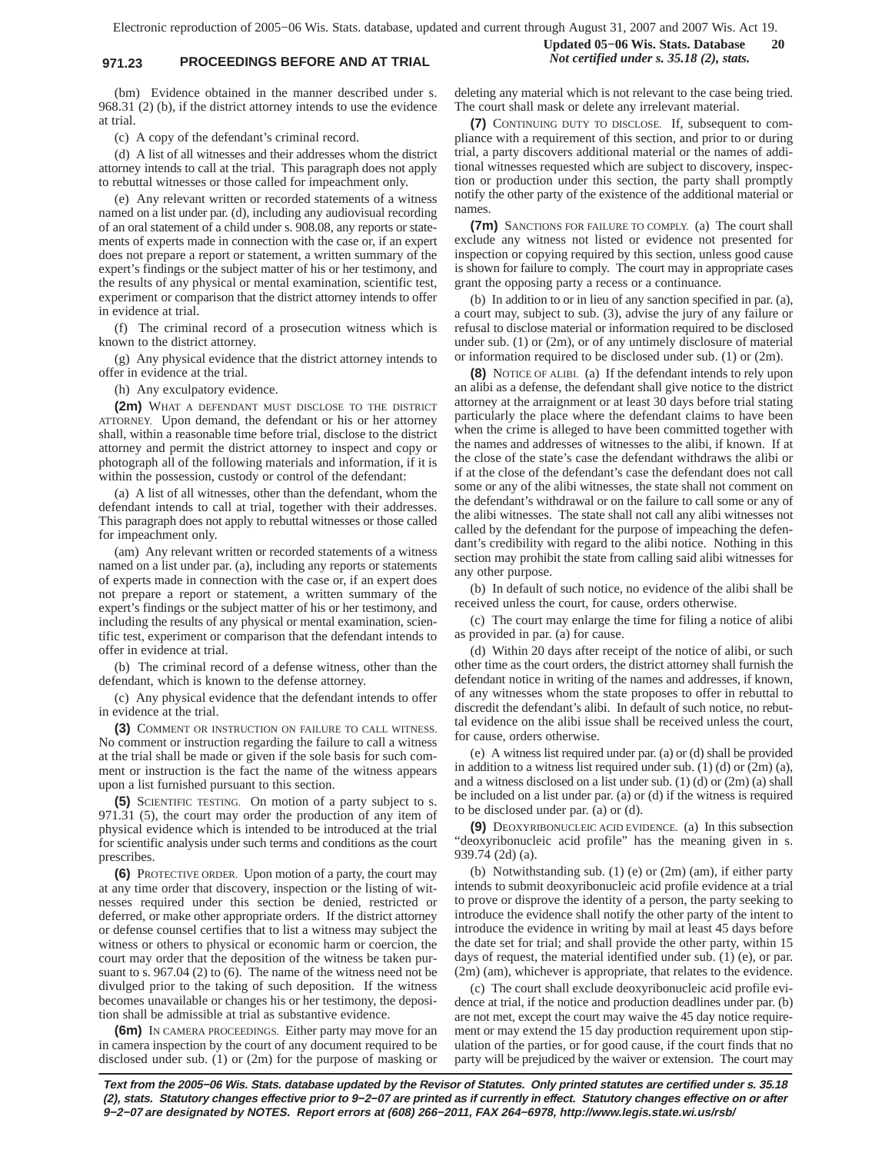# **971.23 PROCEEDINGS BEFORE AND AT TRIAL** *Not certified under s. 35.18 (2), stats.*

**Updated 05−06 Wis. Stats. Database 20**

(bm) Evidence obtained in the manner described under s. 968.31 (2) (b), if the district attorney intends to use the evidence at trial.

(c) A copy of the defendant's criminal record.

(d) A list of all witnesses and their addresses whom the district attorney intends to call at the trial. This paragraph does not apply to rebuttal witnesses or those called for impeachment only.

(e) Any relevant written or recorded statements of a witness named on a list under par. (d), including any audiovisual recording of an oral statement of a child under s. 908.08, any reports or statements of experts made in connection with the case or, if an expert does not prepare a report or statement, a written summary of the expert's findings or the subject matter of his or her testimony, and the results of any physical or mental examination, scientific test, experiment or comparison that the district attorney intends to offer in evidence at trial.

(f) The criminal record of a prosecution witness which is known to the district attorney.

(g) Any physical evidence that the district attorney intends to offer in evidence at the trial.

(h) Any exculpatory evidence.

**(2m)** WHAT A DEFENDANT MUST DISCLOSE TO THE DISTRICT ATTORNEY. Upon demand, the defendant or his or her attorney shall, within a reasonable time before trial, disclose to the district attorney and permit the district attorney to inspect and copy or photograph all of the following materials and information, if it is within the possession, custody or control of the defendant:

(a) A list of all witnesses, other than the defendant, whom the defendant intends to call at trial, together with their addresses. This paragraph does not apply to rebuttal witnesses or those called for impeachment only.

(am) Any relevant written or recorded statements of a witness named on a list under par. (a), including any reports or statements of experts made in connection with the case or, if an expert does not prepare a report or statement, a written summary of the expert's findings or the subject matter of his or her testimony, and including the results of any physical or mental examination, scientific test, experiment or comparison that the defendant intends to offer in evidence at trial.

(b) The criminal record of a defense witness, other than the defendant, which is known to the defense attorney.

(c) Any physical evidence that the defendant intends to offer in evidence at the trial.

**(3)** COMMENT OR INSTRUCTION ON FAILURE TO CALL WITNESS. No comment or instruction regarding the failure to call a witness at the trial shall be made or given if the sole basis for such comment or instruction is the fact the name of the witness appears upon a list furnished pursuant to this section.

**(5)** SCIENTIFIC TESTING. On motion of a party subject to s. 971.31 (5), the court may order the production of any item of physical evidence which is intended to be introduced at the trial for scientific analysis under such terms and conditions as the court prescribes.

**(6)** PROTECTIVE ORDER. Upon motion of a party, the court may at any time order that discovery, inspection or the listing of witnesses required under this section be denied, restricted or deferred, or make other appropriate orders. If the district attorney or defense counsel certifies that to list a witness may subject the witness or others to physical or economic harm or coercion, the court may order that the deposition of the witness be taken pursuant to s. 967.04 (2) to (6). The name of the witness need not be divulged prior to the taking of such deposition. If the witness becomes unavailable or changes his or her testimony, the deposition shall be admissible at trial as substantive evidence.

**(6m)** IN CAMERA PROCEEDINGS. Either party may move for an in camera inspection by the court of any document required to be disclosed under sub. (1) or (2m) for the purpose of masking or

deleting any material which is not relevant to the case being tried. The court shall mask or delete any irrelevant material.

**(7)** CONTINUING DUTY TO DISCLOSE. If, subsequent to compliance with a requirement of this section, and prior to or during trial, a party discovers additional material or the names of additional witnesses requested which are subject to discovery, inspection or production under this section, the party shall promptly notify the other party of the existence of the additional material or names.

**(7m)** SANCTIONS FOR FAILURE TO COMPLY. (a) The court shall exclude any witness not listed or evidence not presented for inspection or copying required by this section, unless good cause is shown for failure to comply. The court may in appropriate cases grant the opposing party a recess or a continuance.

(b) In addition to or in lieu of any sanction specified in par. (a), a court may, subject to sub. (3), advise the jury of any failure or refusal to disclose material or information required to be disclosed under sub. (1) or (2m), or of any untimely disclosure of material or information required to be disclosed under sub. (1) or (2m).

**(8)** NOTICE OF ALIBI. (a) If the defendant intends to rely upon an alibi as a defense, the defendant shall give notice to the district attorney at the arraignment or at least 30 days before trial stating particularly the place where the defendant claims to have been when the crime is alleged to have been committed together with the names and addresses of witnesses to the alibi, if known. If at the close of the state's case the defendant withdraws the alibi or if at the close of the defendant's case the defendant does not call some or any of the alibi witnesses, the state shall not comment on the defendant's withdrawal or on the failure to call some or any of the alibi witnesses. The state shall not call any alibi witnesses not called by the defendant for the purpose of impeaching the defendant's credibility with regard to the alibi notice. Nothing in this section may prohibit the state from calling said alibi witnesses for any other purpose.

(b) In default of such notice, no evidence of the alibi shall be received unless the court, for cause, orders otherwise.

(c) The court may enlarge the time for filing a notice of alibi as provided in par. (a) for cause.

(d) Within 20 days after receipt of the notice of alibi, or such other time as the court orders, the district attorney shall furnish the defendant notice in writing of the names and addresses, if known, of any witnesses whom the state proposes to offer in rebuttal to discredit the defendant's alibi. In default of such notice, no rebuttal evidence on the alibi issue shall be received unless the court, for cause, orders otherwise.

(e) A witness list required under par. (a) or (d) shall be provided in addition to a witness list required under sub. (1) (d) or (2m) (a), and a witness disclosed on a list under sub.  $(1)$  (d) or  $(2m)$  (a) shall be included on a list under par. (a) or (d) if the witness is required to be disclosed under par. (a) or (d).

**(9)** DEOXYRIBONUCLEIC ACID EVIDENCE. (a) In this subsection "deoxyribonucleic acid profile" has the meaning given in s. 939.74 (2d) (a).

(b) Notwithstanding sub. (1) (e) or (2m) (am), if either party intends to submit deoxyribonucleic acid profile evidence at a trial to prove or disprove the identity of a person, the party seeking to introduce the evidence shall notify the other party of the intent to introduce the evidence in writing by mail at least 45 days before the date set for trial; and shall provide the other party, within 15 days of request, the material identified under sub. (1) (e), or par. (2m) (am), whichever is appropriate, that relates to the evidence.

(c) The court shall exclude deoxyribonucleic acid profile evidence at trial, if the notice and production deadlines under par. (b) are not met, except the court may waive the 45 day notice requirement or may extend the 15 day production requirement upon stipulation of the parties, or for good cause, if the court finds that no party will be prejudiced by the waiver or extension. The court may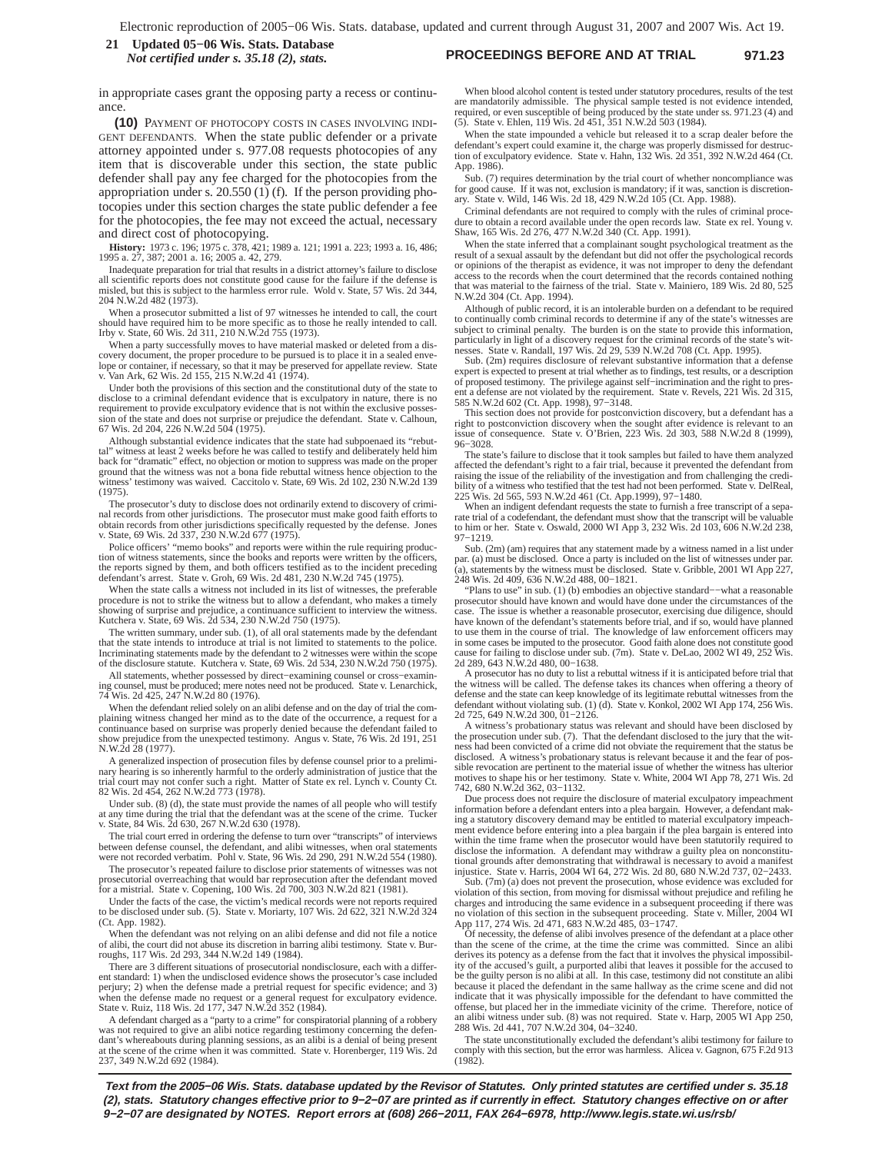#### **PROCEEDINGS BEFORE AND AT TRIAL 971.23 21 Updated 05−06 Wis. Stats. Database** *Not certified under s. 35.18 (2), stats.*

in appropriate cases grant the opposing party a recess or continuance

**(10)** PAYMENT OF PHOTOCOPY COSTS IN CASES INVOLVING INDI-GENT DEFENDANTS. When the state public defender or a private attorney appointed under s. 977.08 requests photocopies of any item that is discoverable under this section, the state public defender shall pay any fee charged for the photocopies from the appropriation under s. 20.550 (1) (f). If the person providing photocopies under this section charges the state public defender a fee for the photocopies, the fee may not exceed the actual, necessary and direct cost of photocopying.

**History:** 1973 c. 196; 1975 c. 378, 421; 1989 a. 121; 1991 a. 223; 1993 a. 16, 486; 1995 a. 27, 387; 2001 a. 16; 2005 a. 42, 279.

Inadequate preparation for trial that results in a district attorney's failure to disclose all scientific reports does not constitute good cause for the failure if the defense is misled, but this is subject to the harmless error rule. Wold v. State, 57 Wis. 2d 344, 204 N.W.2d 482 (1973).

When a prosecutor submitted a list of 97 witnesses he intended to call, the court<br>should have required him to be more specific as to those he really intended to call.<br>Irby v. State, 60 Wis. 2d 311, 210 N.W.2d 755 (1973).

When a party successfully moves to have material masked or deleted from a discovery document, the proper procedure to be pursued is to place it in a sealed enve-lope or container, if necessary, so that it may be preserved for appellate review. State v. Van Ark, 62 Wis. 2d 155, 215 N.W.2d 41 (1974).

Under both the provisions of this section and the constitutional duty of the state to disclose to a criminal defendant evidence that is exculpatory in nature, there is no requirement to provide exculpatory evidence that is not within the exclusive possession of the state and does not surprise or prejudice the defendant. State v. Calhoun, 67 Wis. 2d 204, 226 N.W.2d 504 (1975).

Although substantial evidence indicates that the state had subpoenaed its "rebuttal" witness at least 2 weeks before he was called to testify and deliberately held him<br>back for "dramatic" effect, no objection or motion to suppress was made on the proper<br>ground that the witness was not a bona fide rebu witness' testimony was waived. Caccitolo v. State, 69 Wis. 2d 102, 230 N.W.2d 139 (1975).

The prosecutor's duty to disclose does not ordinarily extend to discovery of crimi-nal records from other jurisdictions. The prosecutor must make good faith efforts to obtain records from other jurisdictions specifically requested by the defense. Jones v. State, 69 Wis. 2d 337, 230 N.W.2d 677 (1975).

Police officers' "memo books" and reports were within the rule requiring production of witness statements, since the books and reports were written by the officers, the reports signed by them, and both officers testified as to the incident preceding defendant's arrest. State v. Groh, 69 Wis. 2d 481, 230 N.W.2d 745 (1975).

When the state calls a witness not included in its list of witnesses, the preferable procedure is not to strike the witness but to allow a defendant, who makes a timely showing of surprise and prejudice, a continuance sufficient to interview the witness. Kutchera v. State, 69 Wis. 2d 534, 230 N.W.2d 750 (1975).

The written summary, under sub. (1), of all oral statements made by the defendant that the state intends to introduce at trial is not limited to statements to the police. Incriminating statements made by the defendant to 2 witnesses were within the scope of the disclosure statute. Kutchera v. State, 69 Wis. 2d 534, 230 N.W.2d 750 (1975).

All statements, whether possessed by direct−examining counsel or cross−examining counsel, must be produced; mere notes need not be produced. State v. Lenarchick, 74 Wis. 2d 425, 247 N.W.2d 80 (1976).

When the defendant relied solely on an alibi defense and on the day of trial the complaining witness changed her mind as to the date of the occurrence, a request for a continuance based on surprise was properly denied because the defendant failed to show prejudice from the unexpected testimony. Angus v. State, 76 Wis. 2d 191, 251 N.W.2d 28 (1977).

A generalized inspection of prosecution files by defense counsel prior to a preliminary hearing is so inherently harmful to the orderly administration of justice that the trial court may not confer such a right. Matter of State ex rel. Lynch v. County Ct. 82 Wis. 2d 454, 262 N.W.2d 773 (1978).

Under sub. (8) (d), the state must provide the names of all people who will testify at any time during the trial that the defendant was at the scene of the crime. Tucker v. State, 84 Wis. 2d 630, 267 N.W.2d 630 (1978).

The trial court erred in ordering the defense to turn over "transcripts" of interviews between defense counsel, the defendant, and alibi witnesses, when oral statements were not recorded verbatim. Pohl v. State, 96 Wis. 2d 290, 291 N.W.2d 554 (1980).

The prosecutor's repeated failure to disclose prior statements of witnesses was not prosecutorial overreaching that would bar reprosecution after the defendant moved for a mistrial. State v. Copening, 100 Wis. 2d 700, 303 N.W.2d 821 (1981).

Under the facts of the case, the victim's medical records were not reports required to be disclosed under sub. (5). State v. Moriarty, 107 Wis. 2d 622, 321 N.W.2d 324 (Ct. App. 1982).

When the defendant was not relying on an alibi defense and did not file a notice of alibi, the court did not abuse its discretion in barring alibi testimony. State v. Burroughs, 117 Wis. 2d 293, 344 N.W.2d 149 (1984).

There are 3 different situations of prosecutorial nondisclosure, each with a different standard: 1) when the undisclosed evidence shows the prosecutor's case included perjury; 2) when the defense made a pretrial request for specific evidence; and 3) when the defense made no request or a general request for exculpatory evidence. State v. Ruiz, 118 Wis. 2d 177, 347 N.W.2d 352 (1984).

A defendant charged as a "party to a crime" for conspiratorial planning of a robbery was not required to give an alibi notice regarding testimony concerning the defen-<br>dant's whereabouts during planning sessions, as an alibi is a denial of being present<br>at the scene of the crime when it was committed. Stat 237, 349 N.W.2d 692 (1984).

When blood alcohol content is tested under statutory procedures, results of the test are mandatorily admissible. The physical sample tested is not evidence intended, required, or even susceptible of being produced by the state under ss. 971.23 (4) and (5). State v. Ehlen, 119 Wis. 2d 451, 351 N.W.2d 503 (1984).

When the state impounded a vehicle but released it to a scrap dealer before the defendant's expert could examine it, the charge was properly dismissed for destrucdefendant's expert could examine it, the charge was properly dismissed for destruc-tion of exculpatory evidence. State v. Hahn, 132 Wis. 2d 351, 392 N.W.2d 464 (Ct. App. 1986).

Sub. (7) requires determination by the trial court of whether noncompliance was for good cause. If it was not, exclusion is mandatory; if it was, sanction is discretionary. State v. Wild, 146 Wis. 2d 18, 429 N.W.2d 105 (Ct. App. 1988).

Criminal defendants are not required to comply with the rules of criminal procedure to obtain a record available under the open records law. State ex rel. Young v. Shaw, 165 Wis. 2d 276, 477 N.W.2d 340 (Ct. App. 1991).

When the state inferred that a complainant sought psychological treatment as the result of a sexual assault by the defendant but did not offer the psychological records or opinions of the therapist as evidence, it was not improper to deny the defendant access to the records when the court determined that the records contained nothing that was material to the fairness of the trial. State v. Mainiero, 189 Wis. 2d 80, 525 N.W.2d 304 (Ct. App. 1994).

Although of public record, it is an intolerable burden on a defendant to be required to continually comb criminal records to determine if any of the state's witnesses are subject to criminal penalty. The burden is on the state to provide this information, particularly in light of a discovery request for the criminal records of the state's wit-nesses. State v. Randall, 197 Wis. 2d 29, 539 N.W.2d 708 (Ct. App. 1995).

Sub. (2m) requires disclosure of relevant substantive information that a defense expert is expected to present at trial whether as to findings, test results, or a description of proposed testimony. The privilege against self−incrimination and the right to pres-ent a defense are not violated by the requirement. State v. Revels, 221 Wis. 2d 315, 585 N.W.2d 602 (Ct. App. 1998), 97−3148.

This section does not provide for postconviction discovery, but a defendant has a right to postconviction discovery when the sought after evidence is relevant to an issue of consequence. State v. O'Brien, 223 Wis. 2d 303, 588 N.W.2d 8 (1999), 96−3028.

The state's failure to disclose that it took samples but failed to have them analyzed affected the defendant's right to a fair trial, because it prevented the defendant from raising the issue of the reliability of the investigation and from challenging the credibility of a witness who testified that the test had not been performed. State v. DelReal, 225 Wis. 2d 565, 593 N.W.2d 461 (Ct. App.1999), 97–1480.<br>When an indigent defendant requests the state to furnish a free transcript

rate trial of a codefendant, the defendant must show that the transcript will be valuable to him or her. State v. Oswald, 2000 WI App 3, 232 Wis. 2d 103, 606 N.W.2d 238, 97−1219.

Sub. (2m) (am) requires that any statement made by a witness named in a list under par. (a) must be disclosed. Once a party is included on the list of witnesses under pa (a), statements by the witness must be disclosed. State v. Gribble, 2001 WI App 227, 248 Wis. 2d 409, 636 N.W.2d 488, 00−1821.

"Plans to use" in sub. (1) (b) embodies an objective standard−−what a reasonable prosecutor should have known and would have done under the circumstances of the case. The issue is whether a reasonable prosecutor, exercising due diligence, should have known of the defendant's statements before trial, and if so, would have planned to use them in the course of trial. The knowledge of law enforcement officers may in some cases be imputed to the prosecutor. Good faith alone does not constitute good cause for failing to disclose under sub. (7m). State v. DeLao, 2002 WI 49, 252 Wis. 2d 289, 643 N.W.2d 480, 00−1638.

A prosecutor has no duty to list a rebuttal witness if it is anticipated before trial that the witness will be called. The defense takes its chances when offering a theory of defense and the state can keep knowledge of its legitimate rebuttal witnesses from the defendant without violating sub. (1) (d). State v. Konkol, 2002 WI App 174, 256 Wis. 2d 725, 649 N.W.2d 300, 01−2126.

A witness's probationary status was relevant and should have been disclosed by the prosecution under sub. (7). That the defendant disclosed to the jury that the witness had been convicted of a crime did not obviate the requirement that the status be disclosed. A witness's probationary status is relevant because it and the fear of possible revocation are pertinent to the material issue of whether the witness has ulterior motives to shape his or her testimony. State v. White, 2004 WI App 78, 271 Wis. 2d 742, 680 N.W.2d 362, 03−1132.

Due process does not require the disclosure of material exculpatory impeachment information before a defendant enters into a plea bargain. However, a defendant making a statutory discovery demand may be entitled to material exculpatory impeachment evidence before entering into a plea bargain if the plea bargain is entered into within the time frame when the prosecutor would have been statutorily required to disclose the information. A defendant may withdraw a guilty plea on nonconstitutional grounds after demonstrating that withdrawal is necessary to avoid a manifest injustice. State v. Harris, 2004 WI 64, 272 Wis. 2d 80, 680 N.W.2d 737, 02−2433.

Sub. (7m) (a) does not prevent the prosecution, whose evidence was excluded for violation of this section, from moving for dismissal without prejudice and refiling he charges and introducing the same evidence in a subsequent proceeding if there was no violation of this section in the subsequent proceeding. State v. Miller, 2004 WI App 117, 274 Wis. 2d 471, 683 N.W.2d 485, 03−1747.

Of necessity, the defense of alibi involves presence of the defendant at a place other than the scene of the crime, at the time the crime was committed. Since an alibi derives its potency as a defense from the fact that it involves the physical impossibil-ity of the accused's guilt, a purported alibi that leaves it possible for the accused to be the guilty person is no alibi at all. In this case, testimony did not constitute an alibi because it placed the defendant in the same hallway as the crime scene and did not indicate that it was physically impossible for the defendant to have committed the offense, but placed her in the immediate vicinity of the crime. Therefore, notice of an alibi witness under sub. (8) was not required. State v. Harp, 2005 WI App 250, 288 Wis. 2d 441, 707 N.W.2d 304, 04−3240.

The state unconstitutionally excluded the defendant's alibi testimony for failure to comply with this section, but the error was harmless. Alicea v. Gagnon, 675 F.2d 913 (1982).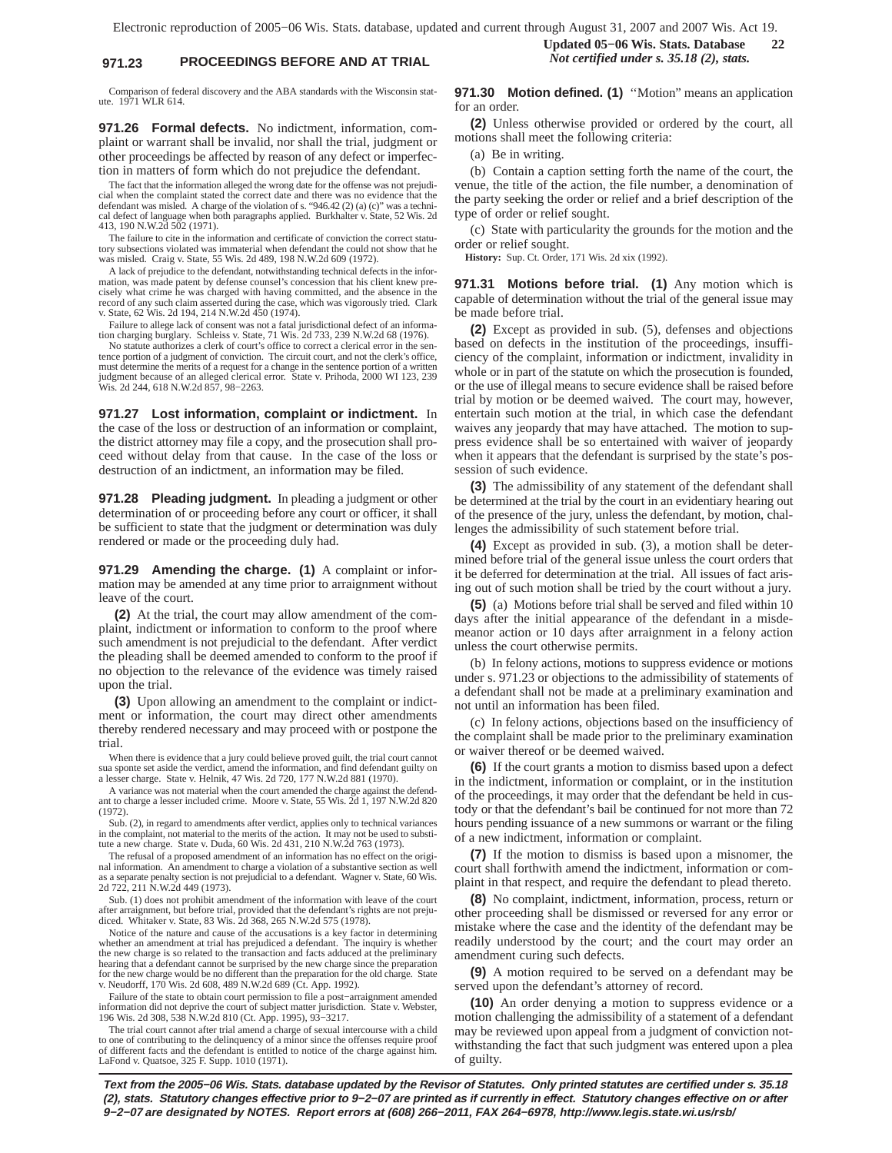# **971.23 PROCEEDINGS BEFORE AND AT TRIAL** *Not certified under s. 35.18 (2), stats.*

Comparison of federal discovery and the ABA standards with the Wisconsin statute. 1971 WLR 614.

**971.26 Formal defects.** No indictment, information, complaint or warrant shall be invalid, nor shall the trial, judgment or other proceedings be affected by reason of any defect or imperfection in matters of form which do not prejudice the defendant.

The fact that the information alleged the wrong date for the offense was not prejudicial when the complaint stated the correct date and there was no evidence that the defendant was misled. A charge of the violation of s. "946.42 (2) (a) (c)" was a techni-cal defect of language when both paragraphs applied. Burkhalter v. State, 52 Wis. 2d 413, 190 N.W.2d 502 (1971).

The failure to cite in the information and certificate of conviction the correct statutory subsections violated was immaterial when defendant the could not show that he was misled. Craig v. State, 55 Wis. 2d 489, 198 N.W.2d 609 (1972).

A lack of prejudice to the defendant, notwithstanding technical defects in the information, was made patent by defense counsel's concession that his client knew precisely what crime he was charged with having committed, and the absence in the record of any such claim asserted during the case, which was vigorously tried. Clark v. State, 62 Wis. 2d 194, 214 N.W.2d 450 (1974).

Failure to allege lack of consent was not a fatal jurisdictional defect of an informa-tion charging burglary. Schleiss v. State, 71 Wis. 2d 733, 239 N.W.2d 68 (1976).

No statute authorizes a clerk of court's office to correct a clerical error in the sentence portion of a judgment of conviction. The circuit court, and not the clerk's office, must determine the merits of a request for a change in the sentence portion of a written judgment because of an alleged clerical error. State v. Prihoda, 2000 WI 123, 239 Wis. 2d 244, 618 N.W.2d 857, 98−2263.

**971.27 Lost information, complaint or indictment.** In the case of the loss or destruction of an information or complaint, the district attorney may file a copy, and the prosecution shall proceed without delay from that cause. In the case of the loss or destruction of an indictment, an information may be filed.

**971.28 Pleading judgment.** In pleading a judgment or other determination of or proceeding before any court or officer, it shall be sufficient to state that the judgment or determination was duly rendered or made or the proceeding duly had.

**971.29 Amending the charge. (1)** A complaint or information may be amended at any time prior to arraignment without leave of the court.

**(2)** At the trial, the court may allow amendment of the complaint, indictment or information to conform to the proof where such amendment is not prejudicial to the defendant. After verdict the pleading shall be deemed amended to conform to the proof if no objection to the relevance of the evidence was timely raised upon the trial.

**(3)** Upon allowing an amendment to the complaint or indictment or information, the court may direct other amendments thereby rendered necessary and may proceed with or postpone the trial.

When there is evidence that a jury could believe proved guilt, the trial court cannot sua sponte set aside the verdict, amend the information, and find defendant guilty on a lesser charge. State v. Helnik, 47 Wis. 2d 720, 177 N.W.2d 881 (1970).

A variance was not material when the court amended the charge against the defendant to charge a lesser included crime. Moore v. State, 55 Wis. 2d 1, 197 N.W.2d 820 (1972).

Sub. (2), in regard to amendments after verdict, applies only to technical variances in the complaint, not material to the merits of the action. It may not be used to substitute a new charge. State v. Duda, 60 Wis. 2d 431, 210 N.W.2d 763 (1973).

The refusal of a proposed amendment of an information has no effect on the original information. An amendment to charge a violation of a substantive section as well as a separate penalty section is not prejudicial to a defendant. Wagner v. State, 60 Wis. 2d 722, 211 N.W.2d 449 (1973).

Sub. (1) does not prohibit amendment of the information with leave of the court after arraignment, but before trial, provided that the defendant's rights are not preju-diced. Whitaker v. State, 83 Wis. 2d 368, 265 N.W.2d 575 (1978).

Notice of the nature and cause of the accusations is a key factor in determining<br>whether an amendment at trial has prejudiced a defendant. The inquiry is whether<br>the new charge is so related to the transaction and facts ad hearing that a defendant cannot be surprised by the new charge since the preparation for the new charge would be no different than the preparation for the old charge. State v. Neudorff, 170 Wis. 2d 608, 489 N.W.2d 689 (Ct. App. 1992).

Failure of the state to obtain court permission to file a post−arraignment amended information did not deprive the court of subject matter jurisdiction. State v. Webster, 196 Wis. 2d 308, 538 N.W.2d 810 (Ct. App. 1995), 93−3217.

The trial court cannot after trial amend a charge of sexual intercourse with a child to one of contributing to the delinquency of a minor since the offenses require proof of different facts and the defendant is entitled to notice of the charge against him. LaFond v. Quatsoe, 325 F. Supp. 1010 (1971).

**Updated 05−06 Wis. Stats. Database 22**

**971.30 Motion defined. (1)** ''Motion" means an application for an order.

**(2)** Unless otherwise provided or ordered by the court, all motions shall meet the following criteria:

(a) Be in writing.

(b) Contain a caption setting forth the name of the court, the venue, the title of the action, the file number, a denomination of the party seeking the order or relief and a brief description of the type of order or relief sought.

(c) State with particularity the grounds for the motion and the order or relief sought.

**History:** Sup. Ct. Order, 171 Wis. 2d xix (1992).

**971.31 Motions before trial. (1)** Any motion which is capable of determination without the trial of the general issue may be made before trial.

**(2)** Except as provided in sub. (5), defenses and objections based on defects in the institution of the proceedings, insufficiency of the complaint, information or indictment, invalidity in whole or in part of the statute on which the prosecution is founded, or the use of illegal means to secure evidence shall be raised before trial by motion or be deemed waived. The court may, however, entertain such motion at the trial, in which case the defendant waives any jeopardy that may have attached. The motion to suppress evidence shall be so entertained with waiver of jeopardy when it appears that the defendant is surprised by the state's possession of such evidence.

**(3)** The admissibility of any statement of the defendant shall be determined at the trial by the court in an evidentiary hearing out of the presence of the jury, unless the defendant, by motion, challenges the admissibility of such statement before trial.

**(4)** Except as provided in sub. (3), a motion shall be determined before trial of the general issue unless the court orders that it be deferred for determination at the trial. All issues of fact arising out of such motion shall be tried by the court without a jury.

**(5)** (a) Motions before trial shall be served and filed within 10 days after the initial appearance of the defendant in a misdemeanor action or 10 days after arraignment in a felony action unless the court otherwise permits.

(b) In felony actions, motions to suppress evidence or motions under s. 971.23 or objections to the admissibility of statements of a defendant shall not be made at a preliminary examination and not until an information has been filed.

(c) In felony actions, objections based on the insufficiency of the complaint shall be made prior to the preliminary examination or waiver thereof or be deemed waived.

**(6)** If the court grants a motion to dismiss based upon a defect in the indictment, information or complaint, or in the institution of the proceedings, it may order that the defendant be held in custody or that the defendant's bail be continued for not more than 72 hours pending issuance of a new summons or warrant or the filing of a new indictment, information or complaint.

**(7)** If the motion to dismiss is based upon a misnomer, the court shall forthwith amend the indictment, information or complaint in that respect, and require the defendant to plead thereto.

**(8)** No complaint, indictment, information, process, return or other proceeding shall be dismissed or reversed for any error or mistake where the case and the identity of the defendant may be readily understood by the court; and the court may order an amendment curing such defects.

**(9)** A motion required to be served on a defendant may be served upon the defendant's attorney of record.

**(10)** An order denying a motion to suppress evidence or a motion challenging the admissibility of a statement of a defendant may be reviewed upon appeal from a judgment of conviction notwithstanding the fact that such judgment was entered upon a plea of guilty.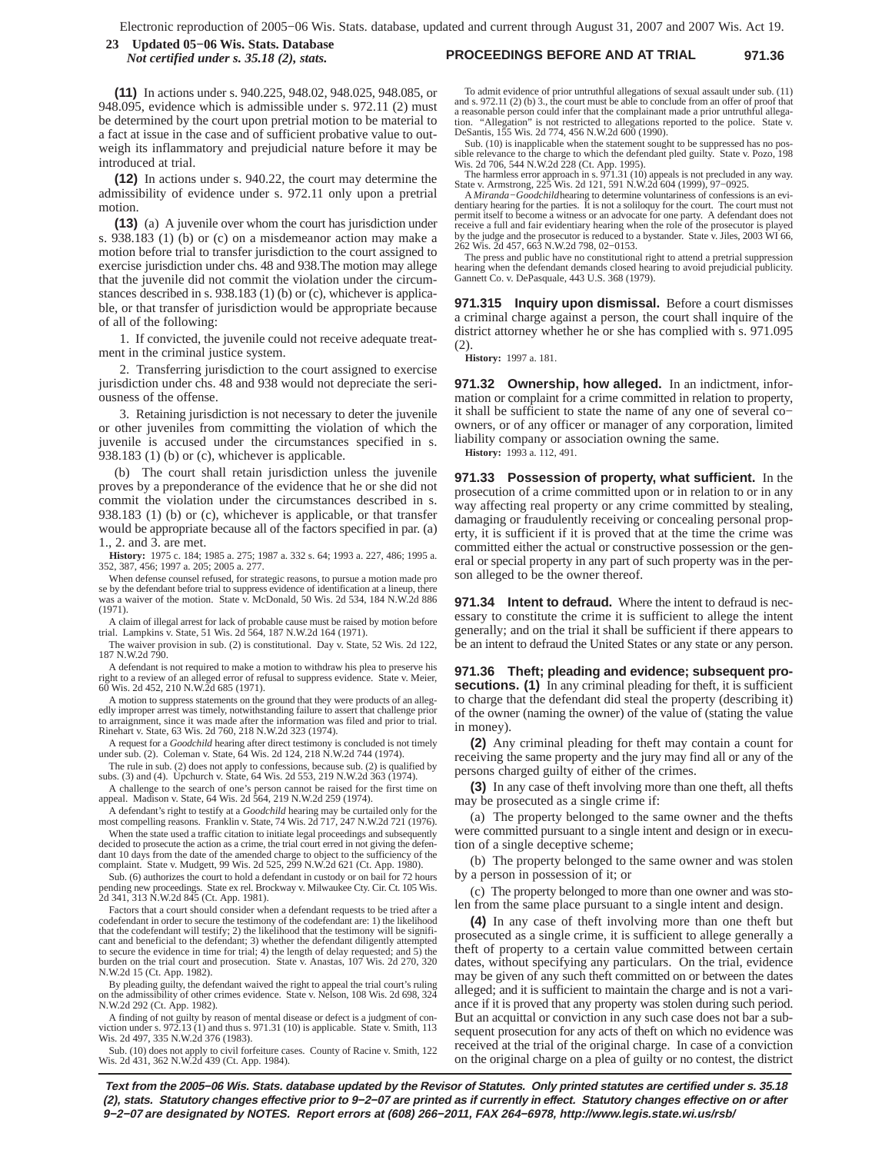#### **PROCEEDINGS BEFORE AND AT TRIAL 971.36 23 Updated 05−06 Wis. Stats. Database** *Not certified under s. 35.18 (2), stats.*

**(11)** In actions under s. 940.225, 948.02, 948.025, 948.085, or 948.095, evidence which is admissible under s. 972.11 (2) must be determined by the court upon pretrial motion to be material to a fact at issue in the case and of sufficient probative value to outweigh its inflammatory and prejudicial nature before it may be introduced at trial.

**(12)** In actions under s. 940.22, the court may determine the admissibility of evidence under s. 972.11 only upon a pretrial motion.

**(13)** (a) A juvenile over whom the court has jurisdiction under s. 938.183 (1) (b) or (c) on a misdemeanor action may make a motion before trial to transfer jurisdiction to the court assigned to exercise jurisdiction under chs. 48 and 938.The motion may allege that the juvenile did not commit the violation under the circumstances described in s. 938.183 (1) (b) or (c), whichever is applicable, or that transfer of jurisdiction would be appropriate because of all of the following:

1. If convicted, the juvenile could not receive adequate treatment in the criminal justice system.

2. Transferring jurisdiction to the court assigned to exercise jurisdiction under chs. 48 and 938 would not depreciate the seriousness of the offense.

3. Retaining jurisdiction is not necessary to deter the juvenile or other juveniles from committing the violation of which the juvenile is accused under the circumstances specified in s. 938.183 (1) (b) or (c), whichever is applicable.

(b) The court shall retain jurisdiction unless the juvenile proves by a preponderance of the evidence that he or she did not commit the violation under the circumstances described in s. 938.183 (1) (b) or (c), whichever is applicable, or that transfer would be appropriate because all of the factors specified in par. (a) 1., 2. and 3. are met.

**History:** 1975 c. 184; 1985 a. 275; 1987 a. 332 s. 64; 1993 a. 227, 486; 1995 a. 352, 387, 456; 1997 a. 205; 2005 a. 277.

When defense counsel refused, for strategic reasons, to pursue a motion made pro se by the defendant before trial to suppress evidence of identification at a lineup, there was a waiver of the motion. State v. McDonald, 50 Wis. 2d 534, 184 N.W.2d 886 (1971).

A claim of illegal arrest for lack of probable cause must be raised by motion before trial. Lampkins v. State, 51 Wis. 2d 564, 187 N.W.2d 164 (1971).

The waiver provision in sub. (2) is constitutional. Day v. State, 52 Wis. 2d 122, 187 N.W.2d 790.

A defendant is not required to make a motion to withdraw his plea to preserve his right to a review of an alleged error of refusal to suppress evidence. State v. Meier, 60 Wis. 2d 452, 210 N.W.2d 685 (1971).

A motion to suppress statements on the ground that they were products of an allegedly improper arrest was timely, notwithstanding failure to assert that challenge prior to arraignment, since it was made after the information was filed and prior to trial. Rinehart v. State, 63 Wis. 2d 760, 218 N.W.2d 323 (1974).

A request for a *Goodchild* hearing after direct testimony is concluded is not timely under sub. (2). Coleman v. State, 64 Wis. 2d 124, 218 N.W.2d 744 (1974).

The rule in sub. (2) does not apply to confessions, because sub. (2) is qualified by subs. (3) and (4). Upchurch v. State, 64 Wis. 2d 553, 219 N.W.2d 363 (1974).

A challenge to the search of one's person cannot be raised for the first time on appeal. Madison v. State, 64 Wis. 2d 564, 219 N.W.2d 259 (1974).

A defendant's right to testify at a *Goodchild* hearing may be curtailed only for the most compelling reasons. Franklin v. State, 74 Wis. 2d 717, 247 N.W.2d 721 (1976).

When the state used a traffic citation to initiate legal proceedings and subsequently decided to prosecute the action as a crime, the trial court erred in not giving the defendant 10 days from the date of the amended charge to object to the sufficiency of the complaint. State v. Mudgett, 99 Wis. 2d 525, 299 N.W.2d 621 (Ct. App. 1980).

Sub. (6) authorizes the court to hold a defendant in custody or on bail for 72 hours pending new proceedings. State ex rel. Brockway v. Milwaukee Cty. Cir. Ct. 105 Wis. 2d 341, 313 N.W.2d 845 (Ct. App. 1981).

Factors that a court should consider when a defendant requests to be tried after a codefendant in order to secure the testimony of the codefendant are: 1) the likelihood that the codefendant will testify; 2) the likelihood that the testimony will be signifi-cant and beneficial to the defendant; 3) whether the defendant diligently attempted to secure the evidence in time for trial; 4) the length of delay requested; and 5) the burden on the trial court and prosecution. State v. Anastas, 107 Wis. 2d 270, 320 N.W.2d 15 (Ct. App. 1982).

By pleading guilty, the defendant waived the right to appeal the trial court's ruling on the admissibility of other crimes evidence. State v. Nelson, 108 Wis. 2d 698, 324 N.W.2d 292 (Ct. App. 1982).

A finding of not guilty by reason of mental disease or defect is a judgment of conviction under s. 972.13 (1) and thus s. 971.31 (10) is applicable. State v. Smith, 113 Wis. 2d 497, 335 N.W.2d 376 (1983).

Sub. (10) does not apply to civil forfeiture cases. County of Racine v. Smith, 122 Wis. 2d 431, 362 N.W.2d 439 (Ct. App. 1984).

To admit evidence of prior untruthful allegations of sexual assault under sub. (11) and s. 972.11 (2) (b) 3., the court must be able to conclude from an offer of proof that a reasonable person could infer that the complainant made a prior untruthful allega-"Allegation" is not restricted to allegations reported to the police. State v. DeSantis, 155 Wis. 2d 774, 456 N.W.2d 600 (1990).

Sub. (10) is inapplicable when the statement sought to be suppressed has no pos-sible relevance to the charge to which the defendant pled guilty. State v. Pozo, 198

Wis. 2d 706, 544 N.W.2d 228 (Ct. App. 1995).<br>The harmless error approach in s. 971.31 (10) appeals is not precluded in any way.<br>State v. Armstrong, 225 Wis. 2d 121, 591 N.W.2d 604 (1999), 97–0925.

A *Miranda-Goodchild* hearing to determine voluntariness of confessions is an evi-<br>dentiary hearing for the parties. It is not a soliloquy for the court. The court must not<br>permit itself to become a witness or an advocate receive a full and fair evidentiary hearing when the role of the prosecutor is played by the judge and the prosecutor is reduced to a bystander. State v. Jiles, 2003 WI 66, 262 Wis. 2d 457, 663 N.W.2d 798, 02−0153.

The press and public have no constitutional right to attend a pretrial suppression hearing when the defendant demands closed hearing to avoid prejudicial publicity. Gannett Co. v. DePasquale, 443 U.S. 368 (1979).

**971.315 Inquiry upon dismissal.** Before a court dismisses a criminal charge against a person, the court shall inquire of the district attorney whether he or she has complied with s. 971.095 (2).

**History:** 1997 a. 181.

**971.32 Ownership, how alleged.** In an indictment, information or complaint for a crime committed in relation to property, it shall be sufficient to state the name of any one of several co− owners, or of any officer or manager of any corporation, limited liability company or association owning the same.

**History:** 1993 a. 112, 491.

**971.33 Possession of property, what sufficient.** In the prosecution of a crime committed upon or in relation to or in any way affecting real property or any crime committed by stealing, damaging or fraudulently receiving or concealing personal property, it is sufficient if it is proved that at the time the crime was committed either the actual or constructive possession or the general or special property in any part of such property was in the person alleged to be the owner thereof.

**971.34 Intent to defraud.** Where the intent to defraud is necessary to constitute the crime it is sufficient to allege the intent generally; and on the trial it shall be sufficient if there appears to be an intent to defraud the United States or any state or any person.

**971.36 Theft; pleading and evidence; subsequent prosecutions.** (1) In any criminal pleading for theft, it is sufficient to charge that the defendant did steal the property (describing it) of the owner (naming the owner) of the value of (stating the value in money).

**(2)** Any criminal pleading for theft may contain a count for receiving the same property and the jury may find all or any of the persons charged guilty of either of the crimes.

**(3)** In any case of theft involving more than one theft, all thefts may be prosecuted as a single crime if:

(a) The property belonged to the same owner and the thefts were committed pursuant to a single intent and design or in execution of a single deceptive scheme;

(b) The property belonged to the same owner and was stolen by a person in possession of it; or

(c) The property belonged to more than one owner and was stolen from the same place pursuant to a single intent and design.

**(4)** In any case of theft involving more than one theft but prosecuted as a single crime, it is sufficient to allege generally a theft of property to a certain value committed between certain dates, without specifying any particulars. On the trial, evidence may be given of any such theft committed on or between the dates alleged; and it is sufficient to maintain the charge and is not a variance if it is proved that any property was stolen during such period. But an acquittal or conviction in any such case does not bar a subsequent prosecution for any acts of theft on which no evidence was received at the trial of the original charge. In case of a conviction on the original charge on a plea of guilty or no contest, the district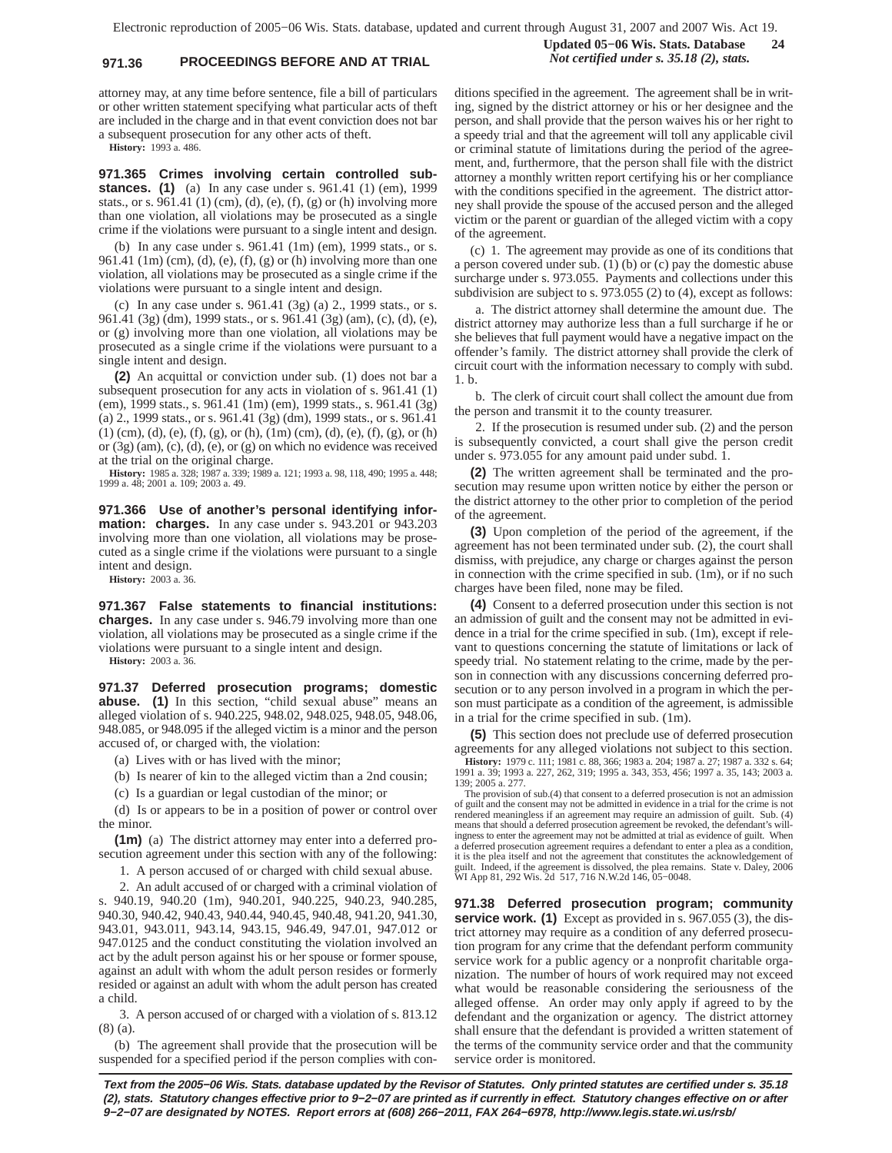# **971.36 PROCEEDINGS BEFORE AND AT TRIAL** *Not certified under s. 35.18 (2), stats.*

attorney may, at any time before sentence, file a bill of particulars or other written statement specifying what particular acts of theft are included in the charge and in that event conviction does not bar a subsequent prosecution for any other acts of theft.

**History:** 1993 a. 486.

**971.365 Crimes involving certain controlled substances. (1)** (a) In any case under s. 961.41 (1) (em), 1999 stats., or s.  $961.41$  (1) (cm), (d), (e), (f), (g) or (h) involving more than one violation, all violations may be prosecuted as a single crime if the violations were pursuant to a single intent and design.

(b) In any case under s. 961.41 (1m) (em), 1999 stats., or s. 961.41 (1m) (cm), (d), (e), (f), (g) or (h) involving more than one violation, all violations may be prosecuted as a single crime if the violations were pursuant to a single intent and design.

(c) In any case under s. 961.41 (3g) (a) 2., 1999 stats., or s. 961.41 (3g) (dm), 1999 stats., or s. 961.41 (3g) (am), (c), (d), (e), or (g) involving more than one violation, all violations may be prosecuted as a single crime if the violations were pursuant to a single intent and design.

**(2)** An acquittal or conviction under sub. (1) does not bar a subsequent prosecution for any acts in violation of s. 961.41 (1) (em), 1999 stats., s. 961.41 (1m) (em), 1999 stats., s. 961.41 (3g) (a) 2., 1999 stats., or s. 961.41 (3g) (dm), 1999 stats., or s. 961.41 (1) (cm), (d), (e), (f), (g), or (h), (1m) (cm), (d), (e), (f), (g), or (h) or (3g) (am), (c), (d), (e), or (g) on which no evidence was received at the trial on the original charge.

**History:** 1985 a. 328; 1987 a. 339; 1989 a. 121; 1993 a. 98, 118, 490; 1995 a. 448; 1999 a. 48; 2001 a. 109; 2003 a. 49.

**971.366 Use of another's personal identifying information: charges.** In any case under s. 943.201 or 943.203 involving more than one violation, all violations may be prosecuted as a single crime if the violations were pursuant to a single intent and design.

**History:** 2003 a. 36.

**971.367 False statements to financial institutions: charges.** In any case under s. 946.79 involving more than one violation, all violations may be prosecuted as a single crime if the violations were pursuant to a single intent and design.

**History:** 2003 a. 36.

**971.37 Deferred prosecution programs; domestic abuse. (1)** In this section, "child sexual abuse" means an alleged violation of s. 940.225, 948.02, 948.025, 948.05, 948.06, 948.085, or 948.095 if the alleged victim is a minor and the person accused of, or charged with, the violation:

(a) Lives with or has lived with the minor;

(b) Is nearer of kin to the alleged victim than a 2nd cousin;

(c) Is a guardian or legal custodian of the minor; or

(d) Is or appears to be in a position of power or control over the minor.

**(1m)** (a) The district attorney may enter into a deferred prosecution agreement under this section with any of the following:

1. A person accused of or charged with child sexual abuse.

2. An adult accused of or charged with a criminal violation of s. 940.19, 940.20 (1m), 940.201, 940.225, 940.23, 940.285, 940.30, 940.42, 940.43, 940.44, 940.45, 940.48, 941.20, 941.30, 943.01, 943.011, 943.14, 943.15, 946.49, 947.01, 947.012 or 947.0125 and the conduct constituting the violation involved an act by the adult person against his or her spouse or former spouse, against an adult with whom the adult person resides or formerly resided or against an adult with whom the adult person has created a child.

3. A person accused of or charged with a violation of s. 813.12 (8) (a).

(b) The agreement shall provide that the prosecution will be suspended for a specified period if the person complies with con-

ditions specified in the agreement. The agreement shall be in writing, signed by the district attorney or his or her designee and the person, and shall provide that the person waives his or her right to a speedy trial and that the agreement will toll any applicable civil or criminal statute of limitations during the period of the agreement, and, furthermore, that the person shall file with the district attorney a monthly written report certifying his or her compliance with the conditions specified in the agreement. The district attorney shall provide the spouse of the accused person and the alleged victim or the parent or guardian of the alleged victim with a copy of the agreement.

**Updated 05−06 Wis. Stats. Database 24**

(c) 1. The agreement may provide as one of its conditions that a person covered under sub.  $(1)$  (b) or (c) pay the domestic abuse surcharge under s. 973.055. Payments and collections under this subdivision are subject to s. 973.055 (2) to (4), except as follows:

a. The district attorney shall determine the amount due. The district attorney may authorize less than a full surcharge if he or she believes that full payment would have a negative impact on the offender's family. The district attorney shall provide the clerk of circuit court with the information necessary to comply with subd. 1. b.

b. The clerk of circuit court shall collect the amount due from the person and transmit it to the county treasurer.

2. If the prosecution is resumed under sub. (2) and the person is subsequently convicted, a court shall give the person credit under s. 973.055 for any amount paid under subd. 1.

**(2)** The written agreement shall be terminated and the prosecution may resume upon written notice by either the person or the district attorney to the other prior to completion of the period of the agreement.

**(3)** Upon completion of the period of the agreement, if the agreement has not been terminated under sub. (2), the court shall dismiss, with prejudice, any charge or charges against the person in connection with the crime specified in sub. (1m), or if no such charges have been filed, none may be filed.

**(4)** Consent to a deferred prosecution under this section is not an admission of guilt and the consent may not be admitted in evidence in a trial for the crime specified in sub. (1m), except if relevant to questions concerning the statute of limitations or lack of speedy trial. No statement relating to the crime, made by the person in connection with any discussions concerning deferred prosecution or to any person involved in a program in which the person must participate as a condition of the agreement, is admissible in a trial for the crime specified in sub. (1m).

**(5)** This section does not preclude use of deferred prosecution agreements for any alleged violations not subject to this section.

**History:** 1979 c. 111; 1981 c. 88, 366; 1983 a. 204; 1987 a. 27; 1987 a. 332 s. 64; 1991 a. 39; 1993 a. 227, 262, 319; 1995 a. 343, 353, 456; 1997 a. 35, 143; 2003 a. 139; 2005 a. 277.

The provision of sub.(4) that consent to a deferred prosecution is not an admission of guilt and the consent may not be admitted in evidence in a trial for the crime is not rendered meaningless if an agreement may require an admission of guilt. Sub. (4) means that should a deferred prosecution agreement be revoked, the defendant's willingness to enter the agreement may not be admitted at trial as evidence of guilt. When a deferred prosecution agreement requires a defendant to enter a plea as a condition, it is the plea itself and not the agreement that constitutes the acknowledgement of guilt. Indeed, if the agreement is dissolved, the plea remains. State v. Daley, 2006 WI App 81, 292 Wis. 2d 517, 716 N.W.2d 146, 05−0048.

**971.38 Deferred prosecution program; community service work. (1)** Except as provided in s. 967.055 (3), the district attorney may require as a condition of any deferred prosecution program for any crime that the defendant perform community service work for a public agency or a nonprofit charitable organization. The number of hours of work required may not exceed what would be reasonable considering the seriousness of the alleged offense. An order may only apply if agreed to by the defendant and the organization or agency. The district attorney shall ensure that the defendant is provided a written statement of the terms of the community service order and that the community service order is monitored.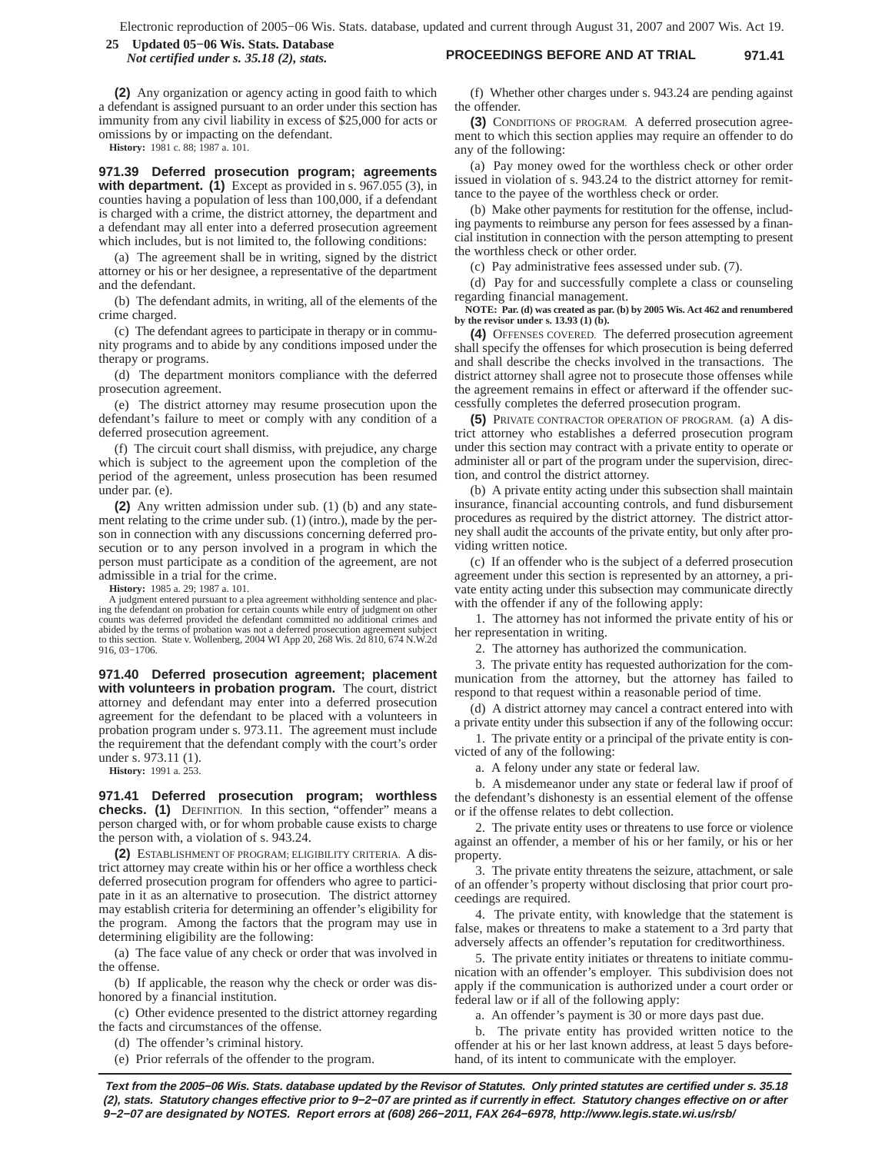### **PROCEEDINGS BEFORE AND AT TRIAL 971.41 25 Updated 05−06 Wis. Stats. Database** *Not certified under s. 35.18 (2), stats.*

**(2)** Any organization or agency acting in good faith to which a defendant is assigned pursuant to an order under this section has immunity from any civil liability in excess of \$25,000 for acts or omissions by or impacting on the defendant.

**History:** 1981 c. 88; 1987 a. 101.

**971.39 Deferred prosecution program; agreements with department. (1)** Except as provided in s. 967.055 (3), in counties having a population of less than 100,000, if a defendant is charged with a crime, the district attorney, the department and a defendant may all enter into a deferred prosecution agreement which includes, but is not limited to, the following conditions:

(a) The agreement shall be in writing, signed by the district attorney or his or her designee, a representative of the department and the defendant.

(b) The defendant admits, in writing, all of the elements of the crime charged.

(c) The defendant agrees to participate in therapy or in community programs and to abide by any conditions imposed under the therapy or programs.

(d) The department monitors compliance with the deferred prosecution agreement.

(e) The district attorney may resume prosecution upon the defendant's failure to meet or comply with any condition of a deferred prosecution agreement.

(f) The circuit court shall dismiss, with prejudice, any charge which is subject to the agreement upon the completion of the period of the agreement, unless prosecution has been resumed under par. (e).

**(2)** Any written admission under sub. (1) (b) and any statement relating to the crime under sub. (1) (intro.), made by the person in connection with any discussions concerning deferred prosecution or to any person involved in a program in which the person must participate as a condition of the agreement, are not admissible in a trial for the crime.

**History:** 1985 a. 29; 1987 a. 101.

judgment entered pursuant to a plea agreement withholding sentence and placing the defendant on probation for certain counts while entry of judgment on other counts was deferred provided the defendant committed no additional crimes and<br>abided by the terms of probation was not a deferred prosecuti 916, 03−1706.

**971.40 Deferred prosecution agreement; placement with volunteers in probation program.** The court, district attorney and defendant may enter into a deferred prosecution agreement for the defendant to be placed with a volunteers in probation program under s. 973.11. The agreement must include the requirement that the defendant comply with the court's order under s. 973.11 (1).

**History:** 1991 a. 253.

**971.41 Deferred prosecution program; worthless checks. (1)** DEFINITION. In this section, "offender" means a person charged with, or for whom probable cause exists to charge the person with, a violation of s. 943.24.

**(2)** ESTABLISHMENT OF PROGRAM; ELIGIBILITY CRITERIA. A district attorney may create within his or her office a worthless check deferred prosecution program for offenders who agree to participate in it as an alternative to prosecution. The district attorney may establish criteria for determining an offender's eligibility for the program. Among the factors that the program may use in determining eligibility are the following:

(a) The face value of any check or order that was involved in the offense.

(b) If applicable, the reason why the check or order was dishonored by a financial institution.

(c) Other evidence presented to the district attorney regarding the facts and circumstances of the offense.

(d) The offender's criminal history.

(e) Prior referrals of the offender to the program.

(f) Whether other charges under s. 943.24 are pending against the offender.

**(3)** CONDITIONS OF PROGRAM. A deferred prosecution agreement to which this section applies may require an offender to do any of the following:

(a) Pay money owed for the worthless check or other order issued in violation of s. 943.24 to the district attorney for remittance to the payee of the worthless check or order.

(b) Make other payments for restitution for the offense, including payments to reimburse any person for fees assessed by a financial institution in connection with the person attempting to present the worthless check or other order.

(c) Pay administrative fees assessed under sub. (7).

(d) Pay for and successfully complete a class or counseling regarding financial management.

**NOTE: Par. (d) was created as par. (b) by 2005 Wis. Act 462 and renumbered by the revisor under s. 13.93 (1) (b).**

**(4)** OFFENSES COVERED. The deferred prosecution agreement shall specify the offenses for which prosecution is being deferred and shall describe the checks involved in the transactions. The district attorney shall agree not to prosecute those offenses while the agreement remains in effect or afterward if the offender successfully completes the deferred prosecution program.

**(5)** PRIVATE CONTRACTOR OPERATION OF PROGRAM. (a) A district attorney who establishes a deferred prosecution program under this section may contract with a private entity to operate or administer all or part of the program under the supervision, direction, and control the district attorney.

(b) A private entity acting under this subsection shall maintain insurance, financial accounting controls, and fund disbursement procedures as required by the district attorney. The district attorney shall audit the accounts of the private entity, but only after providing written notice.

(c) If an offender who is the subject of a deferred prosecution agreement under this section is represented by an attorney, a private entity acting under this subsection may communicate directly with the offender if any of the following apply:

1. The attorney has not informed the private entity of his or her representation in writing.

2. The attorney has authorized the communication.

3. The private entity has requested authorization for the communication from the attorney, but the attorney has failed to respond to that request within a reasonable period of time.

(d) A district attorney may cancel a contract entered into with a private entity under this subsection if any of the following occur:

1. The private entity or a principal of the private entity is convicted of any of the following:

a. A felony under any state or federal law.

b. A misdemeanor under any state or federal law if proof of the defendant's dishonesty is an essential element of the offense or if the offense relates to debt collection.

2. The private entity uses or threatens to use force or violence against an offender, a member of his or her family, or his or her property.

3. The private entity threatens the seizure, attachment, or sale of an offender's property without disclosing that prior court proceedings are required.

4. The private entity, with knowledge that the statement is false, makes or threatens to make a statement to a 3rd party that adversely affects an offender's reputation for creditworthiness.

5. The private entity initiates or threatens to initiate communication with an offender's employer. This subdivision does not apply if the communication is authorized under a court order or federal law or if all of the following apply:

a. An offender's payment is 30 or more days past due.

b. The private entity has provided written notice to the offender at his or her last known address, at least 5 days beforehand, of its intent to communicate with the employer.